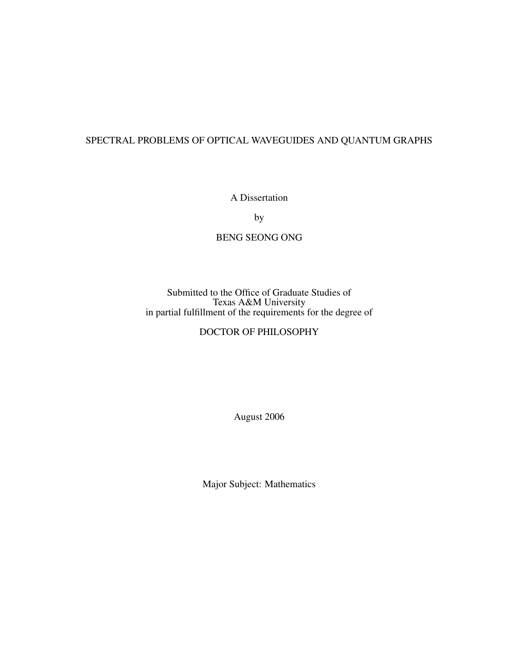# SPECTRAL PROBLEMS OF OPTICAL WAVEGUIDES AND QUANTUM GRAPHS

A Dissertation

by

## BENG SEONG ONG

## Submitted to the Office of Graduate Studies of Texas A&M University in partial fulfillment of the requirements for the degree of

# DOCTOR OF PHILOSOPHY

August 2006

Major Subject: Mathematics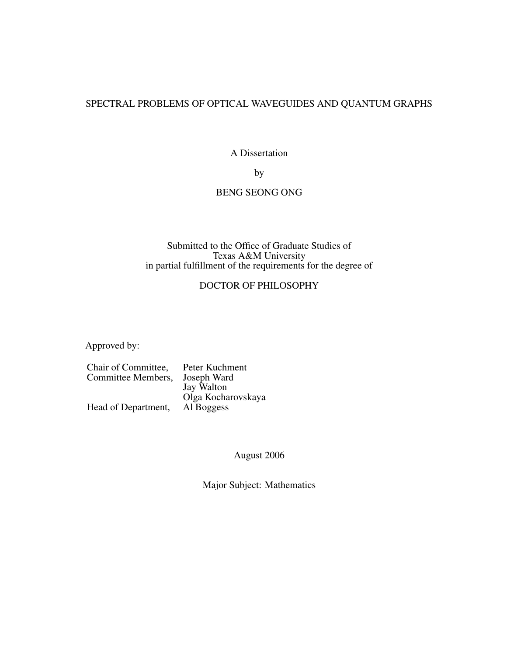## SPECTRAL PROBLEMS OF OPTICAL WAVEGUIDES AND QUANTUM GRAPHS

A Dissertation

by

# BENG SEONG ONG

## Submitted to the Office of Graduate Studies of Texas A&M University in partial fulfillment of the requirements for the degree of

# DOCTOR OF PHILOSOPHY

Approved by:

| Chair of Committee, | Peter Kuchment     |
|---------------------|--------------------|
| Committee Members,  | Joseph Ward        |
|                     | Jay Walton         |
|                     | Olga Kocharovskaya |
| Head of Department, | Al Boggess         |

August 2006

Major Subject: Mathematics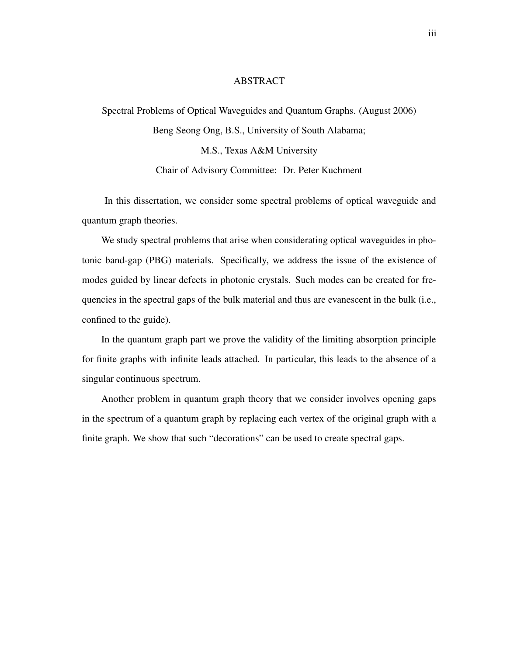### ABSTRACT

Spectral Problems of Optical Waveguides and Quantum Graphs. (August 2006) Beng Seong Ong, B.S., University of South Alabama; M.S., Texas A&M University

Chair of Advisory Committee: Dr. Peter Kuchment

In this dissertation, we consider some spectral problems of optical waveguide and quantum graph theories.

We study spectral problems that arise when considerating optical waveguides in photonic band-gap (PBG) materials. Specifically, we address the issue of the existence of modes guided by linear defects in photonic crystals. Such modes can be created for frequencies in the spectral gaps of the bulk material and thus are evanescent in the bulk (i.e., confined to the guide).

In the quantum graph part we prove the validity of the limiting absorption principle for finite graphs with infinite leads attached. In particular, this leads to the absence of a singular continuous spectrum.

Another problem in quantum graph theory that we consider involves opening gaps in the spectrum of a quantum graph by replacing each vertex of the original graph with a finite graph. We show that such "decorations" can be used to create spectral gaps.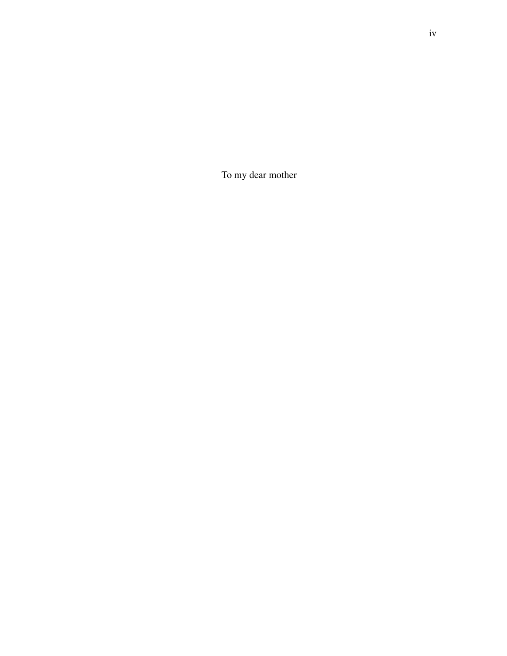To my dear mother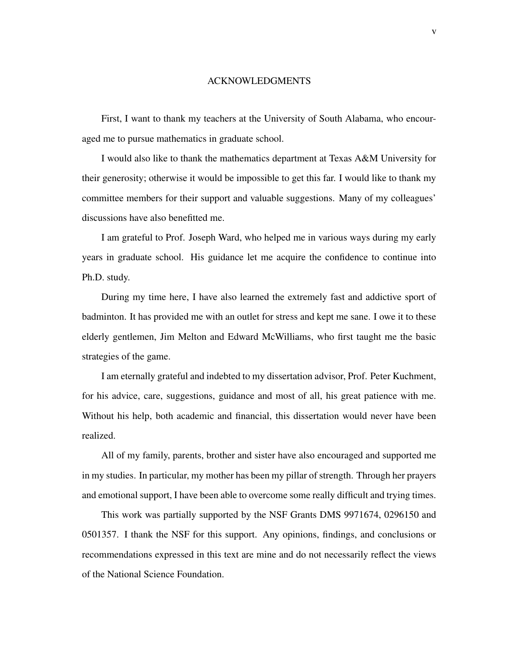#### ACKNOWLEDGMENTS

First, I want to thank my teachers at the University of South Alabama, who encouraged me to pursue mathematics in graduate school.

I would also like to thank the mathematics department at Texas A&M University for their generosity; otherwise it would be impossible to get this far. I would like to thank my committee members for their support and valuable suggestions. Many of my colleagues' discussions have also benefitted me.

I am grateful to Prof. Joseph Ward, who helped me in various ways during my early years in graduate school. His guidance let me acquire the confidence to continue into Ph.D. study.

During my time here, I have also learned the extremely fast and addictive sport of badminton. It has provided me with an outlet for stress and kept me sane. I owe it to these elderly gentlemen, Jim Melton and Edward McWilliams, who first taught me the basic strategies of the game.

I am eternally grateful and indebted to my dissertation advisor, Prof. Peter Kuchment, for his advice, care, suggestions, guidance and most of all, his great patience with me. Without his help, both academic and financial, this dissertation would never have been realized.

All of my family, parents, brother and sister have also encouraged and supported me in my studies. In particular, my mother has been my pillar of strength. Through her prayers and emotional support, I have been able to overcome some really difficult and trying times.

This work was partially supported by the NSF Grants DMS 9971674, 0296150 and 0501357. I thank the NSF for this support. Any opinions, findings, and conclusions or recommendations expressed in this text are mine and do not necessarily reflect the views of the National Science Foundation.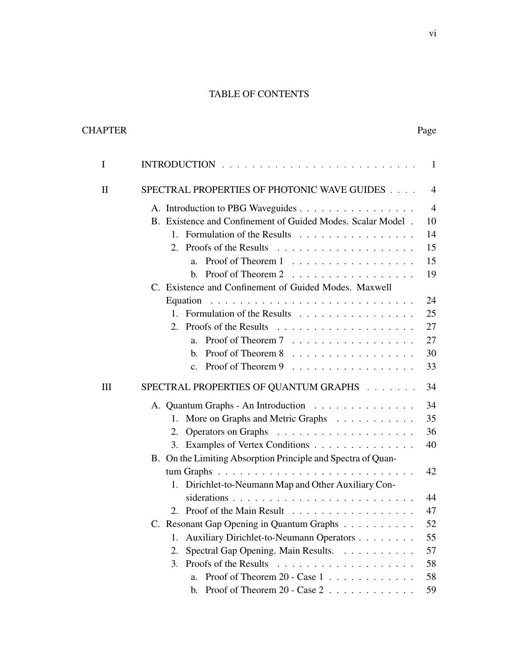# TABLE OF CONTENTS

# CHAPTER Page

| $\bf{I}$ |                                                                        | $\mathbf{1}$   |
|----------|------------------------------------------------------------------------|----------------|
| $\rm II$ | SPECTRAL PROPERTIES OF PHOTONIC WAVE GUIDES                            | $\overline{4}$ |
|          | A. Introduction to PBG Waveguides                                      | $\overline{4}$ |
|          | B. Existence and Confinement of Guided Modes. Scalar Model.            | 10             |
|          | Formulation of the Results<br>$1_{-}$                                  | 14             |
|          |                                                                        | 15             |
|          | Proof of Theorem 1<br>a <sub>z</sub>                                   | 15             |
|          | Proof of Theorem 2 $\ldots \ldots \ldots \ldots \ldots$<br>$h_{\cdot}$ | 19             |
|          | C. Existence and Confinement of Guided Modes. Maxwell                  |                |
|          | Equation                                                               | 24             |
|          | 1. Formulation of the Results                                          | 25             |
|          |                                                                        | 27             |
|          | Proof of Theorem 7 $\ldots \ldots \ldots \ldots \ldots$<br>a.          | 27             |
|          | Proof of Theorem 8<br>b.                                               | 30             |
|          | Proof of Theorem 9 $\ldots$<br>$\mathbf{c}$ .                          | 33             |
| Ш        | SPECTRAL PROPERTIES OF QUANTUM GRAPHS                                  | 34             |
|          | A. Quantum Graphs - An Introduction                                    | 34             |
|          | More on Graphs and Metric Graphs<br>1.                                 | 35             |
|          | 2.                                                                     | 36             |
|          | Examples of Vertex Conditions<br>3.                                    | 40             |
|          | B. On the Limiting Absorption Principle and Spectra of Quan-           |                |
|          |                                                                        | 42             |
|          | 1. Dirichlet-to-Neumann Map and Other Auxiliary Con-                   |                |
|          |                                                                        | 44             |
|          | 2. Proof of the Main Result                                            | 47             |
|          | C. Resonant Gap Opening in Quantum Graphs                              | 52             |
|          | Auxiliary Dirichlet-to-Neumann Operators<br>1.                         | 55             |
|          | Spectral Gap Opening. Main Results.<br>2.                              | 57             |
|          | 3.                                                                     | 58             |
|          | Proof of Theorem 20 - Case $1 \ldots \ldots \ldots \ldots$<br>a.       | 58             |
|          | Proof of Theorem 20 - Case 2<br>b.                                     | 59             |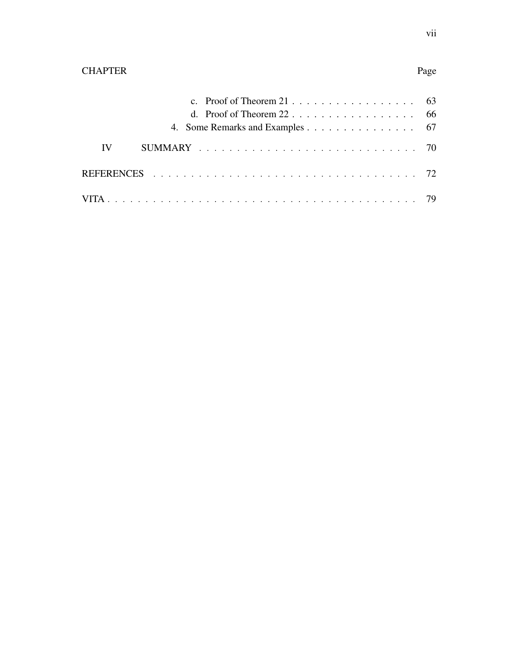| 4. Some Remarks and Examples 67 |  |
|---------------------------------|--|
| IV                              |  |
|                                 |  |
|                                 |  |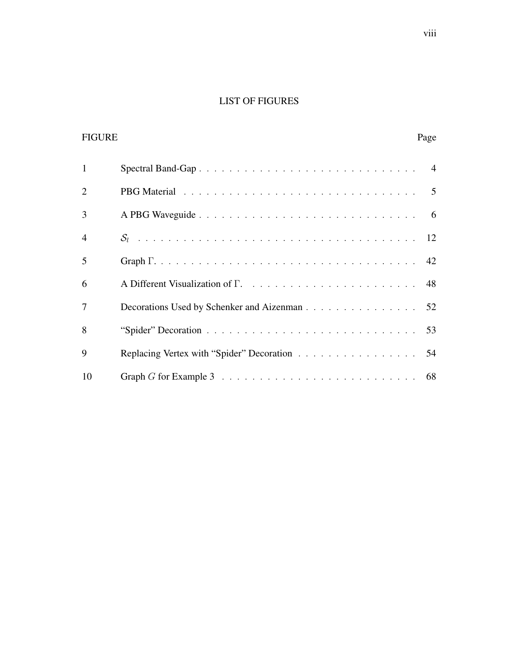# LIST OF FIGURES

| <b>FIGURE</b>  |                                              | Page |
|----------------|----------------------------------------------|------|
| $\mathbf{1}$   |                                              |      |
| $\overline{2}$ |                                              |      |
| 3              |                                              |      |
| $\overline{4}$ |                                              |      |
| 5              |                                              |      |
| 6              |                                              |      |
| 7              | Decorations Used by Schenker and Aizenman 52 |      |
| 8              |                                              |      |
| 9              | Replacing Vertex with "Spider" Decoration 54 |      |
| 10             |                                              |      |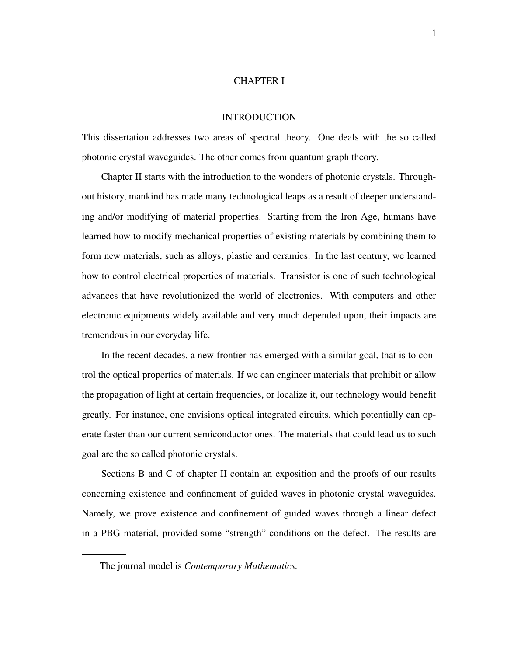### CHAPTER I

#### INTRODUCTION

This dissertation addresses two areas of spectral theory. One deals with the so called photonic crystal waveguides. The other comes from quantum graph theory.

Chapter II starts with the introduction to the wonders of photonic crystals. Throughout history, mankind has made many technological leaps as a result of deeper understanding and/or modifying of material properties. Starting from the Iron Age, humans have learned how to modify mechanical properties of existing materials by combining them to form new materials, such as alloys, plastic and ceramics. In the last century, we learned how to control electrical properties of materials. Transistor is one of such technological advances that have revolutionized the world of electronics. With computers and other electronic equipments widely available and very much depended upon, their impacts are tremendous in our everyday life.

In the recent decades, a new frontier has emerged with a similar goal, that is to control the optical properties of materials. If we can engineer materials that prohibit or allow the propagation of light at certain frequencies, or localize it, our technology would benefit greatly. For instance, one envisions optical integrated circuits, which potentially can operate faster than our current semiconductor ones. The materials that could lead us to such goal are the so called photonic crystals.

Sections B and C of chapter II contain an exposition and the proofs of our results concerning existence and confinement of guided waves in photonic crystal waveguides. Namely, we prove existence and confinement of guided waves through a linear defect in a PBG material, provided some "strength" conditions on the defect. The results are

The journal model is *Contemporary Mathematics.*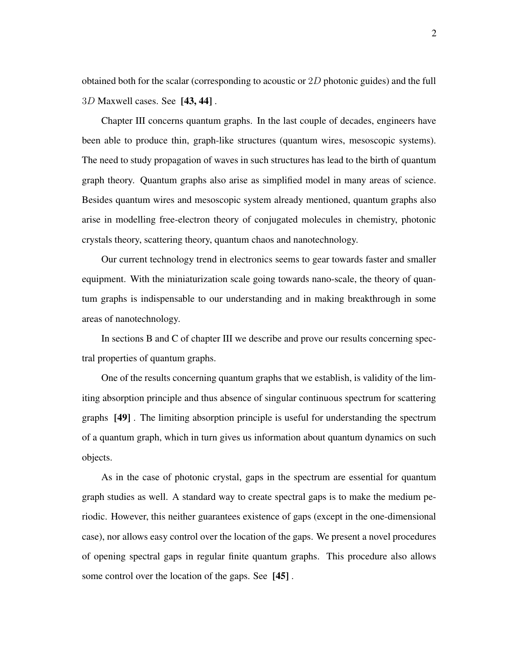obtained both for the scalar (corresponding to acoustic or 2D photonic guides) and the full 3D Maxwell cases. See **[43, 44]** .

Chapter III concerns quantum graphs. In the last couple of decades, engineers have been able to produce thin, graph-like structures (quantum wires, mesoscopic systems). The need to study propagation of waves in such structures has lead to the birth of quantum graph theory. Quantum graphs also arise as simplified model in many areas of science. Besides quantum wires and mesoscopic system already mentioned, quantum graphs also arise in modelling free-electron theory of conjugated molecules in chemistry, photonic crystals theory, scattering theory, quantum chaos and nanotechnology.

Our current technology trend in electronics seems to gear towards faster and smaller equipment. With the miniaturization scale going towards nano-scale, the theory of quantum graphs is indispensable to our understanding and in making breakthrough in some areas of nanotechnology.

In sections B and C of chapter III we describe and prove our results concerning spectral properties of quantum graphs.

One of the results concerning quantum graphs that we establish, is validity of the limiting absorption principle and thus absence of singular continuous spectrum for scattering graphs **[49]** . The limiting absorption principle is useful for understanding the spectrum of a quantum graph, which in turn gives us information about quantum dynamics on such objects.

As in the case of photonic crystal, gaps in the spectrum are essential for quantum graph studies as well. A standard way to create spectral gaps is to make the medium periodic. However, this neither guarantees existence of gaps (except in the one-dimensional case), nor allows easy control over the location of the gaps. We present a novel procedures of opening spectral gaps in regular finite quantum graphs. This procedure also allows some control over the location of the gaps. See **[45]** .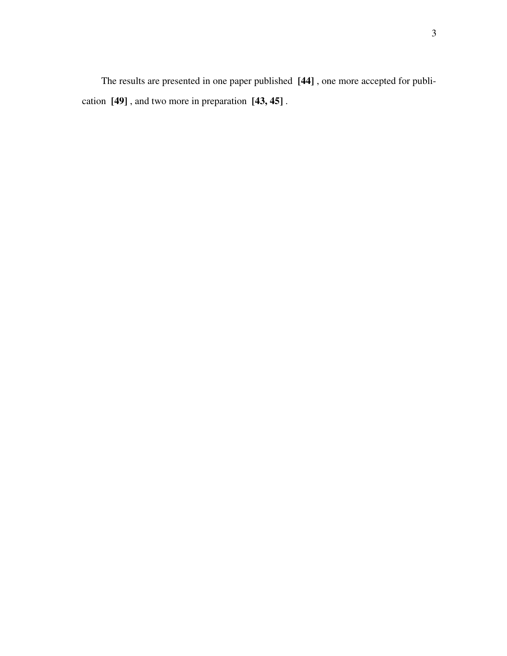The results are presented in one paper published **[44]** , one more accepted for publication **[49]** , and two more in preparation **[43, 45]** .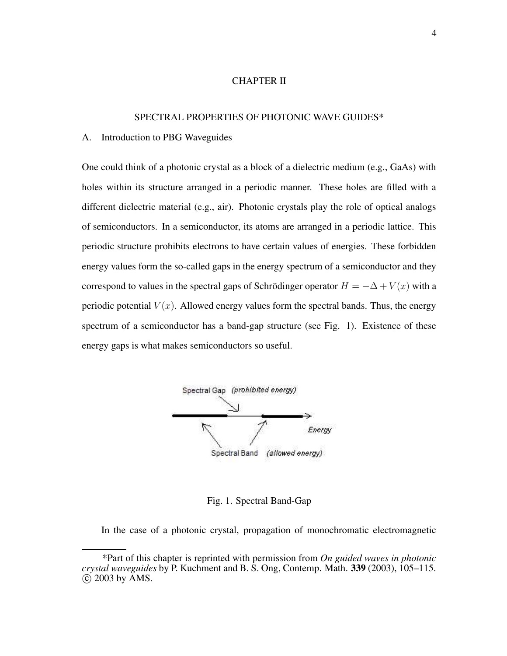#### CHAPTER II

#### SPECTRAL PROPERTIES OF PHOTONIC WAVE GUIDES\*

#### A. Introduction to PBG Waveguides

One could think of a photonic crystal as a block of a dielectric medium (e.g., GaAs) with holes within its structure arranged in a periodic manner. These holes are filled with a different dielectric material (e.g., air). Photonic crystals play the role of optical analogs of semiconductors. In a semiconductor, its atoms are arranged in a periodic lattice. This periodic structure prohibits electrons to have certain values of energies. These forbidden energy values form the so-called gaps in the energy spectrum of a semiconductor and they correspond to values in the spectral gaps of Schrödinger operator  $H = -\Delta + V(x)$  with a periodic potential  $V(x)$ . Allowed energy values form the spectral bands. Thus, the energy spectrum of a semiconductor has a band-gap structure (see Fig. 1). Existence of these energy gaps is what makes semiconductors so useful.



### Fig. 1. Spectral Band-Gap

In the case of a photonic crystal, propagation of monochromatic electromagnetic

<sup>\*</sup>Part of this chapter is reprinted with permission from *On guided waves in photonic crystal waveguides* by P. Kuchment and B. S. Ong, Contemp. Math. **339** (2003), 105–115.  $\overline{c}$  2003 by AMS.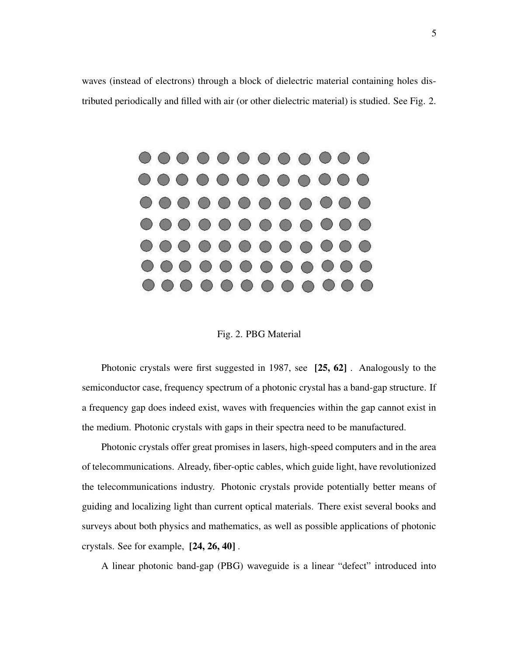waves (instead of electrons) through a block of dielectric material containing holes distributed periodically and filled with air (or other dielectric material) is studied. See Fig. 2.



Fig. 2. PBG Material

Photonic crystals were first suggested in 1987, see **[25, 62]** . Analogously to the semiconductor case, frequency spectrum of a photonic crystal has a band-gap structure. If a frequency gap does indeed exist, waves with frequencies within the gap cannot exist in the medium. Photonic crystals with gaps in their spectra need to be manufactured.

Photonic crystals offer great promises in lasers, high-speed computers and in the area of telecommunications. Already, fiber-optic cables, which guide light, have revolutionized the telecommunications industry. Photonic crystals provide potentially better means of guiding and localizing light than current optical materials. There exist several books and surveys about both physics and mathematics, as well as possible applications of photonic crystals. See for example, **[24, 26, 40]** .

A linear photonic band-gap (PBG) waveguide is a linear "defect" introduced into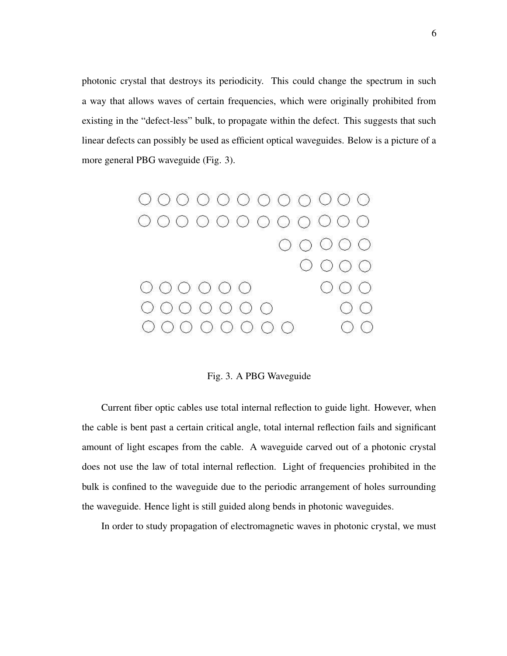photonic crystal that destroys its periodicity. This could change the spectrum in such a way that allows waves of certain frequencies, which were originally prohibited from existing in the "defect-less" bulk, to propagate within the defect. This suggests that such linear defects can possibly be used as efficient optical waveguides. Below is a picture of a more general PBG waveguide (Fig. 3).



Fig. 3. A PBG Waveguide

Current fiber optic cables use total internal reflection to guide light. However, when the cable is bent past a certain critical angle, total internal reflection fails and significant amount of light escapes from the cable. A waveguide carved out of a photonic crystal does not use the law of total internal reflection. Light of frequencies prohibited in the bulk is confined to the waveguide due to the periodic arrangement of holes surrounding the waveguide. Hence light is still guided along bends in photonic waveguides.

In order to study propagation of electromagnetic waves in photonic crystal, we must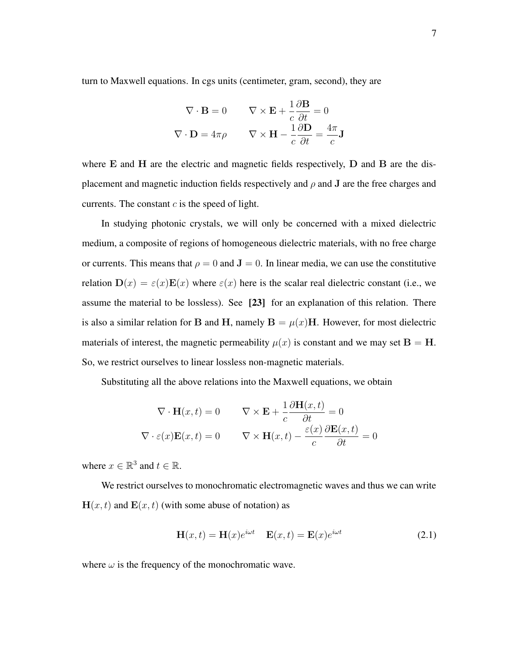turn to Maxwell equations. In cgs units (centimeter, gram, second), they are

$$
\nabla \cdot \mathbf{B} = 0 \qquad \nabla \times \mathbf{E} + \frac{1}{c} \frac{\partial \mathbf{B}}{\partial t} = 0
$$

$$
\nabla \cdot \mathbf{D} = 4\pi \rho \qquad \nabla \times \mathbf{H} - \frac{1}{c} \frac{\partial \mathbf{D}}{\partial t} = \frac{4\pi}{c} \mathbf{J}
$$

where E and H are the electric and magnetic fields respectively, D and B are the displacement and magnetic induction fields respectively and  $\rho$  and  $\bar{J}$  are the free charges and currents. The constant  $c$  is the speed of light.

In studying photonic crystals, we will only be concerned with a mixed dielectric medium, a composite of regions of homogeneous dielectric materials, with no free charge or currents. This means that  $\rho = 0$  and  $J = 0$ . In linear media, we can use the constitutive relation  $D(x) = \varepsilon(x)E(x)$  where  $\varepsilon(x)$  here is the scalar real dielectric constant (i.e., we assume the material to be lossless). See **[23]** for an explanation of this relation. There is also a similar relation for B and H, namely  $B = \mu(x)H$ . However, for most dielectric materials of interest, the magnetic permeability  $\mu(x)$  is constant and we may set  $B = H$ . So, we restrict ourselves to linear lossless non-magnetic materials.

Substituting all the above relations into the Maxwell equations, we obtain

$$
\nabla \cdot \mathbf{H}(x,t) = 0 \qquad \nabla \times \mathbf{E} + \frac{1}{c} \frac{\partial \mathbf{H}(x,t)}{\partial t} = 0
$$

$$
\nabla \cdot \varepsilon(x) \mathbf{E}(x,t) = 0 \qquad \nabla \times \mathbf{H}(x,t) - \frac{\varepsilon(x)}{c} \frac{\partial \mathbf{E}(x,t)}{\partial t} = 0
$$

where  $x \in \mathbb{R}^3$  and  $t \in \mathbb{R}$ .

We restrict ourselves to monochromatic electromagnetic waves and thus we can write  $H(x, t)$  and  $E(x, t)$  (with some abuse of notation) as

$$
\mathbf{H}(x,t) = \mathbf{H}(x)e^{i\omega t} \quad \mathbf{E}(x,t) = \mathbf{E}(x)e^{i\omega t} \tag{2.1}
$$

where  $\omega$  is the frequency of the monochromatic wave.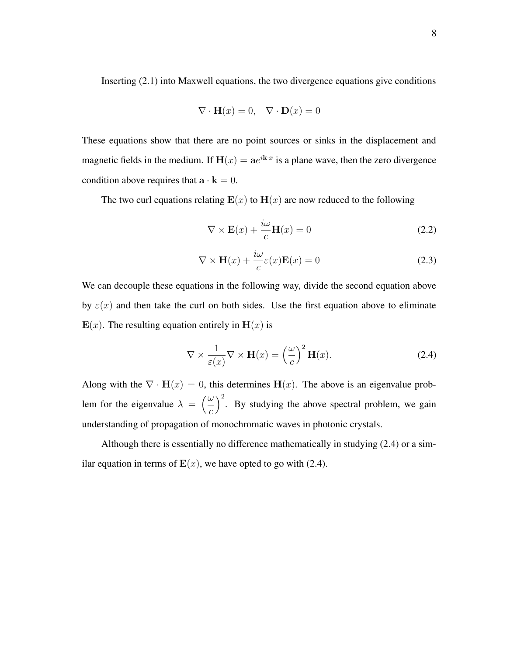Inserting (2.1) into Maxwell equations, the two divergence equations give conditions

$$
\nabla \cdot \mathbf{H}(x) = 0, \quad \nabla \cdot \mathbf{D}(x) = 0
$$

These equations show that there are no point sources or sinks in the displacement and magnetic fields in the medium. If  $H(x) = ae^{ik \cdot x}$  is a plane wave, then the zero divergence condition above requires that  $\mathbf{a} \cdot \mathbf{k} = 0$ .

The two curl equations relating  $E(x)$  to  $H(x)$  are now reduced to the following

$$
\nabla \times \mathbf{E}(x) + \frac{i\omega}{c} \mathbf{H}(x) = 0
$$
\n(2.2)

$$
\nabla \times \mathbf{H}(x) + \frac{i\omega}{c} \varepsilon(x) \mathbf{E}(x) = 0
$$
 (2.3)

We can decouple these equations in the following way, divide the second equation above by  $\varepsilon(x)$  and then take the curl on both sides. Use the first equation above to eliminate  $E(x)$ . The resulting equation entirely in  $H(x)$  is

$$
\nabla \times \frac{1}{\varepsilon(x)} \nabla \times \mathbf{H}(x) = \left(\frac{\omega}{c}\right)^2 \mathbf{H}(x).
$$
 (2.4)

Along with the  $\nabla \cdot \mathbf{H}(x) = 0$ , this determines  $\mathbf{H}(x)$ . The above is an eigenvalue problem for the eigenvalue  $\lambda = \begin{pmatrix} \omega \\ -\omega \end{pmatrix}$ c  $\int_{0}^{2}$ . By studying the above spectral problem, we gain understanding of propagation of monochromatic waves in photonic crystals.

Although there is essentially no difference mathematically in studying (2.4) or a similar equation in terms of  $E(x)$ , we have opted to go with (2.4).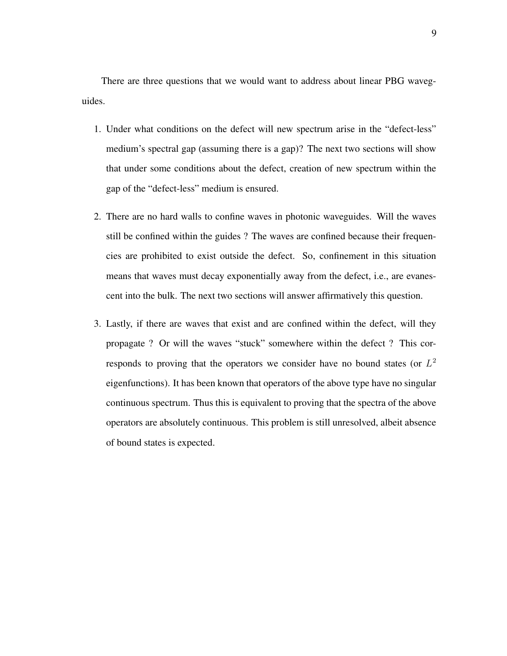There are three questions that we would want to address about linear PBG waveguides.

- 1. Under what conditions on the defect will new spectrum arise in the "defect-less" medium's spectral gap (assuming there is a gap)? The next two sections will show that under some conditions about the defect, creation of new spectrum within the gap of the "defect-less" medium is ensured.
- 2. There are no hard walls to confine waves in photonic waveguides. Will the waves still be confined within the guides ? The waves are confined because their frequencies are prohibited to exist outside the defect. So, confinement in this situation means that waves must decay exponentially away from the defect, i.e., are evanescent into the bulk. The next two sections will answer affirmatively this question.
- 3. Lastly, if there are waves that exist and are confined within the defect, will they propagate ? Or will the waves "stuck" somewhere within the defect ? This corresponds to proving that the operators we consider have no bound states (or  $L^2$ eigenfunctions). It has been known that operators of the above type have no singular continuous spectrum. Thus this is equivalent to proving that the spectra of the above operators are absolutely continuous. This problem is still unresolved, albeit absence of bound states is expected.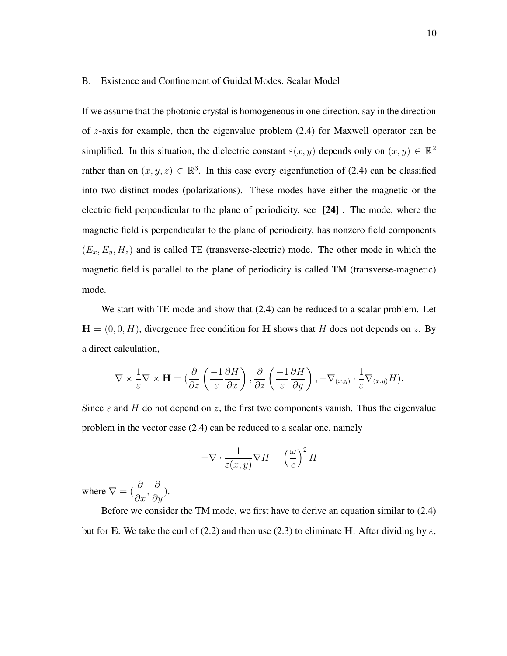#### B. Existence and Confinement of Guided Modes. Scalar Model

If we assume that the photonic crystal is homogeneous in one direction, say in the direction of  $z$ -axis for example, then the eigenvalue problem  $(2.4)$  for Maxwell operator can be simplified. In this situation, the dielectric constant  $\varepsilon(x, y)$  depends only on  $(x, y) \in \mathbb{R}^2$ rather than on  $(x, y, z) \in \mathbb{R}^3$ . In this case every eigenfunction of (2.4) can be classified into two distinct modes (polarizations). These modes have either the magnetic or the electric field perpendicular to the plane of periodicity, see **[24]** . The mode, where the magnetic field is perpendicular to the plane of periodicity, has nonzero field components  $(E_x, E_y, H_z)$  and is called TE (transverse-electric) mode. The other mode in which the magnetic field is parallel to the plane of periodicity is called TM (transverse-magnetic) mode.

We start with TE mode and show that (2.4) can be reduced to a scalar problem. Let  $H = (0, 0, H)$ , divergence free condition for H shows that H does not depends on z. By a direct calculation,

$$
\nabla \times \frac{1}{\varepsilon} \nabla \times \mathbf{H} = \left( \frac{\partial}{\partial z} \left( \frac{-1}{\varepsilon} \frac{\partial H}{\partial x} \right), \frac{\partial}{\partial z} \left( \frac{-1}{\varepsilon} \frac{\partial H}{\partial y} \right), -\nabla_{(x,y)} \cdot \frac{1}{\varepsilon} \nabla_{(x,y)} H \right).
$$

Since  $\varepsilon$  and H do not depend on z, the first two components vanish. Thus the eigenvalue problem in the vector case (2.4) can be reduced to a scalar one, namely

$$
-\nabla \cdot \frac{1}{\varepsilon(x,y)} \nabla H = \left(\frac{\omega}{c}\right)^2 H
$$

where  $\nabla = (\frac{\partial}{\partial \zeta})$  $\partial x$ , ∂ ∂y ).

Before we consider the TM mode, we first have to derive an equation similar to (2.4) but for E. We take the curl of (2.2) and then use (2.3) to eliminate H. After dividing by  $\varepsilon$ ,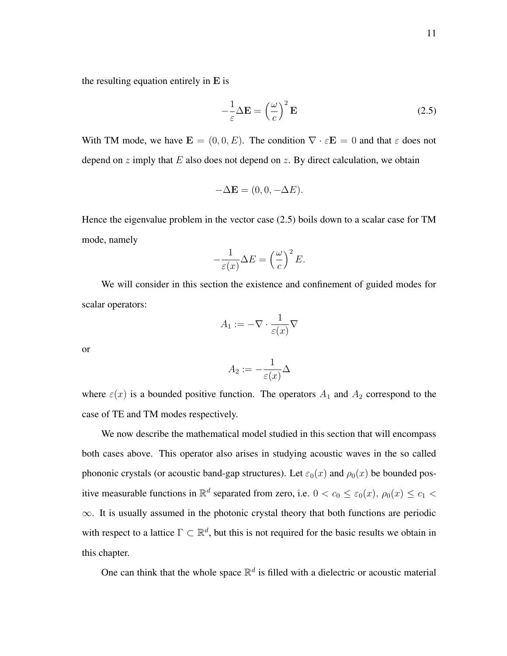the resulting equation entirely in  $E$  is

$$
-\frac{1}{\varepsilon}\Delta \mathbf{E} = \left(\frac{\omega}{c}\right)^2 \mathbf{E}
$$
 (2.5)

With TM mode, we have  $\mathbf{E} = (0, 0, E)$ . The condition  $\nabla \cdot \varepsilon \mathbf{E} = 0$  and that  $\varepsilon$  does not depend on  $z$  imply that  $E$  also does not depend on  $z$ . By direct calculation, we obtain

$$
-\Delta \mathbf{E} = (0, 0, -\Delta E).
$$

Hence the eigenvalue problem in the vector case (2.5) boils down to a scalar case for TM mode, namely

$$
-\frac{1}{\varepsilon(x)}\Delta E = \left(\frac{\omega}{c}\right)^2 E.
$$

We will consider in this section the existence and confinement of guided modes for scalar operators:

$$
A_1:=-\nabla\cdot \frac{1}{\varepsilon(x)}\nabla
$$

or

$$
A_2:=-\frac{1}{\varepsilon(x)}\Delta
$$

where  $\varepsilon(x)$  is a bounded positive function. The operators  $A_1$  and  $A_2$  correspond to the case of TE and TM modes respectively.

We now describe the mathematical model studied in this section that will encompass both cases above. This operator also arises in studying acoustic waves in the so called phononic crystals (or acoustic band-gap structures). Let  $\varepsilon_0(x)$  and  $\rho_0(x)$  be bounded positive measurable functions in  $\mathbb{R}^d$  separated from zero, i.e.  $0 < c_0 \le \varepsilon_0(x)$ ,  $\rho_0(x) \le c_1 <$  $\infty$ . It is usually assumed in the photonic crystal theory that both functions are periodic with respect to a lattice  $\Gamma \subset \mathbb{R}^d$ , but this is not required for the basic results we obtain in this chapter.

One can think that the whole space  $\mathbb{R}^d$  is filled with a dielectric or acoustic material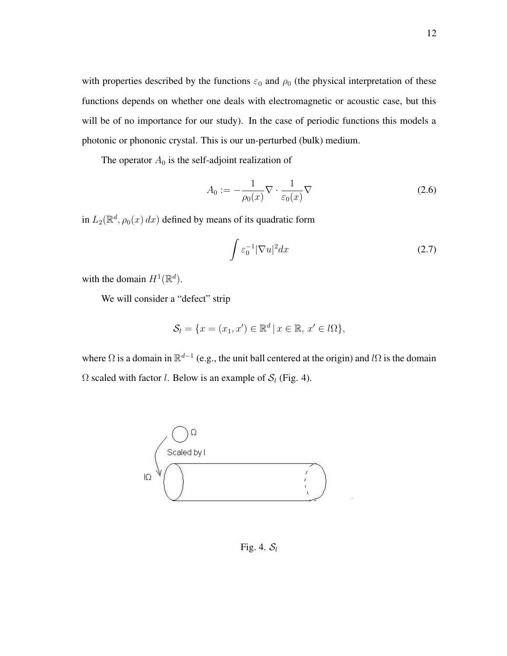with properties described by the functions  $\varepsilon_0$  and  $\rho_0$  (the physical interpretation of these functions depends on whether one deals with electromagnetic or acoustic case, but this will be of no importance for our study). In the case of periodic functions this models a photonic or phononic crystal. This is our un-perturbed (bulk) medium.

The operator  $A_0$  is the self-adjoint realization of

$$
A_0 := -\frac{1}{\rho_0(x)} \nabla \cdot \frac{1}{\varepsilon_0(x)} \nabla \tag{2.6}
$$

in  $L_2(\mathbb{R}^d, \rho_0(x) dx)$  defined by means of its quadratic form

$$
\int \varepsilon_0^{-1} |\nabla u|^2 dx \tag{2.7}
$$

with the domain  $H^1(\mathbb{R}^d)$ .

We will consider a "defect" strip

$$
\mathcal{S}_l = \{ x = (x_1, x') \in \mathbb{R}^d \, | \, x \in \mathbb{R}, \, x' \in l\Omega \},
$$

where  $\Omega$  is a domain in  $\mathbb{R}^{d-1}$  (e.g., the unit ball centered at the origin) and  $l\Omega$  is the domain  $\Omega$  scaled with factor *l*. Below is an example of  $S_l$  (Fig. 4).

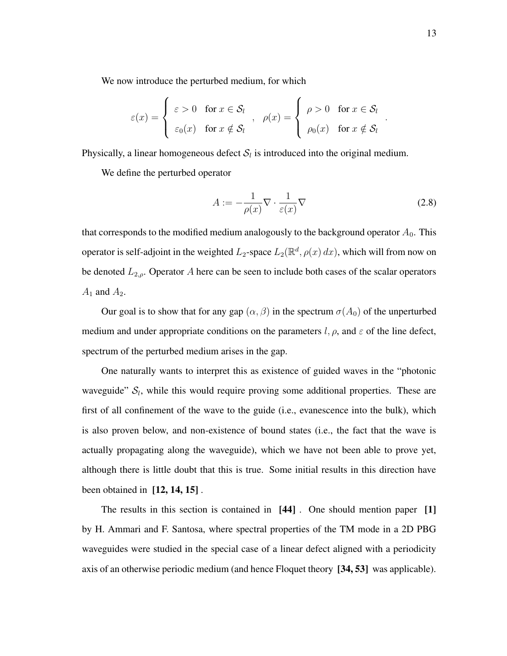We now introduce the perturbed medium, for which

$$
\varepsilon(x) = \begin{cases} \varepsilon > 0 & \text{for } x \in \mathcal{S}_l \\ \varepsilon_0(x) & \text{for } x \notin \mathcal{S}_l \end{cases}, \quad \rho(x) = \begin{cases} \rho > 0 & \text{for } x \in \mathcal{S}_l \\ \rho_0(x) & \text{for } x \notin \mathcal{S}_l \end{cases}
$$

Physically, a linear homogeneous defect  $S_l$  is introduced into the original medium.

We define the perturbed operator

$$
A := -\frac{1}{\rho(x)} \nabla \cdot \frac{1}{\varepsilon(x)} \nabla \tag{2.8}
$$

that corresponds to the modified medium analogously to the background operator  $A_0$ . This operator is self-adjoint in the weighted  $L_2$ -space  $L_2(\mathbb{R}^d, \rho(x) dx)$ , which will from now on be denoted  $L_{2,\rho}$ . Operator A here can be seen to include both cases of the scalar operators  $A_1$  and  $A_2$ .

Our goal is to show that for any gap  $(\alpha, \beta)$  in the spectrum  $\sigma(A_0)$  of the unperturbed medium and under appropriate conditions on the parameters  $l, \rho$ , and  $\varepsilon$  of the line defect, spectrum of the perturbed medium arises in the gap.

One naturally wants to interpret this as existence of guided waves in the "photonic waveguide"  $S_l$ , while this would require proving some additional properties. These are first of all confinement of the wave to the guide (i.e., evanescence into the bulk), which is also proven below, and non-existence of bound states (i.e., the fact that the wave is actually propagating along the waveguide), which we have not been able to prove yet, although there is little doubt that this is true. Some initial results in this direction have been obtained in **[12, 14, 15]** .

The results in this section is contained in **[44]** . One should mention paper **[1]** by H. Ammari and F. Santosa, where spectral properties of the TM mode in a 2D PBG waveguides were studied in the special case of a linear defect aligned with a periodicity axis of an otherwise periodic medium (and hence Floquet theory **[34, 53]** was applicable).

.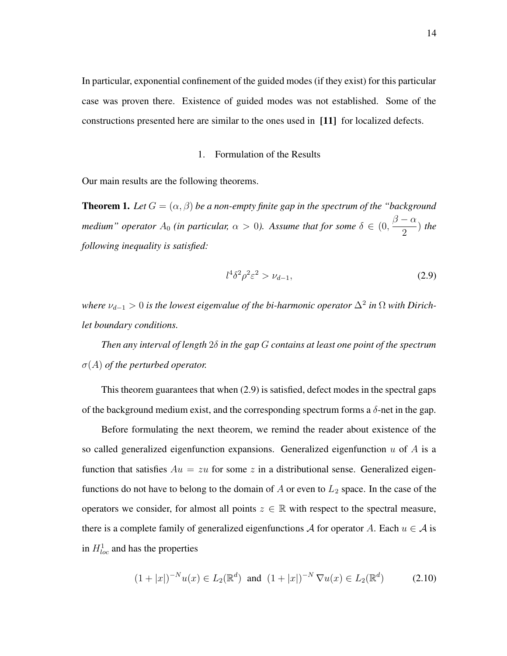In particular, exponential confinement of the guided modes (if they exist) for this particular case was proven there. Existence of guided modes was not established. Some of the constructions presented here are similar to the ones used in **[11]** for localized defects.

#### 1. Formulation of the Results

Our main results are the following theorems.

**Theorem 1.** Let  $G = (\alpha, \beta)$  be a non-empty finite gap in the spectrum of the "background" *medium*" *operator*  $A_0$  *(in particular,*  $\alpha > 0$ ). Assume that for some  $\delta \in (0, \frac{\beta - \alpha}{2})$ 2 ) *the following inequality is satisfied:*

$$
l^4 \delta^2 \rho^2 \varepsilon^2 > \nu_{d-1},\tag{2.9}
$$

 $\omega_{d-1} > 0$  is the lowest eigenvalue of the bi-harmonic operator  $\Delta^2$  in  $\Omega$  with Dirich*let boundary conditions.*

*Then any interval of length* 2δ *in the gap* G *contains at least one point of the spectrum*  $\sigma(A)$  *of the perturbed operator.* 

This theorem guarantees that when (2.9) is satisfied, defect modes in the spectral gaps of the background medium exist, and the corresponding spectrum forms a  $\delta$ -net in the gap.

Before formulating the next theorem, we remind the reader about existence of the so called generalized eigenfunction expansions. Generalized eigenfunction  $u$  of  $A$  is a function that satisfies  $Au = zu$  for some z in a distributional sense. Generalized eigenfunctions do not have to belong to the domain of  $A$  or even to  $L_2$  space. In the case of the operators we consider, for almost all points  $z \in \mathbb{R}$  with respect to the spectral measure, there is a complete family of generalized eigenfunctions A for operator A. Each  $u \in A$  is in  $H_{loc}^1$  and has the properties

$$
(1+|x|)^{-N}u(x) \in L_2(\mathbb{R}^d) \text{ and } (1+|x|)^{-N}\nabla u(x) \in L_2(\mathbb{R}^d) \tag{2.10}
$$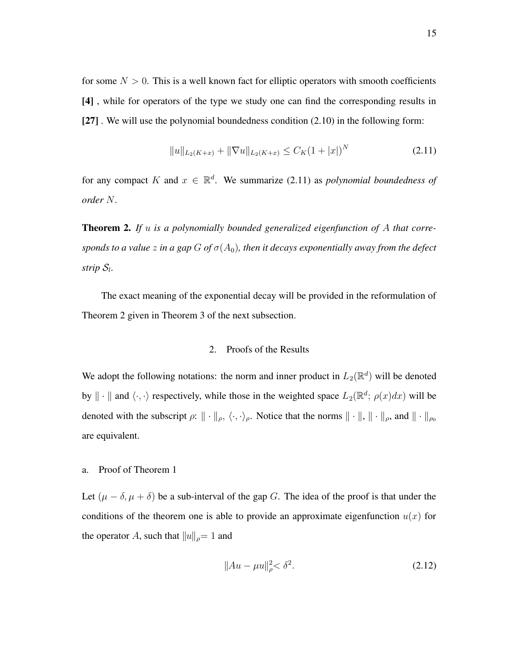for some  $N > 0$ . This is a well known fact for elliptic operators with smooth coefficients **[4]** , while for operators of the type we study one can find the corresponding results in **[27]** . We will use the polynomial boundedness condition (2.10) in the following form:

$$
||u||_{L_2(K+x)} + ||\nabla u||_{L_2(K+x)} \le C_K (1+|x|)^N
$$
\n(2.11)

for any compact K and  $x \in \mathbb{R}^d$ . We summarize (2.11) as *polynomial boundedness of order* N.

**Theorem 2.** *If* u *is a polynomially bounded generalized eigenfunction of* A *that corresponds to a value* z *in a gap*  $G$  *of*  $\sigma(A_0)$ *, then it decays exponentially away from the defect strip*  $S_l$ .

The exact meaning of the exponential decay will be provided in the reformulation of Theorem 2 given in Theorem 3 of the next subsection.

#### 2. Proofs of the Results

We adopt the following notations: the norm and inner product in  $L_2(\mathbb{R}^d)$  will be denoted by  $\|\cdot\|$  and  $\langle \cdot, \cdot \rangle$  respectively, while those in the weighted space  $L_2(\mathbb{R}^d; \rho(x)dx)$  will be denoted with the subscript  $\rho: \| \cdot \|_{\rho}, \langle \cdot, \cdot \rangle_{\rho}$ . Notice that the norms  $\| \cdot \|, \| \cdot \|_{\rho}$ , and  $\| \cdot \|_{\rho_0}$ are equivalent.

### a. Proof of Theorem 1

Let  $(\mu - \delta, \mu + \delta)$  be a sub-interval of the gap G. The idea of the proof is that under the conditions of the theorem one is able to provide an approximate eigenfunction  $u(x)$  for the operator A, such that  $||u||_{\rho}= 1$  and

$$
||Au - \mu u||^2_{\rho} < \delta^2. \tag{2.12}
$$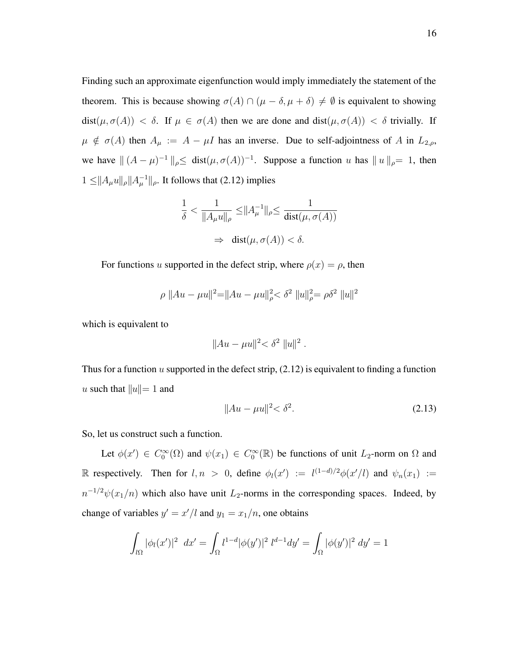Finding such an approximate eigenfunction would imply immediately the statement of the theorem. This is because showing  $\sigma(A) \cap (\mu - \delta, \mu + \delta) \neq \emptyset$  is equivalent to showing dist $(\mu, \sigma(A)) < \delta$ . If  $\mu \in \sigma(A)$  then we are done and dist $(\mu, \sigma(A)) < \delta$  trivially. If  $\mu \notin \sigma(A)$  then  $A_{\mu} := A - \mu I$  has an inverse. Due to self-adjointness of A in  $L_{2,\rho}$ , we have  $|| (A - \mu)^{-1} ||_{\rho} \le \text{dist}(\mu, \sigma(A))^{-1}$ . Suppose a function u has  $||u||_{\rho} = 1$ , then  $1 \leq ||A_\mu u||_\rho ||A_\mu^{-1}||_\rho$ . It follows that (2.12) implies

$$
\frac{1}{\delta} < \frac{1}{\|A_{\mu}u\|_{\rho}} \le \|A_{\mu}^{-1}\|_{\rho} \le \frac{1}{\text{dist}(\mu, \sigma(A))}
$$
\n
$$
\Rightarrow \text{dist}(\mu, \sigma(A)) < \delta.
$$

For functions u supported in the defect strip, where  $\rho(x) = \rho$ , then

$$
\rho ||Au - \mu u||^2 = ||Au - \mu u||^2_{\rho} < \delta^2 ||u||^2_{\rho} = \rho \delta^2 ||u||^2
$$

which is equivalent to

$$
||Au - \mu u||^2 < \delta^2 ||u||^2.
$$

Thus for a function  $u$  supported in the defect strip,  $(2.12)$  is equivalent to finding a function u such that  $||u||= 1$  and

$$
||Au - \mu u||^2 < \delta^2.
$$
 (2.13)

So, let us construct such a function.

Let  $\phi(x') \in C_0^{\infty}(\Omega)$  and  $\psi(x_1) \in C_0^{\infty}(\mathbb{R})$  be functions of unit  $L_2$ -norm on  $\Omega$  and R respectively. Then for  $l, n > 0$ , define  $\phi_l(x') := l^{(1-d)/2} \phi(x'/l)$  and  $\psi_n(x_1) :=$  $n^{-1/2}\psi(x_1/n)$  which also have unit  $L_2$ -norms in the corresponding spaces. Indeed, by change of variables  $y' = x'/l$  and  $y_1 = x_1/n$ , one obtains

$$
\int_{l\Omega} |\phi_l(x')|^2 \ dx' = \int_{\Omega} l^{1-d} |\phi(y')|^2 \ l^{d-1} dy' = \int_{\Omega} |\phi(y')|^2 \ dy' = 1
$$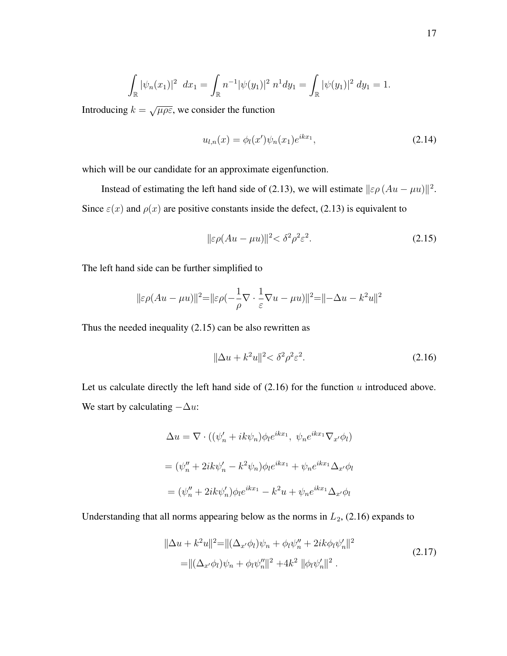$$
\int_{\mathbb{R}} |\psi_n(x_1)|^2 \ dx_1 = \int_{\mathbb{R}} n^{-1} |\psi(y_1)|^2 \ n^1 dy_1 = \int_{\mathbb{R}} |\psi(y_1)|^2 \ dy_1 = 1.
$$

Introducing  $k = \sqrt{\mu \rho \epsilon}$ , we consider the function

$$
u_{l,n}(x) = \phi_l(x')\psi_n(x_1)e^{ikx_1}, \qquad (2.14)
$$

which will be our candidate for an approximate eigenfunction.

Instead of estimating the left hand side of (2.13), we will estimate  $\|\varepsilon \rho (Au - \mu u)\|^2$ . Since  $\varepsilon(x)$  and  $\rho(x)$  are positive constants inside the defect, (2.13) is equivalent to

$$
\|\varepsilon \rho (Au - \mu u)\|^2 < \delta^2 \rho^2 \varepsilon^2. \tag{2.15}
$$

The left hand side can be further simplified to

$$
\|\varepsilon\rho(Au - \mu u)\|^2 = \|\varepsilon\rho(-\frac{1}{\rho}\nabla \cdot \frac{1}{\varepsilon}\nabla u - \mu u)\|^2 = \|\Delta u - k^2 u\|^2
$$

Thus the needed inequality (2.15) can be also rewritten as

$$
\|\Delta u + k^2 u\|^2 < \delta^2 \rho^2 \varepsilon^2. \tag{2.16}
$$

Let us calculate directly the left hand side of  $(2.16)$  for the function u introduced above. We start by calculating  $-\Delta u$ :

$$
\Delta u = \nabla \cdot ((\psi'_n + ik\psi_n)\phi_l e^{ikx_1}, \psi_n e^{ikx_1} \nabla_{x'} \phi_l)
$$

$$
= (\psi''_n + 2ik\psi'_n - k^2\psi_n)\phi_l e^{ikx_1} + \psi_n e^{ikx_1} \Delta_{x'} \phi_l
$$

$$
= (\psi''_n + 2ik\psi'_n)\phi_l e^{ikx_1} - k^2 u + \psi_n e^{ikx_1} \Delta_{x'} \phi_l
$$

Understanding that all norms appearing below as the norms in  $L_2$ , (2.16) expands to

$$
\|\Delta u + k^2 u\|^2 = \|(\Delta_{x'} \phi_l)\psi_n + \phi_l \psi_n'' + 2ik\phi_l \psi_n'\|^2
$$
  
= 
$$
\|(\Delta_{x'} \phi_l)\psi_n + \phi_l \psi_n''\|^2 + 4k^2 \|\phi_l \psi_n'\|^2.
$$
 (2.17)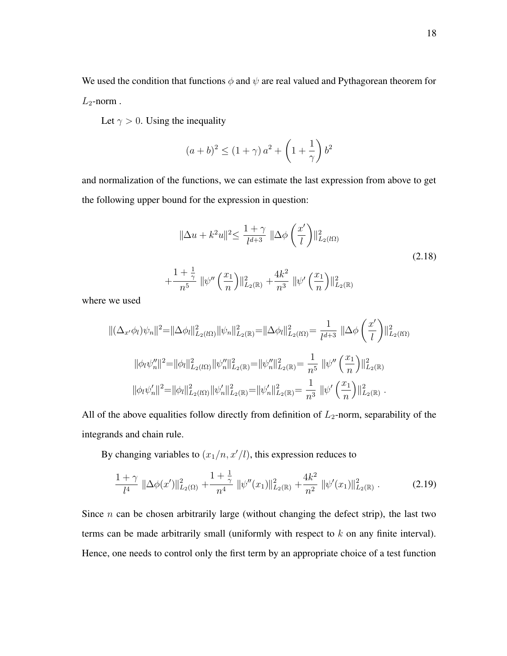We used the condition that functions  $\phi$  and  $\psi$  are real valued and Pythagorean theorem for  $L_2$ -norm.

Let  $\gamma > 0$ . Using the inequality

$$
(a+b)^2 \le (1+\gamma) a^2 + \left(1+\frac{1}{\gamma}\right) b^2
$$

and normalization of the functions, we can estimate the last expression from above to get the following upper bound for the expression in question:

$$
\|\Delta u + k^2 u\|^2 \le \frac{1+\gamma}{l^{d+3}} \|\Delta \phi \left(\frac{x'}{l}\right)\|_{L_2(l\Omega)}^2
$$
  
+
$$
\frac{1+\frac{1}{\gamma}}{n^5} \|\psi''\left(\frac{x_1}{n}\right)\|_{L_2(\mathbb{R})}^2 + \frac{4k^2}{n^3} \|\psi'\left(\frac{x_1}{n}\right)\|_{L_2(\mathbb{R})}^2
$$
(2.18)

where we used

$$
\begin{aligned}\n\|(\Delta_{x'}\phi_l)\psi_n\|^2 &= \|\Delta\phi_l\|_{L_2(l\Omega)}^2 \|\psi_n\|_{L_2(\mathbb{R})}^2 = \|\Delta\phi_l\|_{L_2(l\Omega)}^2 = \frac{1}{l^{d+3}} \|\Delta\phi\left(\frac{x'}{l}\right)\|_{L_2(l\Omega)}^2 \\
&\|\phi_l\psi_n''\|^2 &= \|\phi_l\|_{L_2(l\Omega)}^2 \|\psi_n''\|_{L_2(\mathbb{R})}^2 = \|\psi_n''\|_{L_2(\mathbb{R})}^2 = \frac{1}{n^5} \|\psi''\left(\frac{x_1}{n}\right)\|_{L_2(\mathbb{R})}^2 \\
&\|\phi_l\psi_n'\|^2 &= \|\phi_l\|_{L_2(l\Omega)}^2 \|\psi_n'\|_{L_2(\mathbb{R})}^2 = \|\psi_n'\|_{L_2(\mathbb{R})}^2 = \frac{1}{n^3} \|\psi'\left(\frac{x_1}{n}\right)\|_{L_2(\mathbb{R})}^2.\n\end{aligned}
$$

All of the above equalities follow directly from definition of  $L_2$ -norm, separability of the integrands and chain rule.

By changing variables to  $(x_1/n, x'/l)$ , this expression reduces to

$$
\frac{1+\gamma}{l^4} \|\Delta\phi(x')\|_{L_2(\Omega)}^2 + \frac{1+\frac{1}{\gamma}}{n^4} \|\psi''(x_1)\|_{L_2(\mathbb{R})}^2 + \frac{4k^2}{n^2} \|\psi'(x_1)\|_{L_2(\mathbb{R})}^2. \tag{2.19}
$$

Since  $n$  can be chosen arbitrarily large (without changing the defect strip), the last two terms can be made arbitrarily small (uniformly with respect to k on any finite interval). Hence, one needs to control only the first term by an appropriate choice of a test function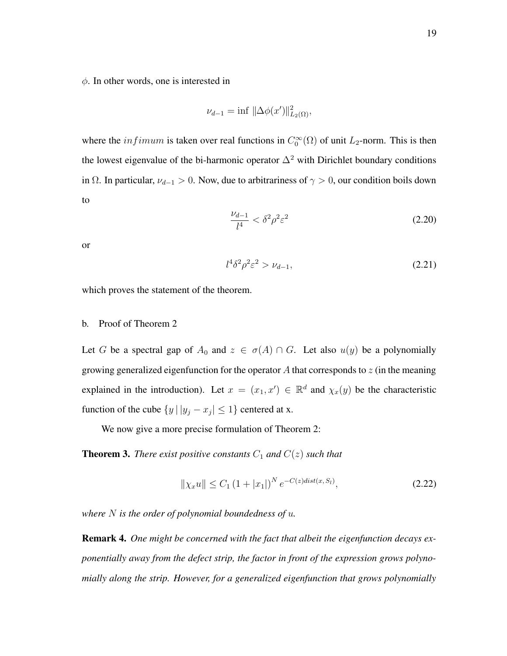$$
\nu_{d-1} = \inf \| \Delta \phi(x') \|_{L_2(\Omega)}^2,
$$

where the *infimum* is taken over real functions in  $C_0^{\infty}(\Omega)$  of unit  $L_2$ -norm. This is then the lowest eigenvalue of the bi-harmonic operator  $\Delta^2$  with Dirichlet boundary conditions in  $\Omega$ . In particular,  $\nu_{d-1} > 0$ . Now, due to arbitrariness of  $\gamma > 0$ , our condition boils down to

$$
\frac{\nu_{d-1}}{l^4} < \delta^2 \rho^2 \varepsilon^2 \tag{2.20}
$$

or

$$
l^4\delta^2\rho^2\varepsilon^2 > \nu_{d-1},\tag{2.21}
$$

which proves the statement of the theorem.

#### b. Proof of Theorem 2

Let G be a spectral gap of  $A_0$  and  $z \in \sigma(A) \cap G$ . Let also  $u(y)$  be a polynomially growing generalized eigenfunction for the operator  $A$  that corresponds to  $z$  (in the meaning explained in the introduction). Let  $x = (x_1, x') \in \mathbb{R}^d$  and  $\chi_x(y)$  be the characteristic function of the cube  $\{y \mid |y_j - x_j| \leq 1\}$  centered at x.

We now give a more precise formulation of Theorem 2:

**Theorem 3.** *There exist positive constants*  $C_1$  *and*  $C(z)$  *such that* 

$$
||\chi_x u|| \le C_1 \left(1 + |x_1|\right)^N e^{-C(z)dist(x, S_l)},\tag{2.22}
$$

*where* N *is the order of polynomial boundedness of* u*.*

**Remark 4.** *One might be concerned with the fact that albeit the eigenfunction decays exponentially away from the defect strip, the factor in front of the expression grows polynomially along the strip. However, for a generalized eigenfunction that grows polynomially*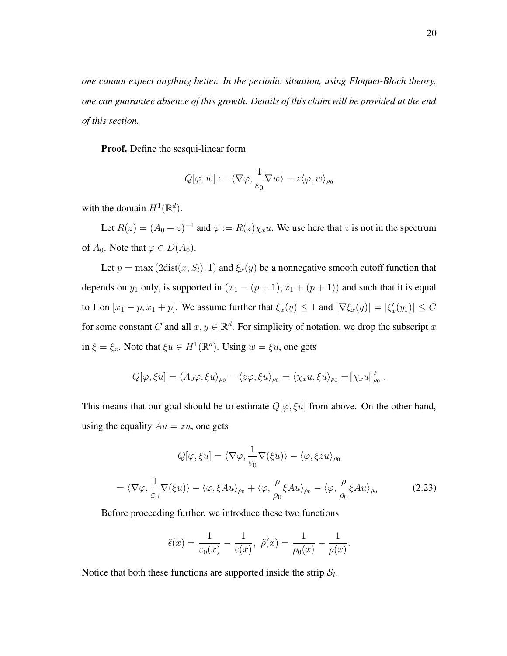*one cannot expect anything better. In the periodic situation, using Floquet-Bloch theory, one can guarantee absence of this growth. Details of this claim will be provided at the end of this section.*

**Proof.** Define the sesqui-linear form

$$
Q[\varphi, w] := \langle \nabla \varphi, \frac{1}{\varepsilon_0} \nabla w \rangle - z \langle \varphi, w \rangle_{\rho_0}
$$

with the domain  $H^1(\mathbb{R}^d)$ .

Let  $R(z) = (A_0 - z)^{-1}$  and  $\varphi := R(z)\chi_x u$ . We use here that z is not in the spectrum of  $A_0$ . Note that  $\varphi \in D(A_0)$ .

Let  $p = \max(2\text{dist}(x, S_i), 1)$  and  $\xi_x(y)$  be a nonnegative smooth cutoff function that depends on  $y_1$  only, is supported in  $(x_1 - (p + 1), x_1 + (p + 1))$  and such that it is equal to 1 on  $[x_1 - p, x_1 + p]$ . We assume further that  $\xi_x(y) \le 1$  and  $|\nabla \xi_x(y)| = |\xi'_x(y_1)| \le C$ for some constant C and all  $x, y \in \mathbb{R}^d$ . For simplicity of notation, we drop the subscript x in  $\xi = \xi_x$ . Note that  $\xi u \in H^1(\mathbb{R}^d)$ . Using  $w = \xi u$ , one gets

$$
Q[\varphi, \xi u] = \langle A_0 \varphi, \xi u \rangle_{\rho_0} - \langle z \varphi, \xi u \rangle_{\rho_0} = \langle \chi_x u, \xi u \rangle_{\rho_0} = ||\chi_x u||_{\rho_0}^2.
$$

This means that our goal should be to estimate  $Q[\varphi, \xi u]$  from above. On the other hand, using the equality  $Au = zu$ , one gets

$$
Q[\varphi, \xi u] = \langle \nabla \varphi, \frac{1}{\varepsilon_0} \nabla(\xi u) \rangle - \langle \varphi, \xi zu \rangle_{\rho_0}
$$

$$
= \langle \nabla \varphi, \frac{1}{\varepsilon_0} \nabla(\xi u) \rangle - \langle \varphi, \xi Au \rangle_{\rho_0} + \langle \varphi, \frac{\rho}{\rho_0} \xi Au \rangle_{\rho_0} - \langle \varphi, \frac{\rho}{\rho_0} \xi Au \rangle_{\rho_0}
$$
(2.23)

.

Before proceeding further, we introduce these two functions

$$
\tilde{\epsilon}(x) = \frac{1}{\varepsilon_0(x)} - \frac{1}{\varepsilon(x)}, \ \tilde{\rho}(x) = \frac{1}{\rho_0(x)} - \frac{1}{\rho(x)}
$$

Notice that both these functions are supported inside the strip  $S_l$ .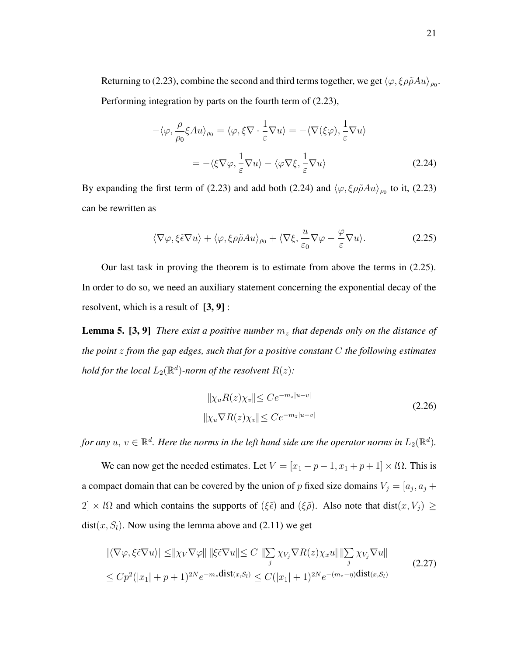Returning to (2.23), combine the second and third terms together, we get  $\langle \varphi, \xi \rho \tilde{\rho} A u \rangle_{\rho_0}$ . Performing integration by parts on the fourth term of (2.23),

$$
-\langle \varphi, \frac{\rho}{\rho_0} \xi A u \rangle_{\rho_0} = \langle \varphi, \xi \nabla \cdot \frac{1}{\varepsilon} \nabla u \rangle = -\langle \nabla(\xi \varphi), \frac{1}{\varepsilon} \nabla u \rangle
$$
  
=  $-\langle \xi \nabla \varphi, \frac{1}{\varepsilon} \nabla u \rangle - \langle \varphi \nabla \xi, \frac{1}{\varepsilon} \nabla u \rangle$  (2.24)

By expanding the first term of (2.23) and add both (2.24) and  $\langle \varphi, \xi \rho \tilde{\rho} A u \rangle_{\rho_0}$  to it, (2.23) can be rewritten as

$$
\langle \nabla \varphi, \xi \tilde{\epsilon} \nabla u \rangle + \langle \varphi, \xi \rho \tilde{\rho} A u \rangle_{\rho_0} + \langle \nabla \xi, \frac{u}{\varepsilon_0} \nabla \varphi - \frac{\varphi}{\varepsilon} \nabla u \rangle. \tag{2.25}
$$

Our last task in proving the theorem is to estimate from above the terms in (2.25). In order to do so, we need an auxiliary statement concerning the exponential decay of the resolvent, which is a result of **[3, 9]** :

**Lemma 5.** [3, 9] *There exist a positive number*  $m_z$  *that depends only on the distance of the point* z *from the gap edges, such that for a positive constant* C *the following estimates hold for the local*  $L_2(\mathbb{R}^d)$ -norm of the resolvent  $R(z)$ :

$$
||\chi_u R(z)\chi_v|| \leq Ce^{-m_z|u-v|}
$$
  

$$
||\chi_u \nabla R(z)\chi_v|| \leq Ce^{-m_z|u-v|}
$$
 (2.26)

for any  $u, v \in \mathbb{R}^d$ . Here the norms in the left hand side are the operator norms in  $L_2(\mathbb{R}^d)$ .

We can now get the needed estimates. Let  $V = [x_1 - p - 1, x_1 + p + 1] \times l\Omega$ . This is a compact domain that can be covered by the union of p fixed size domains  $V_j = [a_j, a_j +$ 2] × lΩ and which contains the supports of ( $\xi \tilde{\epsilon}$ ) and ( $\xi \tilde{\rho}$ ). Also note that dist(x, V<sub>j</sub>) ≥  $dist(x, S)$ . Now using the lemma above and (2.11) we get

$$
\left| \langle \nabla \varphi, \xi \tilde{\epsilon} \nabla u \rangle \right| \leq \left\| \chi_V \nabla \varphi \right\| \|\xi \tilde{\epsilon} \nabla u\| \leq C \|\sum_j \chi_{V_j} \nabla R(z) \chi_x u\| \|\sum_j \chi_{V_j} \nabla u\|
$$
  
\n
$$
\leq C p^2 (|x_1| + p + 1)^{2N} e^{-m_z \text{dist}(x, \mathcal{S}_l)} \leq C (|x_1| + 1)^{2N} e^{-(m_z - \eta) \text{dist}(x, \mathcal{S}_l)}
$$
\n(2.27)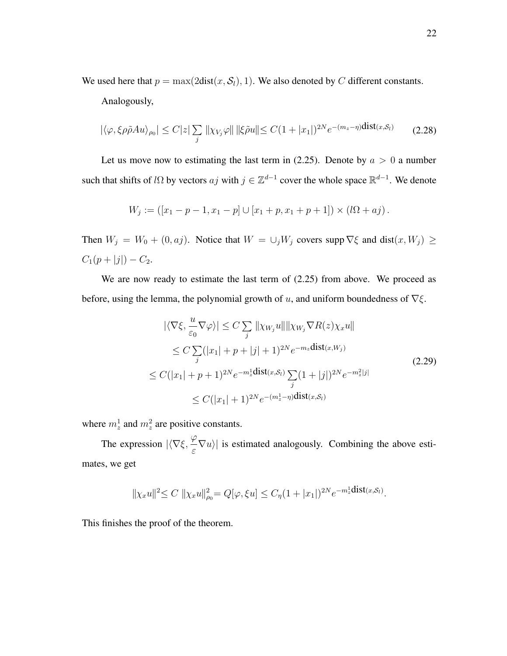We used here that  $p = \max(2\text{dist}(x, \mathcal{S}_l), 1)$ . We also denoted by C different constants. Analogously,

$$
|\langle \varphi, \xi \rho \tilde{\rho} A u \rangle_{\rho_0}| \le C|z| \sum_j \|\chi_{V_j} \varphi\| \|\xi \tilde{\rho} u\| \le C(1+|x_1|)^{2N} e^{-(m_z-\eta) \text{dist}(x, \mathcal{S}_l)} \tag{2.28}
$$

Let us move now to estimating the last term in (2.25). Denote by  $a > 0$  a number such that shifts of lΩ by vectors  $aj$  with  $j \in \mathbb{Z}^{d-1}$  cover the whole space  $\mathbb{R}^{d-1}$ . We denote

$$
W_j := ([x_1 - p - 1, x_1 - p] \cup [x_1 + p, x_1 + p + 1]) \times (l\Omega + aj).
$$

Then  $W_j = W_0 + (0, a_j)$ . Notice that  $W = \bigcup_j W_j$  covers supp  $\nabla \xi$  and  $dist(x, W_j) \ge$  $C_1(p + |j|) - C_2.$ 

We are now ready to estimate the last term of  $(2.25)$  from above. We proceed as before, using the lemma, the polynomial growth of u, and uniform boundedness of  $\nabla \xi$ .

$$
|\langle \nabla \xi, \frac{u}{\varepsilon_0} \nabla \varphi \rangle| \le C \sum_j ||\chi_{W_j} u|| ||\chi_{W_j} \nabla R(z) \chi_x u||
$$
  
\n
$$
\le C \sum_j (|x_1| + p + |j| + 1)^{2N} e^{-m_z \text{dist}(x, W_j)}
$$
  
\n
$$
\le C (|x_1| + p + 1)^{2N} e^{-m_z^1 \text{dist}(x, S_l)} \sum_j (1 + |j|)^{2N} e^{-m_z^2 |j|}
$$
  
\n
$$
\le C (|x_1| + 1)^{2N} e^{-(m_z^1 - \eta) \text{dist}(x, S_l)}
$$
\n(2.29)

where  $m_z^1$  and  $m_z^2$  are positive constants.

The expression  $|\langle \nabla \xi, \frac{\varphi}{\varepsilon} \rangle$  $\frac{\partial \varphi}{\partial \varepsilon} \nabla u$  is estimated analogously. Combining the above estimates, we get

$$
\|\chi_x u\|^2 \le C \|\chi_x u\|^2_{\rho_0} = Q[\varphi, \xi u] \le C_\eta (1+|x_1|)^{2N} e^{-m_z^1 \text{dist}(x, \mathcal{S}_l)}.
$$

This finishes the proof of the theorem.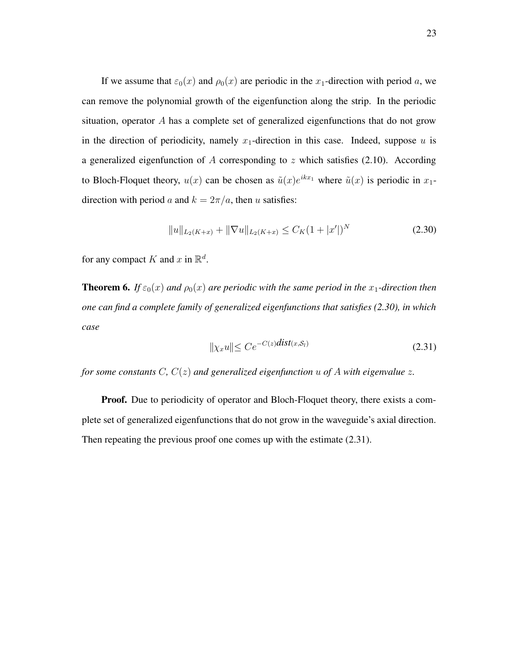If we assume that  $\varepsilon_0(x)$  and  $\rho_0(x)$  are periodic in the  $x_1$ -direction with period a, we can remove the polynomial growth of the eigenfunction along the strip. In the periodic situation, operator A has a complete set of generalized eigenfunctions that do not grow in the direction of periodicity, namely  $x_1$ -direction in this case. Indeed, suppose u is a generalized eigenfunction of  $A$  corresponding to  $z$  which satisfies (2.10). According to Bloch-Floquet theory,  $u(x)$  can be chosen as  $\tilde{u}(x)e^{ikx_1}$  where  $\tilde{u}(x)$  is periodic in  $x_1$ direction with period a and  $k = 2\pi/a$ , then u satisfies:

$$
||u||_{L_2(K+x)} + ||\nabla u||_{L_2(K+x)} \le C_K (1+|x'|)^N
$$
\n(2.30)

for any compact K and x in  $\mathbb{R}^d$ .

**Theorem 6.** *If*  $\varepsilon_0(x)$  *and*  $\rho_0(x)$  *are periodic with the same period in the*  $x_1$ *-direction then one can find a complete family of generalized eigenfunctions that satisfies (2.30), in which case*

$$
||\chi_x u|| \leq Ce^{-C(z)} \text{dist}(x, S_t) \tag{2.31}
$$

*for some constants* C*,* C(z) *and generalized eigenfunction* u *of* A *with eigenvalue* z*.*

**Proof.** Due to periodicity of operator and Bloch-Floquet theory, there exists a complete set of generalized eigenfunctions that do not grow in the waveguide's axial direction. Then repeating the previous proof one comes up with the estimate (2.31).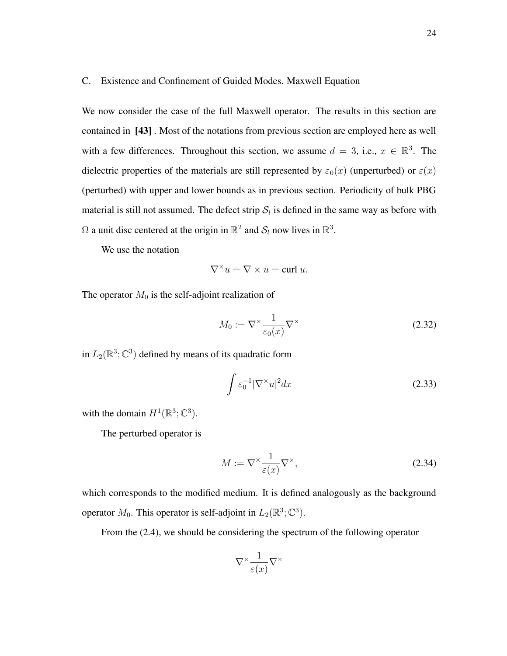#### C. Existence and Confinement of Guided Modes. Maxwell Equation

We now consider the case of the full Maxwell operator. The results in this section are contained in **[43]** . Most of the notations from previous section are employed here as well with a few differences. Throughout this section, we assume  $d = 3$ , i.e.,  $x \in \mathbb{R}^3$ . The dielectric properties of the materials are still represented by  $\varepsilon_0(x)$  (unperturbed) or  $\varepsilon(x)$ (perturbed) with upper and lower bounds as in previous section. Periodicity of bulk PBG material is still not assumed. The defect strip  $S_l$  is defined in the same way as before with  $\Omega$  a unit disc centered at the origin in  $\mathbb{R}^2$  and  $\mathcal{S}_l$  now lives in  $\mathbb{R}^3$ .

We use the notation

$$
\nabla^\times u = \nabla \times u = \text{curl } u.
$$

The operator  $M_0$  is the self-adjoint realization of

$$
M_0 := \nabla^\times \frac{1}{\varepsilon_0(x)} \nabla^\times \tag{2.32}
$$

in  $L_2(\mathbb{R}^3; \mathbb{C}^3)$  defined by means of its quadratic form

$$
\int \varepsilon_0^{-1} |\nabla^\times u|^2 dx \tag{2.33}
$$

with the domain  $H^1(\mathbb{R}^3; \mathbb{C}^3)$ .

The perturbed operator is

$$
M := \nabla^{\times} \frac{1}{\varepsilon(x)} \nabla^{\times},\tag{2.34}
$$

which corresponds to the modified medium. It is defined analogously as the background operator  $M_0$ . This operator is self-adjoint in  $L_2(\mathbb{R}^3; \mathbb{C}^3)$ .

From the (2.4), we should be considering the spectrum of the following operator

$$
\nabla^{\times} \frac{1}{\varepsilon(x)} \nabla^{\times}
$$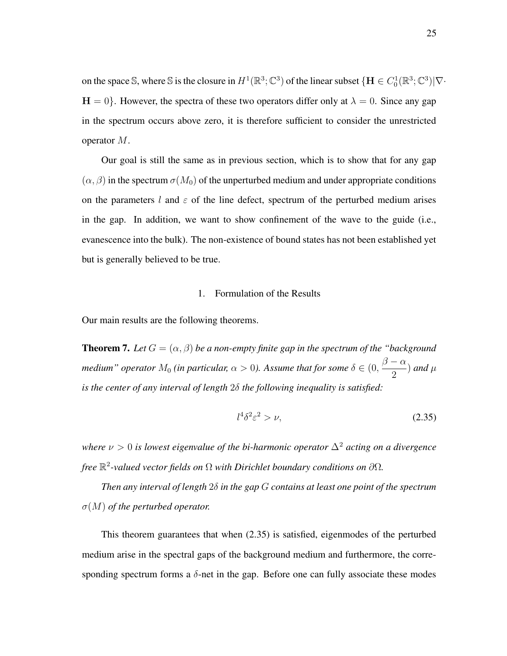on the space S, where S is the closure in  $H^1(\mathbb{R}^3; \mathbb{C}^3)$  of the linear subset  $\{ \mathbf{H} \in C^1_0(\mathbb{R}^3; \mathbb{C}^3) | \nabla \cdot$  $H = 0$ . However, the spectra of these two operators differ only at  $\lambda = 0$ . Since any gap in the spectrum occurs above zero, it is therefore sufficient to consider the unrestricted operator M.

Our goal is still the same as in previous section, which is to show that for any gap  $(\alpha, \beta)$  in the spectrum  $\sigma(M_0)$  of the unperturbed medium and under appropriate conditions on the parameters l and  $\varepsilon$  of the line defect, spectrum of the perturbed medium arises in the gap. In addition, we want to show confinement of the wave to the guide (i.e., evanescence into the bulk). The non-existence of bound states has not been established yet but is generally believed to be true.

#### 1. Formulation of the Results

Our main results are the following theorems.

**Theorem 7.** *Let*  $G = (\alpha, \beta)$  *be a non-empty finite gap in the spectrum of the "background*" *medium" operator*  $M_0$  *(in particular,*  $\alpha > 0$ ). Assume that for some  $\delta \in (0, \frac{\beta - \alpha}{2})$ 2  $)$  and  $\mu$ *is the center of any interval of length* 2δ *the following inequality is satisfied:*

$$
l^4 \delta^2 \varepsilon^2 > \nu,\tag{2.35}
$$

*where*  $\nu > 0$  *is lowest eigenvalue of the bi-harmonic operator*  $\Delta^2$  *acting on a divergence free* R 2 *-valued vector fields on* Ω *with Dirichlet boundary conditions on* ∂Ω*.*

*Then any interval of length* 2δ *in the gap* G *contains at least one point of the spectrum*  $\sigma(M)$  *of the perturbed operator.* 

This theorem guarantees that when (2.35) is satisfied, eigenmodes of the perturbed medium arise in the spectral gaps of the background medium and furthermore, the corresponding spectrum forms a  $\delta$ -net in the gap. Before one can fully associate these modes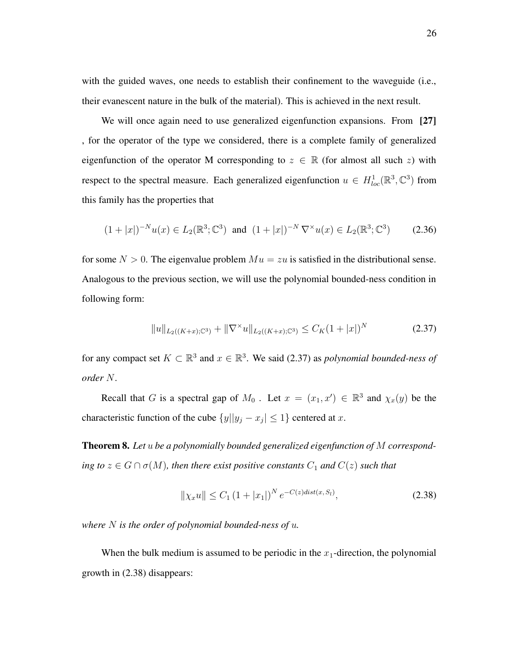with the guided waves, one needs to establish their confinement to the waveguide (i.e., their evanescent nature in the bulk of the material). This is achieved in the next result.

We will once again need to use generalized eigenfunction expansions. From **[27]** , for the operator of the type we considered, there is a complete family of generalized eigenfunction of the operator M corresponding to  $z \in \mathbb{R}$  (for almost all such z) with respect to the spectral measure. Each generalized eigenfunction  $u \in H_{loc}^1(\mathbb{R}^3, \mathbb{C}^3)$  from this family has the properties that

$$
(1+|x|)^{-N}u(x) \in L_2(\mathbb{R}^3; \mathbb{C}^3) \text{ and } (1+|x|)^{-N} \nabla^{\times} u(x) \in L_2(\mathbb{R}^3; \mathbb{C}^3) \tag{2.36}
$$

for some  $N > 0$ . The eigenvalue problem  $Mu = zu$  is satisfied in the distributional sense. Analogous to the previous section, we will use the polynomial bounded-ness condition in following form:

$$
||u||_{L_2((K+x);\mathbb{C}^3)} + ||\nabla^\times u||_{L_2((K+x);\mathbb{C}^3)} \le C_K(1+|x|)^N
$$
\n(2.37)

for any compact set  $K \subset \mathbb{R}^3$  and  $x \in \mathbb{R}^3$ . We said (2.37) as *polynomial bounded-ness of order* N.

Recall that G is a spectral gap of  $M_0$ . Let  $x = (x_1, x') \in \mathbb{R}^3$  and  $\chi_x(y)$  be the characteristic function of the cube  $\{y||y_j - x_j| \leq 1\}$  centered at x.

**Theorem 8.** *Let* u *be a polynomially bounded generalized eigenfunction of* M *corresponding to*  $z \in G \cap \sigma(M)$ *, then there exist positive constants*  $C_1$  *and*  $C(z)$  *such that* 

$$
\|\chi_x u\| \le C_1 \left(1 + |x_1|\right)^N e^{-C(z)dist(x, S_l)},\tag{2.38}
$$

*where* N *is the order of polynomial bounded-ness of* u*.*

When the bulk medium is assumed to be periodic in the  $x_1$ -direction, the polynomial growth in (2.38) disappears: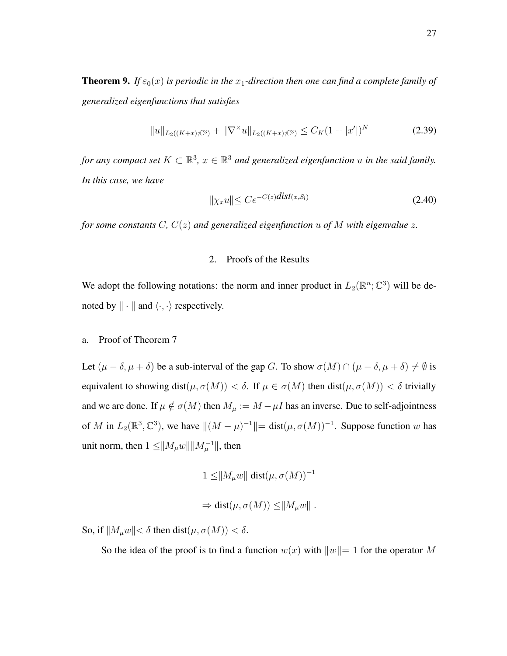$$
||u||_{L_2((K+x);{\mathbb{C}}^3)} + ||\nabla^\times u||_{L_2((K+x);{\mathbb{C}}^3)} \leq C_K (1+|x'|)^N \tag{2.39}
$$

*for any compact set*  $K \subset \mathbb{R}^3$ ,  $x \in \mathbb{R}^3$  *and generalized eigenfunction*  $u$  *in the said family. In this case, we have*

$$
\|\chi_x u\| \le C e^{-C(z)} \text{dist}(x, \mathcal{S}_l) \tag{2.40}
$$

*for some constants* C*,* C(z) *and generalized eigenfunction* u *of* M *with eigenvalue* z*.*

## 2. Proofs of the Results

We adopt the following notations: the norm and inner product in  $L_2(\mathbb{R}^n; \mathbb{C}^3)$  will be denoted by  $\|\cdot\|$  and  $\langle \cdot, \cdot \rangle$  respectively.

#### a. Proof of Theorem 7

Let  $(\mu - \delta, \mu + \delta)$  be a sub-interval of the gap G. To show  $\sigma(M) \cap (\mu - \delta, \mu + \delta) \neq \emptyset$  is equivalent to showing dist $(\mu, \sigma(M)) < \delta$ . If  $\mu \in \sigma(M)$  then dist $(\mu, \sigma(M)) < \delta$  trivially and we are done. If  $\mu \notin \sigma(M)$  then  $M_{\mu} := M - \mu I$  has an inverse. Due to self-adjointness of M in  $L_2(\mathbb{R}^3, \mathbb{C}^3)$ , we have  $||(M - \mu)^{-1}|| = \text{dist}(\mu, \sigma(M))^{-1}$ . Suppose function w has unit norm, then  $1 \leq ||M_{\mu}w|| ||M_{\mu}^{-1}||$ , then

$$
1 \leq ||M_{\mu}w|| \operatorname{dist}(\mu, \sigma(M))^{-1}
$$
  

$$
\Rightarrow \operatorname{dist}(\mu, \sigma(M)) \leq ||M_{\mu}w||.
$$

So, if  $||M_{\mu}w|| < \delta$  then dist $(\mu, \sigma(M)) < \delta$ .

So the idea of the proof is to find a function  $w(x)$  with  $||w||= 1$  for the operator M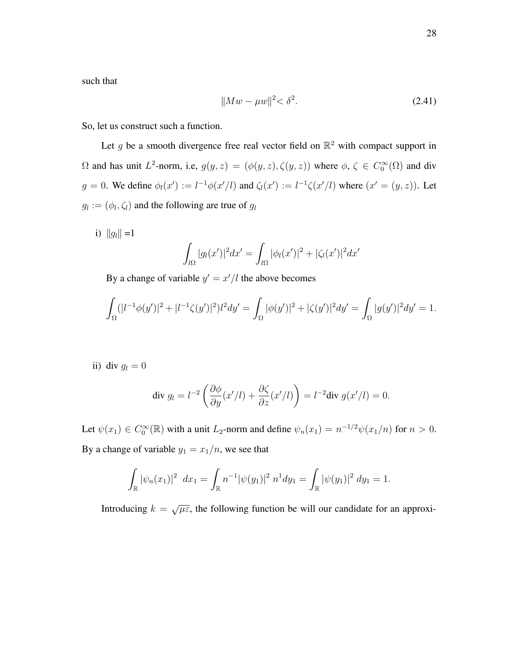such that

$$
||Mw - \mu w||^2 < \delta^2.
$$
 (2.41)

So, let us construct such a function.

Let g be a smooth divergence free real vector field on  $\mathbb{R}^2$  with compact support in  $\Omega$  and has unit  $L^2$ -norm, i.e,  $g(y, z) = (\phi(y, z), \zeta(y, z))$  where  $\phi, \zeta \in C_0^{\infty}(\Omega)$  and div  $g = 0$ . We define  $\phi_l(x') := l^{-1}\phi(x'/l)$  and  $\zeta_l(x') := l^{-1}\zeta(x'/l)$  where  $(x' = (y, z))$ . Let  $g_l := (\phi_l, \zeta_l)$  and the following are true of  $g_l$ 

i)  $||g_l|| = 1$ 

$$
\int_{l\Omega} |g_l(x')|^2 dx' = \int_{l\Omega} |\phi_l(x')|^2 + |\zeta_l(x')|^2 dx'
$$

By a change of variable  $y' = x'/l$  the above becomes

$$
\int_{\Omega} (|l^{-1}\phi(y')|^2 + |l^{-1}\zeta(y')|^2)l^2 dy' = \int_{\Omega} |\phi(y')|^2 + |\zeta(y')|^2 dy' = \int_{\Omega} |g(y')|^2 dy' = 1.
$$

ii) div  $g_l = 0$ 

div 
$$
g_l = l^{-2} \left( \frac{\partial \phi}{\partial y} (x'/l) + \frac{\partial \zeta}{\partial z} (x'/l) \right) = l^{-2} \text{div } g(x'/l) = 0.
$$

Let  $\psi(x_1) \in C_0^{\infty}(\mathbb{R})$  with a unit  $L_2$ -norm and define  $\psi_n(x_1) = n^{-1/2} \psi(x_1/n)$  for  $n > 0$ . By a change of variable  $y_1 = x_1/n$ , we see that

$$
\int_{\mathbb{R}} |\psi_n(x_1)|^2 \ dx_1 = \int_{\mathbb{R}} n^{-1} |\psi(y_1)|^2 \ n^1 dy_1 = \int_{\mathbb{R}} |\psi(y_1)|^2 \ dy_1 = 1.
$$

Introducing  $k = \sqrt{\mu \varepsilon}$ , the following function be will our candidate for an approxi-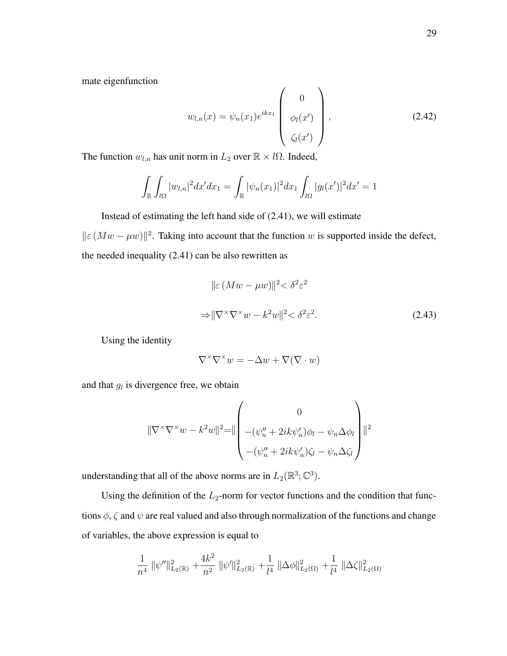mate eigenfunction

$$
w_{l,n}(x) = \psi_n(x_1) e^{ikx_1} \begin{pmatrix} 0 \\ \phi_l(x') \\ \zeta_l(x') \end{pmatrix}, \qquad (2.42)
$$

The function  $w_{l,n}$  has unit norm in  $L_2$  over  $\mathbb{R} \times l\Omega$ . Indeed,

$$
\int_{\mathbb{R}} \int_{l\Omega} |w_{l,n}|^2 dx' dx_1 = \int_{\mathbb{R}} |\psi_n(x_1)|^2 dx_1 \int_{l\Omega} |g_l(x')|^2 dx' = 1
$$

Instead of estimating the left hand side of (2.41), we will estimate

 $\|\varepsilon (Mw - \mu w)\|^2$ . Taking into account that the function w is supported inside the defect, the needed inequality (2.41) can be also rewritten as

$$
\|\varepsilon (Mw - \mu w)\|^2 < \delta^2 \varepsilon^2
$$
  

$$
\Rightarrow \|\nabla^\times \nabla^\times w - k^2 w\|^2 < \delta^2 \varepsilon^2.
$$
 (2.43)

Using the identity

$$
\nabla^{\times} \nabla^{\times} w = -\Delta w + \nabla (\nabla \cdot w)
$$

and that  $g_l$  is divergence free, we obtain

$$
\|\nabla^{\times}\nabla^{\times}w - k^2w\|^2 = \|\begin{pmatrix} 0 \\ -(\psi''_n + 2ik\psi'_n)\phi_l - \psi_n\Delta\phi_l \\ -(\psi''_n + 2ik\psi'_n)\zeta_l - \psi_n\Delta\zeta_l \end{pmatrix}\|^2
$$

understanding that all of the above norms are in  $L_2(\mathbb{R}^3; \mathbb{C}^3)$ .

Using the definition of the  $L_2$ -norm for vector functions and the condition that functions  $\phi$ ,  $\zeta$  and  $\psi$  are real valued and also through normalization of the functions and change of variables, the above expression is equal to

$$
\frac{1}{n^4} \ \|\psi''\|_{L_2(\mathbb{R})}^2 + \frac{4k^2}{n^2} \ \|\psi'\|_{L_2(\mathbb{R})}^2 + \frac{1}{l^4} \ \|\Delta\phi\|_{L_2(\Omega)}^2 + \frac{1}{l^4} \ \|\Delta\zeta\|_{L_2(\Omega)}^2
$$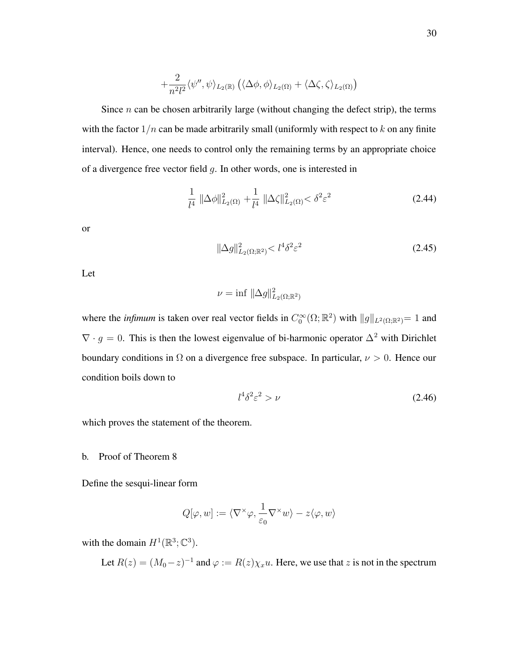$$
+\frac{2}{n^2l^2}\langle \psi'',\psi\rangle_{L_2(\mathbb{R})}\left(\langle \Delta\phi,\phi\rangle_{L_2(\Omega)}+\langle \Delta\zeta,\zeta\rangle_{L_2(\Omega)}\right)
$$

Since  $n$  can be chosen arbitrarily large (without changing the defect strip), the terms with the factor  $1/n$  can be made arbitrarily small (uniformly with respect to k on any finite interval). Hence, one needs to control only the remaining terms by an appropriate choice of a divergence free vector field  $q$ . In other words, one is interested in

$$
\frac{1}{l^4} \|\Delta \phi\|_{L_2(\Omega)}^2 + \frac{1}{l^4} \|\Delta \zeta\|_{L_2(\Omega)}^2 < \delta^2 \varepsilon^2 \tag{2.44}
$$

or

$$
\|\Delta g\|_{L_2(\Omega;\mathbb{R}^2)}^2 < l^4 \delta^2 \varepsilon^2 \tag{2.45}
$$

Let

$$
\nu = \inf \| \Delta g \|_{L_2(\Omega;\mathbb{R}^2)}^2
$$

where the *infimum* is taken over real vector fields in  $C_0^{\infty}(\Omega;\mathbb{R}^2)$  with  $||g||_{L^2(\Omega;\mathbb{R}^2)} = 1$  and  $\nabla \cdot g = 0$ . This is then the lowest eigenvalue of bi-harmonic operator  $\Delta^2$  with Dirichlet boundary conditions in  $\Omega$  on a divergence free subspace. In particular,  $\nu > 0$ . Hence our condition boils down to

$$
l^4 \delta^2 \varepsilon^2 > \nu \tag{2.46}
$$

which proves the statement of the theorem.

### b. Proof of Theorem 8

Define the sesqui-linear form

$$
Q[\varphi,w]:=\langle \nabla^\times\varphi,\frac{1}{\varepsilon_0}\nabla^\times w\rangle-z\langle\varphi,w\rangle
$$

with the domain  $H^1(\mathbb{R}^3; \mathbb{C}^3)$ .

Let  $R(z) = (M_0 - z)^{-1}$  and  $\varphi := R(z)\chi_x u$ . Here, we use that z is not in the spectrum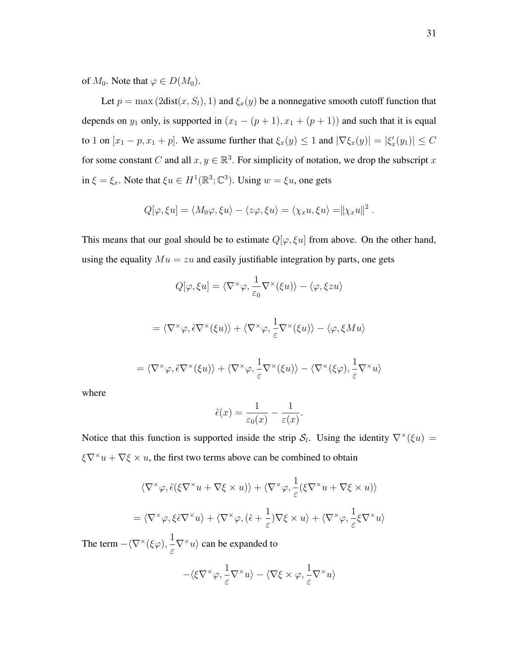of  $M_0$ . Note that  $\varphi \in D(M_0)$ .

Let  $p = \max(2\text{dist}(x, S_i), 1)$  and  $\xi_x(y)$  be a nonnegative smooth cutoff function that depends on  $y_1$  only, is supported in  $(x_1 - (p + 1), x_1 + (p + 1))$  and such that it is equal to 1 on  $[x_1 - p, x_1 + p]$ . We assume further that  $\xi_x(y) \le 1$  and  $|\nabla \xi_x(y)| = |\xi'_x(y_1)| \le C$ for some constant C and all  $x, y \in \mathbb{R}^3$ . For simplicity of notation, we drop the subscript x in  $\xi = \xi_x$ . Note that  $\xi u \in H^1(\mathbb{R}^3; \mathbb{C}^3)$ . Using  $w = \xi u$ , one gets

$$
Q[\varphi, \xi u] = \langle M_0 \varphi, \xi u \rangle - \langle z \varphi, \xi u \rangle = \langle \chi_x u, \xi u \rangle = ||\chi_x u||^2.
$$

This means that our goal should be to estimate  $Q[\varphi, \xi u]$  from above. On the other hand, using the equality  $Mu = zu$  and easily justifiable integration by parts, one gets

$$
Q[\varphi, \xi u] = \langle \nabla^{\times} \varphi, \frac{1}{\varepsilon_0} \nabla^{\times} (\xi u) \rangle - \langle \varphi, \xi zu \rangle
$$

$$
= \langle \nabla^{\times} \varphi, \tilde{\epsilon} \nabla^{\times} (\xi u) \rangle + \langle \nabla^{\times} \varphi, \frac{1}{\varepsilon} \nabla^{\times} (\xi u) \rangle - \langle \varphi, \xi Mu \rangle
$$

$$
= \langle \nabla^{\times} \varphi, \tilde{\epsilon} \nabla^{\times} (\xi u) \rangle + \langle \nabla^{\times} \varphi, \frac{1}{\varepsilon} \nabla^{\times} (\xi u) \rangle - \langle \nabla^{\times} (\xi \varphi), \frac{1}{\varepsilon} \nabla^{\times} u \rangle
$$

where

$$
\tilde{\epsilon}(x) = \frac{1}{\varepsilon_0(x)} - \frac{1}{\varepsilon(x)}.
$$

Notice that this function is supported inside the strip  $S_l$ . Using the identity  $\nabla^{\times}(\xi u) =$  $\xi \nabla^{\times} u + \nabla \xi \times u$ , the first two terms above can be combined to obtain

$$
\langle \nabla^{\times} \varphi, \tilde{\epsilon}(\xi \nabla^{\times} u + \nabla \xi \times u) \rangle + \langle \nabla^{\times} \varphi, \frac{1}{\varepsilon}(\xi \nabla^{\times} u + \nabla \xi \times u) \rangle
$$
  
=  $\langle \nabla^{\times} \varphi, \xi \tilde{\epsilon} \nabla^{\times} u \rangle + \langle \nabla^{\times} \varphi, (\tilde{\epsilon} + \frac{1}{\varepsilon}) \nabla \xi \times u \rangle + \langle \nabla^{\times} \varphi, \frac{1}{\varepsilon} \xi \nabla^{\times} u \rangle$ 

The term  $-\langle \nabla^\times(\xi\varphi),\frac{1}{\varepsilon}\rangle$  $-\frac{1}{\varepsilon}\nabla^{\times}u\rangle$  can be expanded to

$$
-\langle \xi \nabla^\times \varphi, \frac{1}{\varepsilon} \nabla^\times u \rangle - \langle \nabla \xi \times \varphi, \frac{1}{\varepsilon} \nabla^\times u \rangle
$$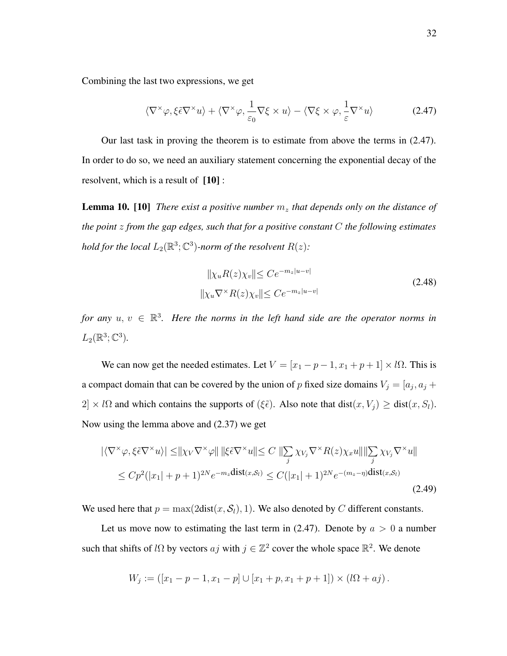Combining the last two expressions, we get

$$
\langle \nabla^{\times} \varphi, \xi \tilde{\epsilon} \nabla^{\times} u \rangle + \langle \nabla^{\times} \varphi, \frac{1}{\varepsilon_0} \nabla \xi \times u \rangle - \langle \nabla \xi \times \varphi, \frac{1}{\varepsilon} \nabla^{\times} u \rangle \tag{2.47}
$$

Our last task in proving the theorem is to estimate from above the terms in (2.47). In order to do so, we need an auxiliary statement concerning the exponential decay of the resolvent, which is a result of **[10]** :

**Lemma 10.** [10] *There exist a positive number*  $m_z$  *that depends only on the distance of the point* z *from the gap edges, such that for a positive constant* C *the following estimates hold* for the local  $L_2(\mathbb{R}^3; \mathbb{C}^3)$ -norm of the resolvent  $R(z)$ :

$$
||\chi_u R(z)\chi_v|| \leq Ce^{-m_z|u-v|}
$$
  

$$
||\chi_u \nabla^\times R(z)\chi_v|| \leq Ce^{-m_z|u-v|}
$$
 (2.48)

*for* any  $u, v \in \mathbb{R}^3$ . Here the norms in the left hand side are the operator norms in  $L_2(\mathbb{R}^3; \mathbb{C}^3)$ .

We can now get the needed estimates. Let  $V = [x_1 - p - 1, x_1 + p + 1] \times l\Omega$ . This is a compact domain that can be covered by the union of p fixed size domains  $V_j = [a_j, a_j +$  $2] \times l\Omega$  and which contains the supports of ( $\xi \tilde{\epsilon}$ ). Also note that  $dist(x, V_j) \geq dist(x, S_l)$ . Now using the lemma above and (2.37) we get

$$
\left| \langle \nabla^{\times} \varphi, \xi \tilde{\epsilon} \nabla^{\times} u \rangle \right| \leq \left\| \chi_{V} \nabla^{\times} \varphi \right\| \|\xi \tilde{\epsilon} \nabla^{\times} u\| \leq C \|\sum_{j} \chi_{V_{j}} \nabla^{\times} R(z) \chi_{x} u\| \|\sum_{j} \chi_{V_{j}} \nabla^{\times} u\|
$$
  
 
$$
\leq C p^{2} (|x_{1}| + p + 1)^{2N} e^{-m_{z} \textbf{dist}(x, \mathcal{S}_{l})} \leq C (|x_{1}| + 1)^{2N} e^{-(m_{z} - \eta) \textbf{dist}(x, \mathcal{S}_{l})}
$$
(2.49)

We used here that  $p = \max(2\text{dist}(x, \mathcal{S}_l), 1)$ . We also denoted by C different constants.

Let us move now to estimating the last term in (2.47). Denote by  $a > 0$  a number such that shifts of l $\Omega$  by vectors  $aj$  with  $j \in \mathbb{Z}^2$  cover the whole space  $\mathbb{R}^2$ . We denote

$$
W_j := ([x_1 - p - 1, x_1 - p] \cup [x_1 + p, x_1 + p + 1]) \times (l\Omega + aj).
$$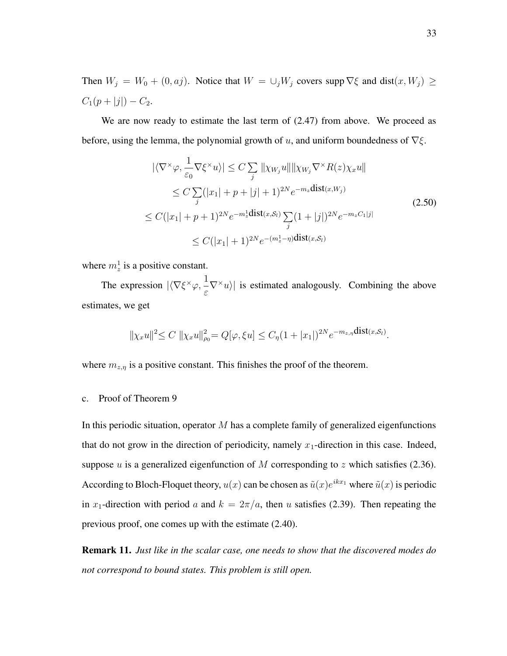Then  $W_j = W_0 + (0, aj)$ . Notice that  $W = \bigcup_j W_j$  covers supp  $\nabla \xi$  and  $dist(x, W_j) \ge$  $C_1(p + |j|) - C_2.$ 

We are now ready to estimate the last term of (2.47) from above. We proceed as before, using the lemma, the polynomial growth of u, and uniform boundedness of  $\nabla \xi$ .

$$
|\langle \nabla^{\times} \varphi, \frac{1}{\varepsilon_0} \nabla \xi^{\times} u \rangle| \le C \sum_{j} ||\chi_{W_j} u|| ||\chi_{W_j} \nabla^{\times} R(z) \chi_x u||
$$
  
\n
$$
\le C \sum_{j} (|x_1| + p + |j| + 1)^{2N} e^{-m_z \text{dist}(x, W_j)}
$$
  
\n
$$
\le C (|x_1| + p + 1)^{2N} e^{-m_z^1 \text{dist}(x, S_i)} \sum_{j} (1 + |j|)^{2N} e^{-m_z C_1 |j|}
$$
  
\n
$$
\le C (|x_1| + 1)^{2N} e^{-(m_z^1 - \eta) \text{dist}(x, S_i)}
$$
\n(2.50)

where  $m_z^1$  is a positive constant.

The expression  $|\langle \nabla \xi^{\times} \varphi, \eta \rangle|$ 1  $-\frac{1}{\varepsilon}\nabla^{\times}u\rangle$  is estimated analogously. Combining the above estimates, we get

$$
\|\chi_x u\|^2 \le C \|\chi_x u\|^2_{\rho 0} = Q[\varphi, \xi u] \le C_\eta (1+|x_1|)^{2N} e^{-m_{z,\eta}} \text{dist}(x, \mathcal{S}_l).
$$

where  $m_{z,\eta}$  is a positive constant. This finishes the proof of the theorem.

# c. Proof of Theorem 9

In this periodic situation, operator  $M$  has a complete family of generalized eigenfunctions that do not grow in the direction of periodicity, namely  $x_1$ -direction in this case. Indeed, suppose  $u$  is a generalized eigenfunction of  $M$  corresponding to  $z$  which satisfies (2.36). According to Bloch-Floquet theory,  $u(x)$  can be chosen as  $\tilde{u}(x)e^{ikx_1}$  where  $\tilde{u}(x)$  is periodic in  $x_1$ -direction with period a and  $k = 2\pi/a$ , then u satisfies (2.39). Then repeating the previous proof, one comes up with the estimate (2.40).

**Remark 11.** *Just like in the scalar case, one needs to show that the discovered modes do not correspond to bound states. This problem is still open.*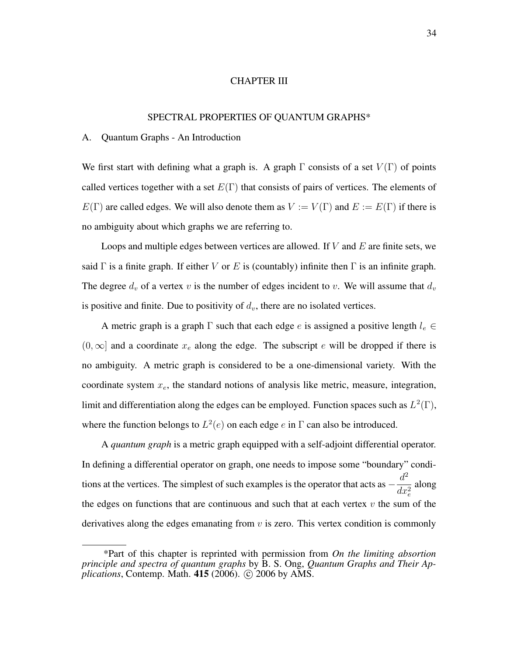### CHAPTER III

### SPECTRAL PROPERTIES OF QUANTUM GRAPHS\*

#### A. Quantum Graphs - An Introduction

We first start with defining what a graph is. A graph  $\Gamma$  consists of a set  $V(\Gamma)$  of points called vertices together with a set  $E(\Gamma)$  that consists of pairs of vertices. The elements of  $E(\Gamma)$  are called edges. We will also denote them as  $V := V(\Gamma)$  and  $E := E(\Gamma)$  if there is no ambiguity about which graphs we are referring to.

Loops and multiple edges between vertices are allowed. If  $V$  and  $E$  are finite sets, we said  $\Gamma$  is a finite graph. If either V or E is (countably) infinite then  $\Gamma$  is an infinite graph. The degree  $d_v$  of a vertex v is the number of edges incident to v. We will assume that  $d_v$ is positive and finite. Due to positivity of  $d<sub>v</sub>$ , there are no isolated vertices.

A metric graph is a graph  $\Gamma$  such that each edge e is assigned a positive length  $l_e \in \mathbb{R}$  $(0, \infty]$  and a coordinate  $x_e$  along the edge. The subscript e will be dropped if there is no ambiguity. A metric graph is considered to be a one-dimensional variety. With the coordinate system  $x_e$ , the standard notions of analysis like metric, measure, integration, limit and differentiation along the edges can be employed. Function spaces such as  $L^2(\Gamma)$ , where the function belongs to  $L^2(e)$  on each edge e in  $\Gamma$  can also be introduced.

A *quantum graph* is a metric graph equipped with a self-adjoint differential operator. In defining a differential operator on graph, one needs to impose some "boundary" conditions at the vertices. The simplest of such examples is the operator that acts as  $-\frac{d^2}{dx^2}$  $dx^2_e$ along the edges on functions that are continuous and such that at each vertex  $v$  the sum of the derivatives along the edges emanating from  $v$  is zero. This vertex condition is commonly

<sup>\*</sup>Part of this chapter is reprinted with permission from *On the limiting absortion principle and spectra of quantum graphs* by B. S. Ong, *Quantum Graphs and Their Applications*, Contemp. Math. 415 (2006). © 2006 by AMS.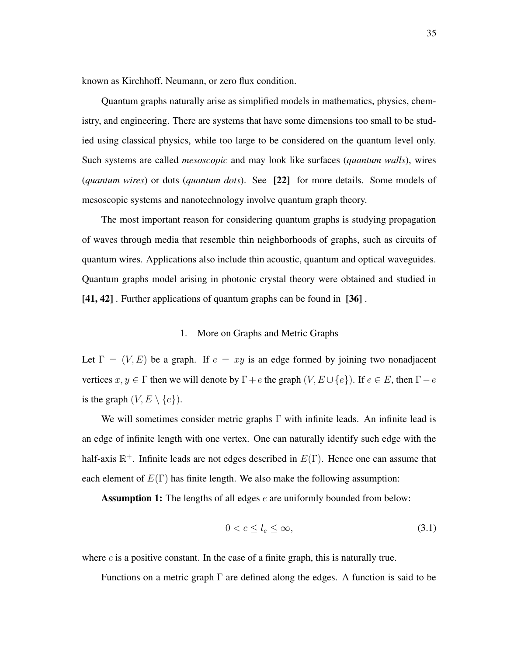known as Kirchhoff, Neumann, or zero flux condition.

Quantum graphs naturally arise as simplified models in mathematics, physics, chemistry, and engineering. There are systems that have some dimensions too small to be studied using classical physics, while too large to be considered on the quantum level only. Such systems are called *mesoscopic* and may look like surfaces (*quantum walls*), wires (*quantum wires*) or dots (*quantum dots*). See **[22]** for more details. Some models of mesoscopic systems and nanotechnology involve quantum graph theory.

The most important reason for considering quantum graphs is studying propagation of waves through media that resemble thin neighborhoods of graphs, such as circuits of quantum wires. Applications also include thin acoustic, quantum and optical waveguides. Quantum graphs model arising in photonic crystal theory were obtained and studied in **[41, 42]** . Further applications of quantum graphs can be found in **[36]** .

## 1. More on Graphs and Metric Graphs

Let  $\Gamma = (V, E)$  be a graph. If  $e = xy$  is an edge formed by joining two nonadjacent vertices  $x, y \in \Gamma$  then we will denote by  $\Gamma + e$  the graph  $(V, E \cup \{e\})$ . If  $e \in E$ , then  $\Gamma - e$ is the graph  $(V, E \setminus \{e\})$ .

We will sometimes consider metric graphs  $\Gamma$  with infinite leads. An infinite lead is an edge of infinite length with one vertex. One can naturally identify such edge with the half-axis  $\mathbb{R}^+$ . Infinite leads are not edges described in  $E(\Gamma)$ . Hence one can assume that each element of  $E(\Gamma)$  has finite length. We also make the following assumption:

**Assumption 1:** The lengths of all edges e are uniformly bounded from below:

$$
0 < c \le l_e \le \infty,\tag{3.1}
$$

where  $c$  is a positive constant. In the case of a finite graph, this is naturally true.

Functions on a metric graph  $\Gamma$  are defined along the edges. A function is said to be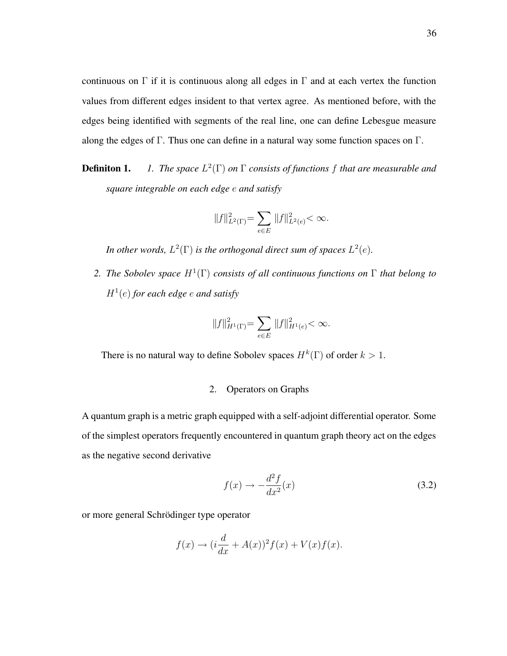continuous on  $\Gamma$  if it is continuous along all edges in  $\Gamma$  and at each vertex the function values from different edges insident to that vertex agree. As mentioned before, with the edges being identified with segments of the real line, one can define Lebesgue measure along the edges of  $\Gamma$ . Thus one can define in a natural way some function spaces on  $\Gamma$ .

**Definiton 1.** *1. The space* L 2 (Γ) *on* Γ *consists of functions* f *that are measurable and square integrable on each edge* e *and satisfy*

$$
||f||_{L^2(\Gamma)}^2 = \sum_{e \in E} ||f||_{L^2(e)}^2 < \infty.
$$

In other words,  $L^2(\Gamma)$  is the orthogonal direct sum of spaces  $L^2(e)$ .

*2. The Sobolev space* H<sup>1</sup> (Γ) *consists of all continuous functions on* Γ *that belong to* H<sup>1</sup> (e) *for each edge* e *and satisfy*

$$
||f||_{H^1(\Gamma)}^2 = \sum_{e \in E} ||f||_{H^1(e)}^2 < \infty.
$$

There is no natural way to define Sobolev spaces  $H^k(\Gamma)$  of order  $k > 1$ .

# 2. Operators on Graphs

A quantum graph is a metric graph equipped with a self-adjoint differential operator. Some of the simplest operators frequently encountered in quantum graph theory act on the edges as the negative second derivative

$$
f(x) \to -\frac{d^2 f}{dx^2}(x) \tag{3.2}
$$

or more general Schrödinger type operator

$$
f(x) \rightarrow (i\frac{d}{dx} + A(x))^2 f(x) + V(x)f(x).
$$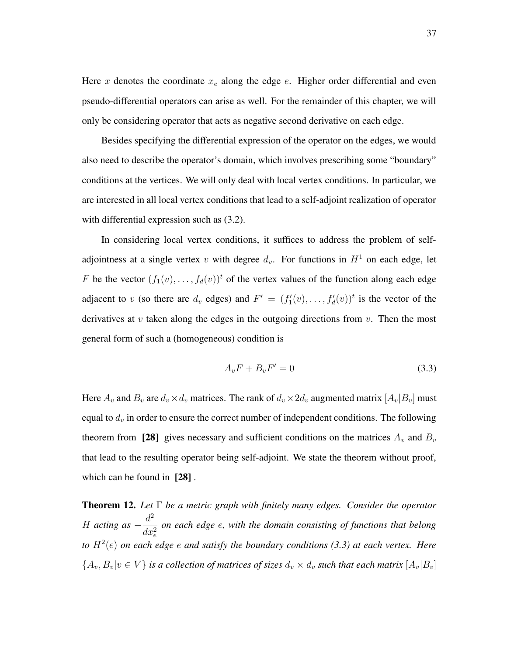Here x denotes the coordinate  $x_e$  along the edge e. Higher order differential and even pseudo-differential operators can arise as well. For the remainder of this chapter, we will only be considering operator that acts as negative second derivative on each edge.

Besides specifying the differential expression of the operator on the edges, we would also need to describe the operator's domain, which involves prescribing some "boundary" conditions at the vertices. We will only deal with local vertex conditions. In particular, we are interested in all local vertex conditions that lead to a self-adjoint realization of operator with differential expression such as  $(3.2)$ .

In considering local vertex conditions, it suffices to address the problem of selfadjointness at a single vertex v with degree  $d_v$ . For functions in  $H^1$  on each edge, let F be the vector  $(f_1(v), \ldots, f_d(v))^t$  of the vertex values of the function along each edge adjacent to v (so there are  $d_v$  edges) and  $F' = (f'_1(v), \ldots, f'_d(v))^t$  is the vector of the derivatives at  $v$  taken along the edges in the outgoing directions from  $v$ . Then the most general form of such a (homogeneous) condition is

$$
A_v F + B_v F' = 0 \tag{3.3}
$$

Here  $A_v$  and  $B_v$  are  $d_v \times d_v$  matrices. The rank of  $d_v \times 2d_v$  augmented matrix  $[A_v|B_v]$  must equal to  $d_v$  in order to ensure the correct number of independent conditions. The following theorem from [28] gives necessary and sufficient conditions on the matrices  $A_v$  and  $B_v$ that lead to the resulting operator being self-adjoint. We state the theorem without proof, which can be found in **[28]** .

**Theorem 12.** *Let* Γ *be a metric graph with finitely many edges. Consider the operator* H acting as  $-\frac{d^2}{dx^2}$  $dx_e^2$ *on each edge* e*, with the domain consisting of functions that belong to* H<sup>2</sup> (e) *on each edge* e *and satisfy the boundary conditions (3.3) at each vertex. Here*  ${A_v, B_v|v \in V}$  *is a collection of matrices of sizes*  $d_v \times d_v$  *such that each matrix*  $[A_v|B_v]$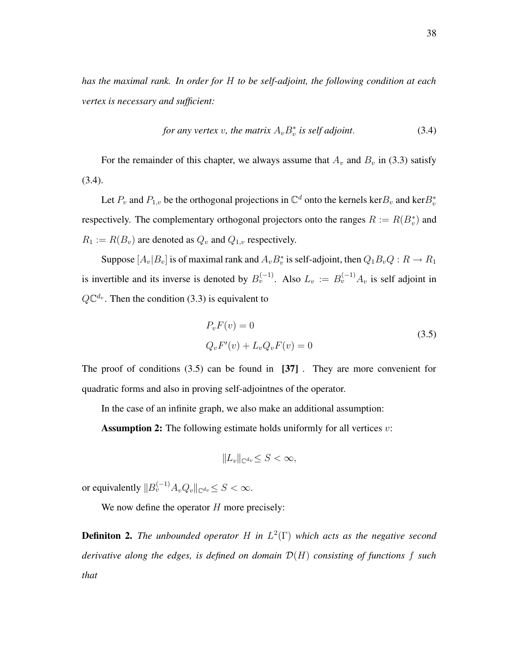*has the maximal rank. In order for* H *to be self-adjoint, the following condition at each vertex is necessary and sufficient:*

for any vertex v, the matrix 
$$
A_v B_v^*
$$
 is self adjoint. (3.4)

For the remainder of this chapter, we always assume that  $A_v$  and  $B_v$  in (3.3) satisfy (3.4).

Let  $P_v$  and  $P_{1,v}$  be the orthogonal projections in  $\mathbb{C}^d$  onto the kernels ker $B_v$  and ker $B_v^*$ respectively. The complementary orthogonal projectors onto the ranges  $R := R(B_v^*)$  and  $R_1 := R(B_v)$  are denoted as  $Q_v$  and  $Q_{1,v}$  respectively.

Suppose  $[A_v|B_v]$  is of maximal rank and  $A_vB_v^*$  is self-adjoint, then  $Q_1B_vQ: R \to R_1$ is invertible and its inverse is denoted by  $B_v^{(-1)}$ . Also  $L_v := B_v^{(-1)} A_v$  is self adjoint in  $Q\mathbb{C}^{d_v}$ . Then the condition (3.3) is equivalent to

$$
P_v F(v) = 0
$$
  
\n
$$
Q_v F'(v) + L_v Q_v F(v) = 0
$$
\n(3.5)

The proof of conditions (3.5) can be found in **[37]** . They are more convenient for quadratic forms and also in proving self-adjointnes of the operator.

In the case of an infinite graph, we also make an additional assumption:

**Assumption 2:** The following estimate holds uniformly for all vertices v:

$$
||L_v||_{\mathbb{C}^{d_v}} \leq S < \infty,
$$

or equivalently  $||B_v^{(-1)}A_vQ_v||_{\mathbb{C}^{d_v}} \leq S < \infty$ .

We now define the operator  $H$  more precisely:

**Definiton 2.** *The unbounded operator* H *in* L 2 (Γ) *which acts as the negative second derivative along the edges, is defined on domain* D(H) *consisting of functions* f *such that*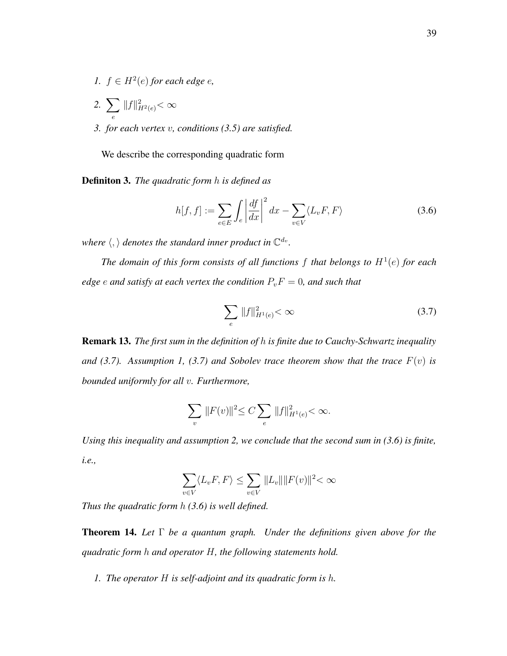- *1.*  $f \in H^2(e)$  for each edge  $e$ ,
- *2.* X e  $||f||_{H^2(e)}^2 < \infty$
- *3. for each vertex* v*, conditions (3.5) are satisfied.*

We describe the corresponding quadratic form

**Definiton 3.** *The quadratic form* h *is defined as*

$$
h[f, f] := \sum_{e \in E} \int_{e} \left| \frac{df}{dx} \right|^{2} dx - \sum_{v \in V} \langle L_{v} F, F \rangle \tag{3.6}
$$

where  $\langle , \rangle$  *denotes the standard inner product in*  $\mathbb{C}^{d_v}$ *.* 

*The domain of this form consists of all functions f that belongs to*  $H^1(e)$  *for each edge e and satisfy at each vertex the condition*  $P_vF = 0$ *, and such that* 

$$
\sum_{e} \|f\|_{H^1(e)}^2 < \infty \tag{3.7}
$$

**Remark 13.** *The first sum in the definition of* h *is finite due to Cauchy-Schwartz inequality and* (3.7). Assumption 1, (3.7) and Sobolev trace theorem show that the trace  $F(v)$  is *bounded uniformly for all* v*. Furthermore,*

$$
\sum_{v} ||F(v)||^2 \le C \sum_{e} ||f||^2_{H^1(e)} < \infty.
$$

*Using this inequality and assumption 2, we conclude that the second sum in (3.6) is finite, i.e.,*

$$
\sum_{v \in V} \langle L_v F, F \rangle \le \sum_{v \in V} ||L_v|| ||F(v)||^2 < \infty
$$

*Thus the quadratic form* h *(3.6) is well defined.*

**Theorem 14.** *Let* Γ *be a quantum graph. Under the definitions given above for the quadratic form* h *and operator* H*, the following statements hold.*

*1. The operator* H *is self-adjoint and its quadratic form is* h*.*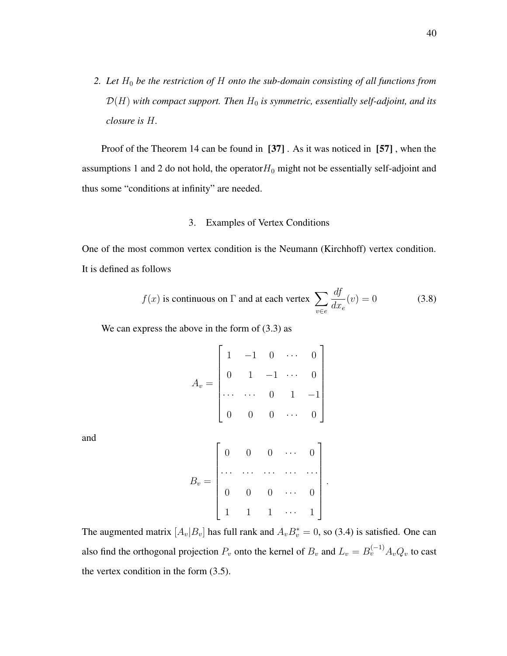*2. Let* H<sup>0</sup> *be the restriction of* H *onto the sub-domain consisting of all functions from*  $\mathcal{D}(H)$  with compact support. Then  $H_0$  is symmetric, essentially self-adjoint, and its *closure is* H*.*

Proof of the Theorem 14 can be found in **[37]** . As it was noticed in **[57]** , when the assumptions 1 and 2 do not hold, the operator  $H_0$  might not be essentially self-adjoint and thus some "conditions at infinity" are needed.

## 3. Examples of Vertex Conditions

One of the most common vertex condition is the Neumann (Kirchhoff) vertex condition. It is defined as follows

$$
f(x)
$$
 is continuous on  $\Gamma$  and at each vertex  $\sum_{v \in e} \frac{df}{dx_e}(v) = 0$  (3.8)

.

We can express the above in the form of  $(3.3)$  as

and

$$
A_v = \begin{bmatrix} 1 & -1 & 0 & \cdots & 0 \\ 0 & 1 & -1 & \cdots & 0 \\ \cdots & \cdots & 0 & 1 & -1 \\ 0 & 0 & 0 & \cdots & 0 \end{bmatrix}
$$

$$
B_v = \begin{bmatrix} 0 & 0 & 0 & \cdots & 0 \\ \cdots & \cdots & \cdots & \cdots & \cdots \\ 0 & 0 & 0 & \cdots & 0 \\ 1 & 1 & 1 & \cdots & 1 \end{bmatrix}
$$

The augmented matrix  $[A_v|B_v]$  has full rank and  $A_vB_v^* = 0$ , so (3.4) is satisfied. One can also find the orthogonal projection  $P_v$  onto the kernel of  $B_v$  and  $L_v = B_v^{(-1)} A_v Q_v$  to cast the vertex condition in the form (3.5).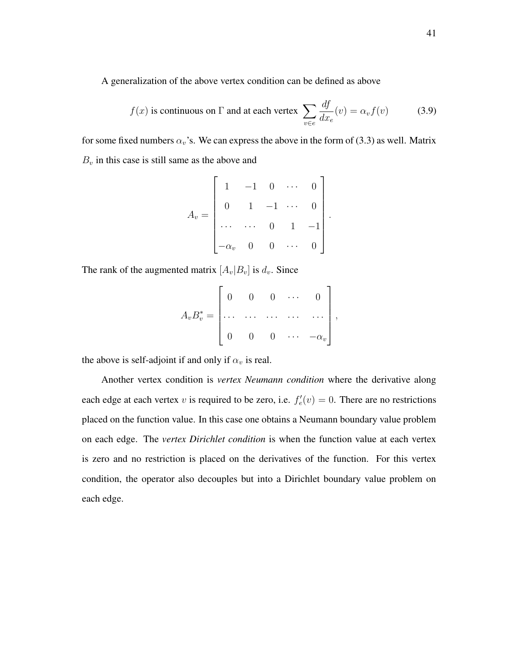A generalization of the above vertex condition can be defined as above

$$
f(x)
$$
 is continuous on  $\Gamma$  and at each vertex  $\sum_{v \in e} \frac{df}{dx_e}(v) = \alpha_v f(v)$  (3.9)

for some fixed numbers  $\alpha_v$ 's. We can express the above in the form of (3.3) as well. Matrix  $B<sub>v</sub>$  in this case is still same as the above and

$$
A_v = \begin{bmatrix} 1 & -1 & 0 & \cdots & 0 \\ 0 & 1 & -1 & \cdots & 0 \\ \cdots & \cdots & 0 & 1 & -1 \\ -\alpha_v & 0 & 0 & \cdots & 0 \end{bmatrix}.
$$

The rank of the augmented matrix  $[A_v|B_v]$  is  $d_v$ . Since

$$
A_v B_v^* = \begin{bmatrix} 0 & 0 & 0 & \cdots & 0 \\ \cdots & \cdots & \cdots & \cdots & \cdots \\ 0 & 0 & 0 & \cdots & -\alpha_v \end{bmatrix},
$$

the above is self-adjoint if and only if  $\alpha_v$  is real.

Another vertex condition is *vertex Neumann condition* where the derivative along each edge at each vertex v is required to be zero, i.e.  $f'_e(v) = 0$ . There are no restrictions placed on the function value. In this case one obtains a Neumann boundary value problem on each edge. The *vertex Dirichlet condition* is when the function value at each vertex is zero and no restriction is placed on the derivatives of the function. For this vertex condition, the operator also decouples but into a Dirichlet boundary value problem on each edge.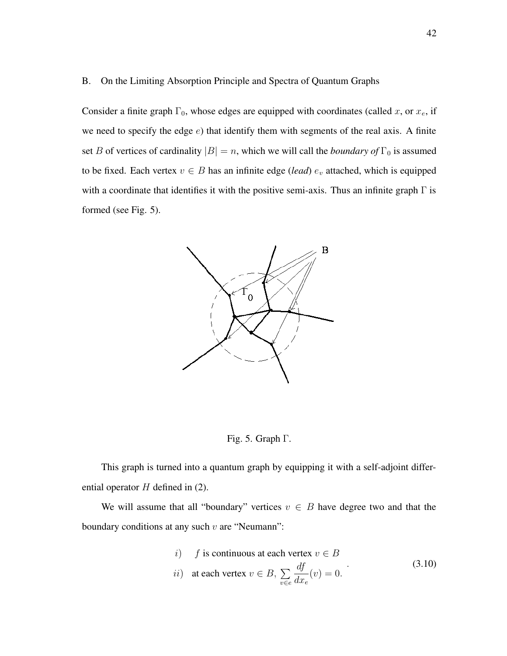## B. On the Limiting Absorption Principle and Spectra of Quantum Graphs

Consider a finite graph  $\Gamma_0$ , whose edges are equipped with coordinates (called x, or  $x_e$ , if we need to specify the edge  $e$ ) that identify them with segments of the real axis. A finite set B of vertices of cardinality  $|B| = n$ , which we will call the *boundary* of  $\Gamma_0$  is assumed to be fixed. Each vertex  $v \in B$  has an infinite edge (*lead*)  $e_v$  attached, which is equipped with a coordinate that identifies it with the positive semi-axis. Thus an infinite graph  $\Gamma$  is formed (see Fig. 5).



Fig. 5. Graph Γ.

This graph is turned into a quantum graph by equipping it with a self-adjoint differential operator  $H$  defined in (2).

We will assume that all "boundary" vertices  $v \in B$  have degree two and that the boundary conditions at any such  $v$  are "Neumann":

*i) f* is continuous at each vertex 
$$
v \in B
$$
  
\n*ii)* at each vertex  $v \in B$ ,  $\sum_{v \in e} \frac{df}{dx_e}(v) = 0$ . (3.10)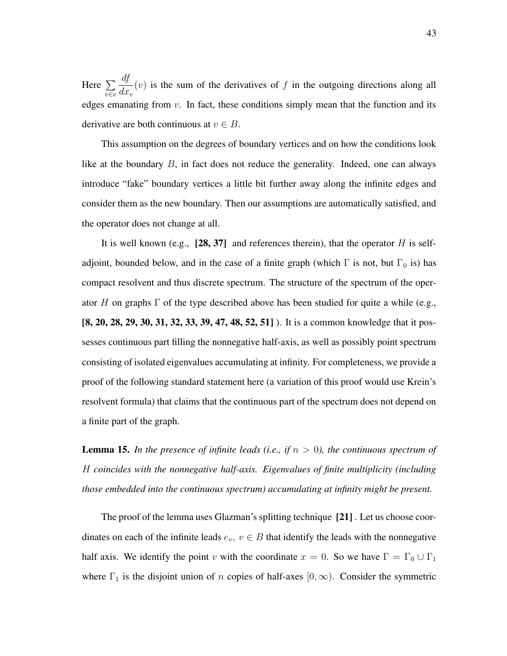Here  $\Sigma$ v∈e df  $dx_e$  $(v)$  is the sum of the derivatives of f in the outgoing directions along all edges emanating from  $v$ . In fact, these conditions simply mean that the function and its derivative are both continuous at  $v \in B$ .

This assumption on the degrees of boundary vertices and on how the conditions look like at the boundary B, in fact does not reduce the generality. Indeed, one can always introduce "fake" boundary vertices a little bit further away along the infinite edges and consider them as the new boundary. Then our assumptions are automatically satisfied, and the operator does not change at all.

It is well known (e.g.,  $[28, 37]$  and references therein), that the operator H is selfadjoint, bounded below, and in the case of a finite graph (which  $\Gamma$  is not, but  $\Gamma_0$  is) has compact resolvent and thus discrete spectrum. The structure of the spectrum of the operator H on graphs  $\Gamma$  of the type described above has been studied for quite a while (e.g., **[8, 20, 28, 29, 30, 31, 32, 33, 39, 47, 48, 52, 51]** ). It is a common knowledge that it possesses continuous part filling the nonnegative half-axis, as well as possibly point spectrum consisting of isolated eigenvalues accumulating at infinity. For completeness, we provide a proof of the following standard statement here (a variation of this proof would use Krein's resolvent formula) that claims that the continuous part of the spectrum does not depend on a finite part of the graph.

**Lemma 15.** In the presence of infinite leads (i.e., if  $n > 0$ ), the continuous spectrum of H *coincides with the nonnegative half-axis. Eigenvalues of finite multiplicity (including those embedded into the continuous spectrum) accumulating at infinity might be present.*

The proof of the lemma uses Glazman's splitting technique **[21]** . Let us choose coordinates on each of the infinite leads  $e_v$ ,  $v \in B$  that identify the leads with the nonnegative half axis. We identify the point v with the coordinate  $x = 0$ . So we have  $\Gamma = \Gamma_0 \cup \Gamma_1$ where  $\Gamma_1$  is the disjoint union of n copies of half-axes  $[0, \infty)$ . Consider the symmetric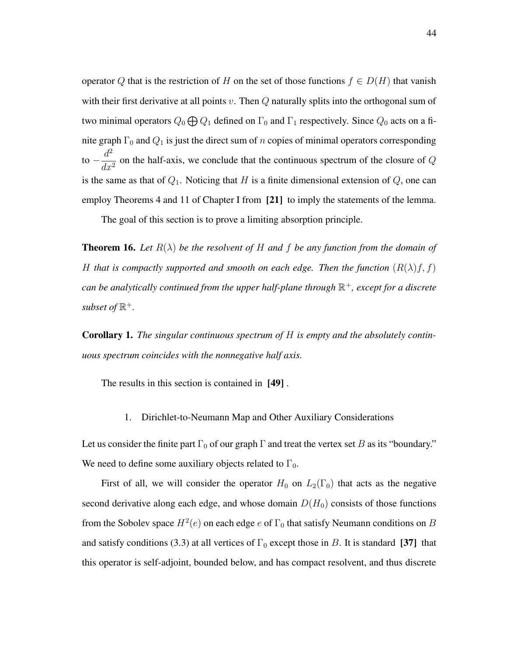operator Q that is the restriction of H on the set of those functions  $f \in D(H)$  that vanish with their first derivative at all points  $v$ . Then  $Q$  naturally splits into the orthogonal sum of two minimal operators  $Q_0 \bigoplus Q_1$  defined on  $\Gamma_0$  and  $\Gamma_1$  respectively. Since  $Q_0$  acts on a finite graph  $\Gamma_0$  and  $Q_1$  is just the direct sum of n copies of minimal operators corresponding to  $-\frac{d^2}{dx^2}$  $\frac{a}{dx^2}$  on the half-axis, we conclude that the continuous spectrum of the closure of Q is the same as that of  $Q_1$ . Noticing that H is a finite dimensional extension of  $Q$ , one can employ Theorems 4 and 11 of Chapter I from **[21]** to imply the statements of the lemma.

The goal of this section is to prove a limiting absorption principle.

**Theorem 16.** *Let*  $R(\lambda)$  *be the resolvent of* H *and* f *be any* function from the domain of *H* that is compactly supported and smooth on each edge. Then the function  $(R(\lambda)f, f)$ *can be analytically continued from the upper half-plane through* R <sup>+</sup>*, except for a discrete subset* of  $\mathbb{R}^+$ .

**Corollary 1.** *The singular continuous spectrum of* H *is empty and the absolutely continuous spectrum coincides with the nonnegative half axis.*

The results in this section is contained in **[49]** .

1. Dirichlet-to-Neumann Map and Other Auxiliary Considerations

Let us consider the finite part  $\Gamma_0$  of our graph  $\Gamma$  and treat the vertex set B as its "boundary." We need to define some auxiliary objects related to  $\Gamma_0$ .

First of all, we will consider the operator  $H_0$  on  $L_2(\Gamma_0)$  that acts as the negative second derivative along each edge, and whose domain  $D(H_0)$  consists of those functions from the Sobolev space  $H^2(e)$  on each edge  $e$  of  $\Gamma_0$  that satisfy Neumann conditions on  $B$ and satisfy conditions (3.3) at all vertices of  $\Gamma_0$  except those in B. It is standard [37] that this operator is self-adjoint, bounded below, and has compact resolvent, and thus discrete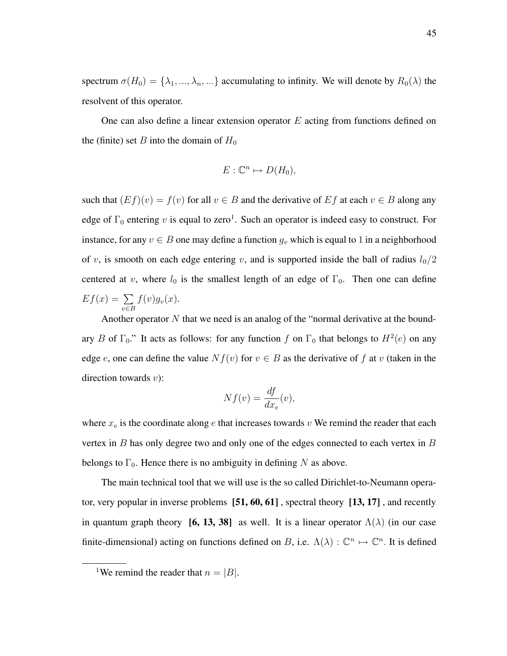spectrum  $\sigma(H_0) = \{\lambda_1, ..., \lambda_n, ...\}$  accumulating to infinity. We will denote by  $R_0(\lambda)$  the resolvent of this operator.

One can also define a linear extension operator  $E$  acting from functions defined on the (finite) set B into the domain of  $H_0$ 

$$
E: \mathbb{C}^n \mapsto D(H_0),
$$

such that  $(Ef)(v) = f(v)$  for all  $v \in B$  and the derivative of  $Ef$  at each  $v \in B$  along any edge of  $\Gamma_0$  entering v is equal to zero<sup>1</sup>. Such an operator is indeed easy to construct. For instance, for any  $v \in B$  one may define a function  $g_v$  which is equal to 1 in a neighborhood of v, is smooth on each edge entering v, and is supported inside the ball of radius  $l_0/2$ centered at v, where  $l_0$  is the smallest length of an edge of  $\Gamma_0$ . Then one can define  $Ef(x) = \sum$ v∈B  $f(v)g_v(x).$ 

Another operator  $N$  that we need is an analog of the "normal derivative at the boundary B of  $\Gamma_0$ ." It acts as follows: for any function f on  $\Gamma_0$  that belongs to  $H^2(e)$  on any edge e, one can define the value  $Nf(v)$  for  $v \in B$  as the derivative of f at v (taken in the direction towards  $v$ :

$$
Nf(v) = \frac{df}{dx_e}(v),
$$

where  $x_e$  is the coordinate along e that increases towards v We remind the reader that each vertex in  $B$  has only degree two and only one of the edges connected to each vertex in  $B$ belongs to  $\Gamma_0$ . Hence there is no ambiguity in defining N as above.

The main technical tool that we will use is the so called Dirichlet-to-Neumann operator, very popular in inverse problems **[51, 60, 61]** , spectral theory **[13, 17]** , and recently in quantum graph theory  $[6, 13, 38]$  as well. It is a linear operator  $\Lambda(\lambda)$  (in our case finite-dimensional) acting on functions defined on B, i.e.  $\Lambda(\lambda) : \mathbb{C}^n \mapsto \mathbb{C}^n$ . It is defined

<sup>&</sup>lt;sup>1</sup>We remind the reader that  $n = |B|$ .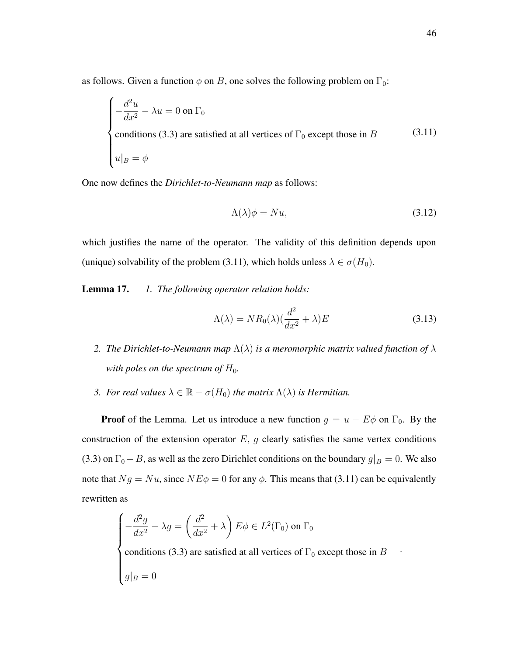as follows. Given a function  $\phi$  on B, one solves the following problem on  $\Gamma_0$ :

$$
\begin{cases}\n-\frac{d^2u}{dx^2} - \lambda u = 0 \text{ on } \Gamma_0 \\
\text{conditions (3.3) are satisfied at all vertices of } \Gamma_0 \text{ except those in } B \\
u|_B = \phi\n\end{cases}
$$
\n(3.11)

One now defines the *Dirichlet-to-Neumann map* as follows:

$$
\Lambda(\lambda)\phi = Nu,\tag{3.12}
$$

which justifies the name of the operator. The validity of this definition depends upon (unique) solvability of the problem (3.11), which holds unless  $\lambda \in \sigma(H_0)$ .

**Lemma 17.** *1. The following operator relation holds:*

$$
\Lambda(\lambda) = NR_0(\lambda)\left(\frac{d^2}{dx^2} + \lambda\right)E\tag{3.13}
$$

.

- *2. The Dirichlet-to-Neumann map* Λ(λ) *is a meromorphic matrix valued function of* λ *with poles on the spectrum of*  $H_0$ *.*
- *3. For real values*  $\lambda \in \mathbb{R} \sigma(H_0)$  *the matrix*  $\Lambda(\lambda)$  *is Hermitian.*

**Proof** of the Lemma. Let us introduce a new function  $g = u - E\phi$  on  $\Gamma_0$ . By the construction of the extension operator  $E$ ,  $g$  clearly satisfies the same vertex conditions (3.3) on  $\Gamma_0 - B$ , as well as the zero Dirichlet conditions on the boundary  $g|_B = 0$ . We also note that  $Ng = Nu$ , since  $NE\phi = 0$  for any  $\phi$ . This means that (3.11) can be equivalently rewritten as

$$
\begin{cases}\n-\frac{d^2g}{dx^2} - \lambda g = \left(\frac{d^2}{dx^2} + \lambda\right) E\phi \in L^2(\Gamma_0) \text{ on } \Gamma_0 \\
\text{conditions (3.3) are satisfied at all vertices of } \Gamma_0 \text{ except those in } B \\
g|_B = 0\n\end{cases}
$$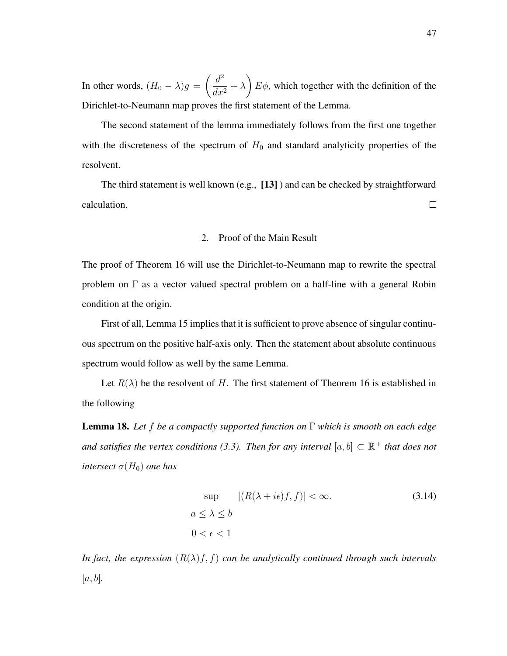In other words,  $(H_0 - \lambda)g = \left(\frac{d^2}{dx^2}\right)$  $\frac{d}{dx^2} + \lambda$  $\left( E\phi, \text{ which together with the definition of the } \right)$ Dirichlet-to-Neumann map proves the first statement of the Lemma.

The second statement of the lemma immediately follows from the first one together with the discreteness of the spectrum of  $H_0$  and standard analyticity properties of the resolvent.

The third statement is well known (e.g., **[13]** ) and can be checked by straightforward calculation.  $\Box$ 

# 2. Proof of the Main Result

The proof of Theorem 16 will use the Dirichlet-to-Neumann map to rewrite the spectral problem on Γ as a vector valued spectral problem on a half-line with a general Robin condition at the origin.

First of all, Lemma 15 implies that it is sufficient to prove absence of singular continuous spectrum on the positive half-axis only. Then the statement about absolute continuous spectrum would follow as well by the same Lemma.

Let  $R(\lambda)$  be the resolvent of H. The first statement of Theorem 16 is established in the following

**Lemma 18.** *Let* f *be a compactly supported function on* Γ *which is smooth on each edge and satisfies the vertex conditions* (3.3). *Then for any interval*  $[a, b] \subset \mathbb{R}^+$  *that does not intersect*  $\sigma(H_0)$  *one* has

$$
\sup |(R(\lambda + i\epsilon)f, f)| < \infty.
$$
\n
$$
a \le \lambda \le b
$$
\n
$$
0 < \epsilon < 1
$$
\n(3.14)

*In fact, the expression*  $(R(\lambda)f, f)$  *can be analytically continued through such intervals* [a, b]*.*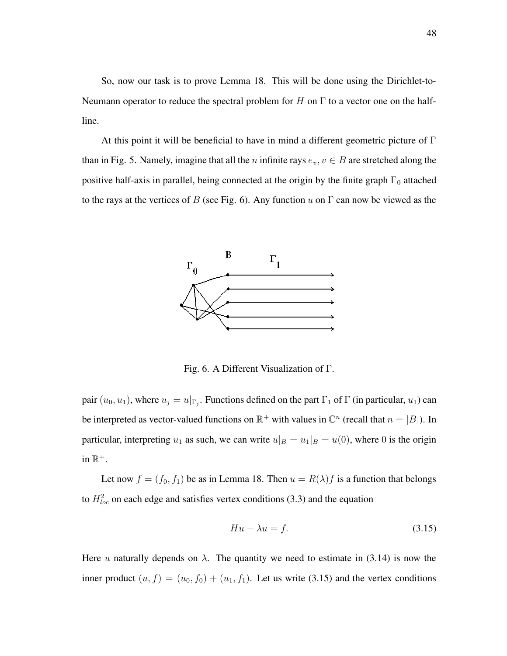So, now our task is to prove Lemma 18. This will be done using the Dirichlet-to-Neumann operator to reduce the spectral problem for H on  $\Gamma$  to a vector one on the halfline.

At this point it will be beneficial to have in mind a different geometric picture of  $\Gamma$ than in Fig. 5. Namely, imagine that all the n infinite rays  $e_v, v \in B$  are stretched along the positive half-axis in parallel, being connected at the origin by the finite graph  $\Gamma_0$  attached to the rays at the vertices of B (see Fig. 6). Any function u on  $\Gamma$  can now be viewed as the



Fig. 6. A Different Visualization of Γ.

pair  $(u_0, u_1)$ , where  $u_j = u|_{\Gamma_j}$ . Functions defined on the part  $\Gamma_1$  of  $\Gamma$  (in particular,  $u_1$ ) can be interpreted as vector-valued functions on  $\mathbb{R}^+$  with values in  $\mathbb{C}^n$  (recall that  $n = |B|$ ). In particular, interpreting  $u_1$  as such, we can write  $u|_B = u_1|_B = u(0)$ , where 0 is the origin in  $\mathbb{R}^+$ .

Let now  $f = (f_0, f_1)$  be as in Lemma 18. Then  $u = R(\lambda)f$  is a function that belongs to  $H_{loc}^2$  on each edge and satisfies vertex conditions (3.3) and the equation

$$
Hu - \lambda u = f. \tag{3.15}
$$

Here u naturally depends on  $\lambda$ . The quantity we need to estimate in (3.14) is now the inner product  $(u, f) = (u_0, f_0) + (u_1, f_1)$ . Let us write (3.15) and the vertex conditions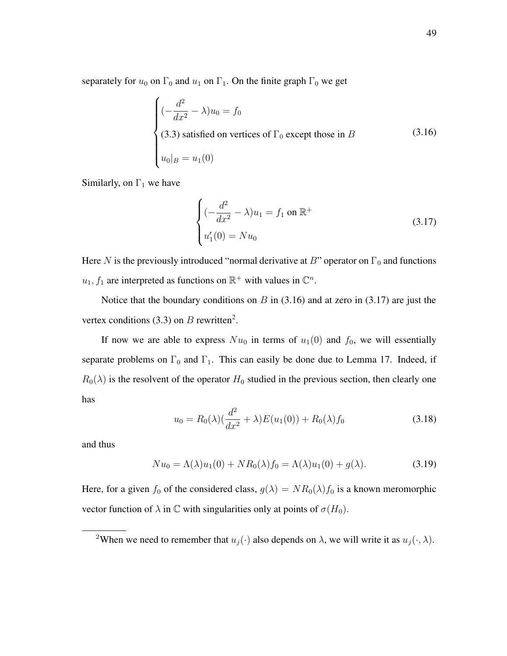separately for  $u_0$  on  $\Gamma_0$  and  $u_1$  on  $\Gamma_1$ . On the finite graph  $\Gamma_0$  we get

$$
\begin{cases}\n(-\frac{d^2}{dx^2} - \lambda)u_0 = f_0 \\
(3.3) \text{ satisfied on vertices of } \Gamma_0 \text{ except those in } B \\
u_0|_B = u_1(0)\n\end{cases}
$$
\n(3.16)

Similarly, on  $\Gamma_1$  we have

$$
\begin{cases}\n(-\frac{d^2}{dx^2} - \lambda)u_1 = f_1 \text{ on } \mathbb{R}^+ \\
u'_1(0) = Nu_0\n\end{cases}
$$
\n(3.17)

Here N is the previously introduced "normal derivative at B" operator on  $\Gamma_0$  and functions  $u_1, f_1$  are interpreted as functions on  $\mathbb{R}^+$  with values in  $\mathbb{C}^n$ .

Notice that the boundary conditions on  $B$  in (3.16) and at zero in (3.17) are just the vertex conditions (3.3) on B rewritten<sup>2</sup>.

If now we are able to express  $Nu_0$  in terms of  $u_1(0)$  and  $f_0$ , we will essentially separate problems on  $\Gamma_0$  and  $\Gamma_1$ . This can easily be done due to Lemma 17. Indeed, if  $R_0(\lambda)$  is the resolvent of the operator  $H_0$  studied in the previous section, then clearly one has

$$
u_0 = R_0(\lambda) \left(\frac{d^2}{dx^2} + \lambda\right) E(u_1(0)) + R_0(\lambda) f_0 \tag{3.18}
$$

and thus

$$
Nu_0 = \Lambda(\lambda)u_1(0) + NR_0(\lambda)f_0 = \Lambda(\lambda)u_1(0) + g(\lambda).
$$
\n(3.19)

Here, for a given  $f_0$  of the considered class,  $g(\lambda) = NR_0(\lambda)f_0$  is a known meromorphic vector function of  $\lambda$  in  $\mathbb C$  with singularities only at points of  $\sigma(H_0)$ .

<sup>&</sup>lt;sup>2</sup>When we need to remember that  $u_j(\cdot)$  also depends on  $\lambda$ , we will write it as  $u_j(\cdot, \lambda)$ .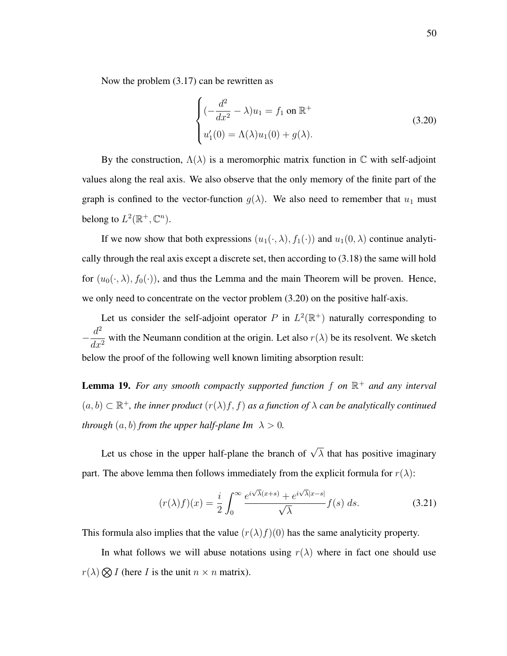Now the problem (3.17) can be rewritten as

$$
\begin{cases}\n(-\frac{d^2}{dx^2} - \lambda)u_1 = f_1 \text{ on } \mathbb{R}^+ \\
u'_1(0) = \Lambda(\lambda)u_1(0) + g(\lambda).\n\end{cases}
$$
\n(3.20)

By the construction,  $\Lambda(\lambda)$  is a meromorphic matrix function in  $\mathbb C$  with self-adjoint values along the real axis. We also observe that the only memory of the finite part of the graph is confined to the vector-function  $g(\lambda)$ . We also need to remember that  $u_1$  must belong to  $L^2(\mathbb{R}^+, \mathbb{C}^n)$ .

If we now show that both expressions  $(u_1(\cdot, \lambda), f_1(\cdot))$  and  $u_1(0, \lambda)$  continue analytically through the real axis except a discrete set, then according to (3.18) the same will hold for  $(u_0(\cdot, \lambda), f_0(\cdot))$ , and thus the Lemma and the main Theorem will be proven. Hence, we only need to concentrate on the vector problem  $(3.20)$  on the positive half-axis.

Let us consider the self-adjoint operator P in  $L^2(\mathbb{R}^+)$  naturally corresponding to −  $d^2$  $\frac{a}{dx^2}$  with the Neumann condition at the origin. Let also  $r(\lambda)$  be its resolvent. We sketch below the proof of the following well known limiting absorption result:

**Lemma 19.** *For any smooth compactly supported function* f *on* R <sup>+</sup> *and any interval*  $(a, b) \subset \mathbb{R}^+$ , the inner product  $(r(\lambda)f, f)$  as a function of  $\lambda$  can be analytically continued *through*  $(a, b)$  *from the upper half-plane Im*  $\lambda > 0$ *.* 

Let us chose in the upper half-plane the branch of  $\sqrt{\lambda}$  that has positive imaginary part. The above lemma then follows immediately from the explicit formula for  $r(\lambda)$ :

$$
(r(\lambda)f)(x) = \frac{i}{2} \int_0^\infty \frac{e^{i\sqrt{\lambda}(x+s)} + e^{i\sqrt{\lambda}|x-s|}}{\sqrt{\lambda}} f(s) ds.
$$
 (3.21)

This formula also implies that the value  $(r(\lambda)f)(0)$  has the same analyticity property.

In what follows we will abuse notations using  $r(\lambda)$  where in fact one should use  $r(\lambda) \bigotimes I$  (here I is the unit  $n \times n$  matrix).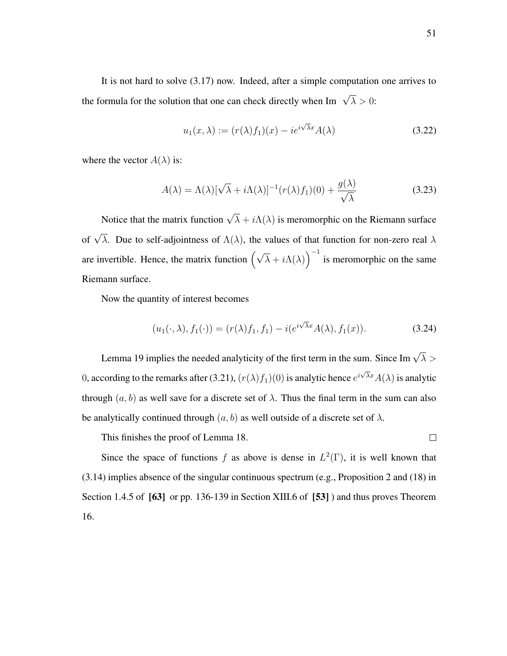It is not hard to solve (3.17) now. Indeed, after a simple computation one arrives to the formula for the solution that one can check directly when Im  $\sqrt{\lambda} > 0$ :

$$
u_1(x,\lambda) := (r(\lambda)f_1)(x) - ie^{i\sqrt{\lambda}x}A(\lambda)
$$
\n(3.22)

where the vector  $A(\lambda)$  is:

$$
A(\lambda) = \Lambda(\lambda)[\sqrt{\lambda} + i\Lambda(\lambda)]^{-1}(r(\lambda)f_1)(0) + \frac{g(\lambda)}{\sqrt{\lambda}}
$$
\n(3.23)

Notice that the matrix function  $\sqrt{\lambda} + i\Lambda(\lambda)$  is meromorphic on the Riemann surface of  $\sqrt{\lambda}$ . Due to self-adjointness of  $\Lambda(\lambda)$ , the values of that function for non-zero real  $\lambda$ are invertible. Hence, the matrix function  $(\sqrt{\lambda} + i\Lambda(\lambda))$ <sup>-1</sup> is meromorphic on the same Riemann surface.

Now the quantity of interest becomes

$$
(u_1(\cdot,\lambda),f_1(\cdot)) = (r(\lambda)f_1,f_1) - i(e^{i\sqrt{\lambda}x}A(\lambda),f_1(x)).
$$
\n(3.24)

Lemma 19 implies the needed analyticity of the first term in the sum. Since Im  $\sqrt{\lambda}$  > 0, according to the remarks after (3.21),  $(r(\lambda)f_1)(0)$  is analytic hence  $e^{i\sqrt{\lambda}x}A(\lambda)$  is analytic through  $(a, b)$  as well save for a discrete set of  $\lambda$ . Thus the final term in the sum can also be analytically continued through  $(a, b)$  as well outside of a discrete set of  $\lambda$ .

This finishes the proof of Lemma 18.

 $\Box$ 

Since the space of functions f as above is dense in  $L^2(\Gamma)$ , it is well known that (3.14) implies absence of the singular continuous spectrum (e.g., Proposition 2 and (18) in Section 1.4.5 of **[63]** or pp. 136-139 in Section XIII.6 of **[53]** ) and thus proves Theorem 16.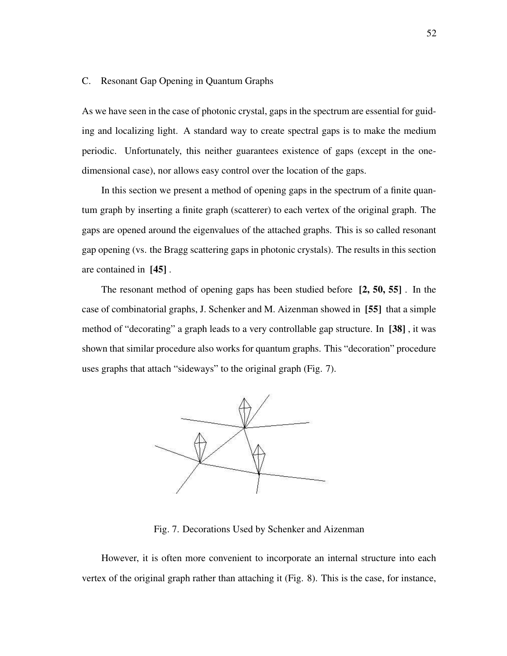# C. Resonant Gap Opening in Quantum Graphs

As we have seen in the case of photonic crystal, gaps in the spectrum are essential for guiding and localizing light. A standard way to create spectral gaps is to make the medium periodic. Unfortunately, this neither guarantees existence of gaps (except in the onedimensional case), nor allows easy control over the location of the gaps.

In this section we present a method of opening gaps in the spectrum of a finite quantum graph by inserting a finite graph (scatterer) to each vertex of the original graph. The gaps are opened around the eigenvalues of the attached graphs. This is so called resonant gap opening (vs. the Bragg scattering gaps in photonic crystals). The results in this section are contained in **[45]** .

The resonant method of opening gaps has been studied before **[2, 50, 55]** . In the case of combinatorial graphs, J. Schenker and M. Aizenman showed in **[55]** that a simple method of "decorating" a graph leads to a very controllable gap structure. In **[38]** , it was shown that similar procedure also works for quantum graphs. This "decoration" procedure uses graphs that attach "sideways" to the original graph (Fig. 7).



Fig. 7. Decorations Used by Schenker and Aizenman

However, it is often more convenient to incorporate an internal structure into each vertex of the original graph rather than attaching it (Fig. 8). This is the case, for instance,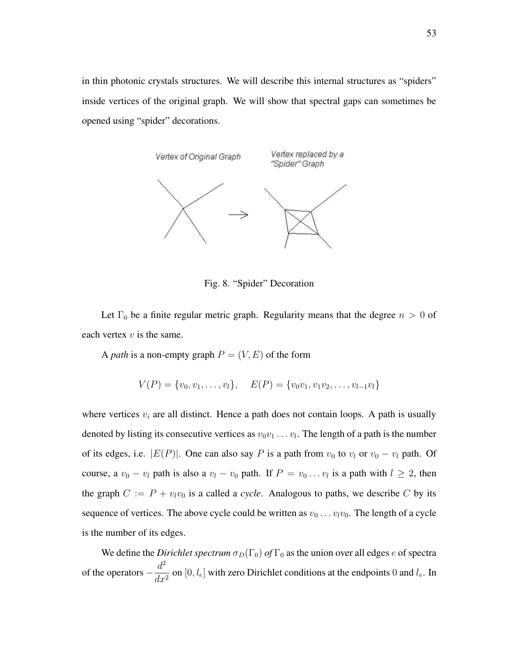in thin photonic crystals structures. We will describe this internal structures as "spiders" inside vertices of the original graph. We will show that spectral gaps can sometimes be opened using "spider" decorations.



Fig. 8. "Spider" Decoration

Let  $\Gamma_0$  be a finite regular metric graph. Regularity means that the degree  $n > 0$  of each vertex  $v$  is the same.

A *path* is a non-empty graph  $P = (V, E)$  of the form

$$
V(P) = \{v_0, v_1, \dots, v_l\}, \quad E(P) = \{v_0v_1, v_1v_2, \dots, v_{l-1}v_l\}
$$

where vertices  $v_i$  are all distinct. Hence a path does not contain loops. A path is usually denoted by listing its consecutive vertices as  $v_0v_1 \dots v_l$ . The length of a path is the number of its edges, i.e.  $|E(P)|$ . One can also say P is a path from  $v_0$  to  $v_l$  or  $v_0 - v_l$  path. Of course, a  $v_0 - v_l$  path is also a  $v_l - v_0$  path. If  $P = v_0 \dots v_l$  is a path with  $l \geq 2$ , then the graph  $C := P + v_l v_0$  is a called a *cycle*. Analogous to paths, we describe C by its sequence of vertices. The above cycle could be written as  $v_0 \dots v_l v_0$ . The length of a cycle is the number of its edges.

We define the *Dirichlet spectrum*  $\sigma_D(\Gamma_0)$  of  $\Gamma_0$  as the union over all edges e of spectra of the operators  $-\frac{d^2}{dx^2}$  $\frac{d}{dx^2}$  on  $[0, l_e]$  with zero Dirichlet conditions at the endpoints 0 and  $l_e$ . In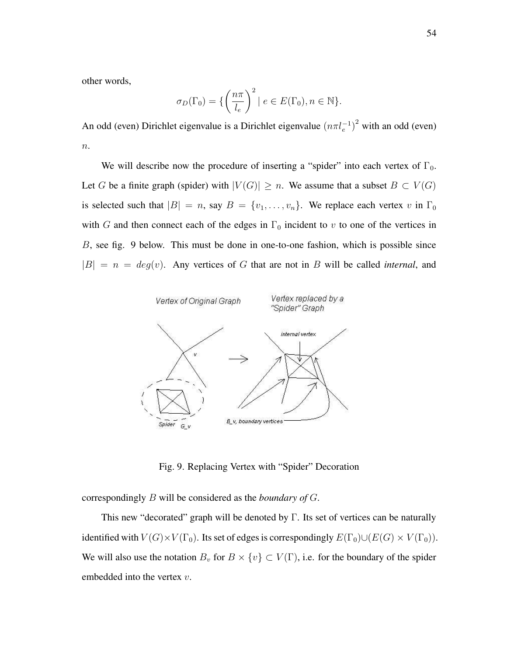other words,

$$
\sigma_D(\Gamma_0) = \left\{ \left( \frac{n\pi}{l_e} \right)^2 \mid e \in E(\Gamma_0), n \in \mathbb{N} \right\}.
$$

An odd (even) Dirichlet eigenvalue is a Dirichlet eigenvalue  $(n\pi l_e^{-1})^2$  with an odd (even)  $n$ .

We will describe now the procedure of inserting a "spider" into each vertex of  $\Gamma_0$ . Let G be a finite graph (spider) with  $|V(G)| \ge n$ . We assume that a subset  $B \subset V(G)$ is selected such that  $|B| = n$ , say  $B = \{v_1, \ldots, v_n\}$ . We replace each vertex v in  $\Gamma_0$ with G and then connect each of the edges in  $\Gamma_0$  incident to v to one of the vertices in B, see fig. 9 below. This must be done in one-to-one fashion, which is possible since  $|B| = n = deg(v)$ . Any vertices of G that are not in B will be called *internal*, and



Fig. 9. Replacing Vertex with "Spider" Decoration

correspondingly B will be considered as the *boundary of* G.

This new "decorated" graph will be denoted by Γ. Its set of vertices can be naturally identified with  $V(G) \times V(\Gamma_0)$ . Its set of edges is correspondingly  $E(\Gamma_0) \cup (E(G) \times V(\Gamma_0))$ . We will also use the notation  $B_v$  for  $B \times \{v\} \subset V(\Gamma)$ , i.e. for the boundary of the spider embedded into the vertex v.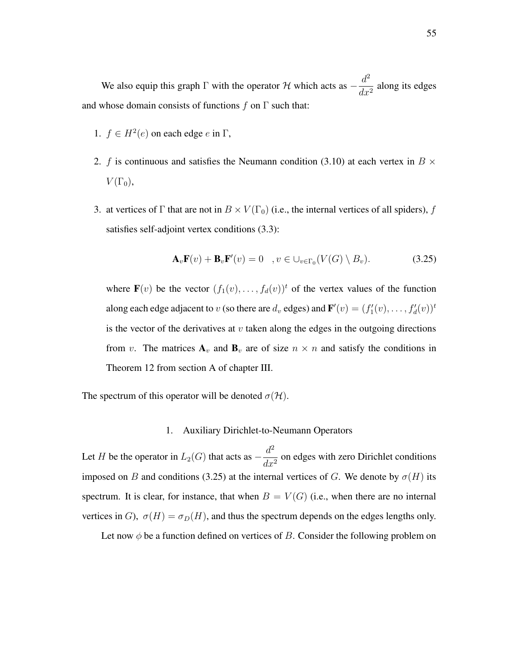We also equip this graph  $\Gamma$  with the operator  $\mathcal H$  which acts as  $-\frac{d^2}{dx^2}$  $\frac{a}{dx^2}$  along its edges and whose domain consists of functions  $f$  on  $\Gamma$  such that:

- 1.  $f \in H^2(e)$  on each edge e in  $\Gamma$ ,
- 2. f is continuous and satisfies the Neumann condition (3.10) at each vertex in  $B \times$  $V(\Gamma_0),$
- 3. at vertices of Γ that are not in  $B \times V(\Gamma_0)$  (i.e., the internal vertices of all spiders), f satisfies self-adjoint vertex conditions (3.3):

$$
\mathbf{A}_v \mathbf{F}(v) + \mathbf{B}_v \mathbf{F}'(v) = 0 \quad, v \in \bigcup_{v \in \Gamma_0} (V(G) \setminus B_v). \tag{3.25}
$$

where  $\mathbf{F}(v)$  be the vector  $(f_1(v), \ldots, f_d(v))^t$  of the vertex values of the function along each edge adjacent to  $v$  (so there are  $d_v$  edges) and  $\mathbf{F}'(v) = (f'_1(v), \dots, f'_d(v))^t$ is the vector of the derivatives at  $v$  taken along the edges in the outgoing directions from v. The matrices  $A_v$  and  $B_v$  are of size  $n \times n$  and satisfy the conditions in Theorem 12 from section A of chapter III.

The spectrum of this operator will be denoted  $\sigma(\mathcal{H})$ .

# 1. Auxiliary Dirichlet-to-Neumann Operators

Let H be the operator in  $L_2(G)$  that acts as  $-\frac{d^2}{dx^2}$  $\frac{a}{dx^2}$  on edges with zero Dirichlet conditions imposed on B and conditions (3.25) at the internal vertices of G. We denote by  $\sigma(H)$  its spectrum. It is clear, for instance, that when  $B = V(G)$  (i.e., when there are no internal vertices in G),  $\sigma(H) = \sigma_D(H)$ , and thus the spectrum depends on the edges lengths only.

Let now  $\phi$  be a function defined on vertices of B. Consider the following problem on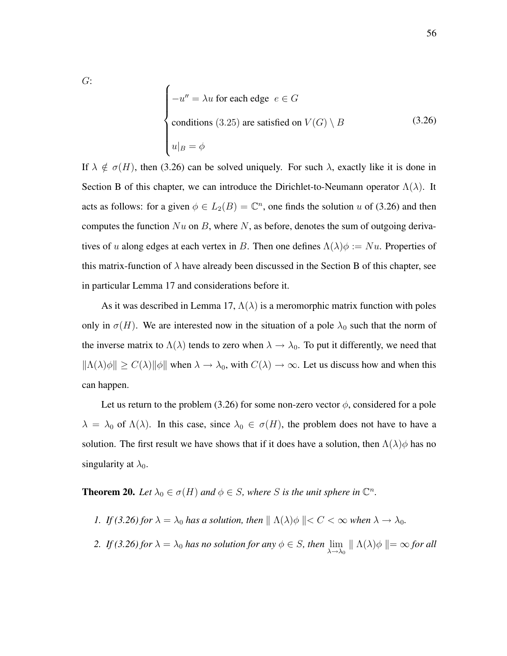G:

$$
\begin{cases}\n-u'' = \lambda u \text{ for each edge } e \in G \\
\text{conditions (3.25) are satisfied on } V(G) \setminus B \\
u|_B = \phi\n\end{cases}
$$
\n(3.26)

If  $\lambda \notin \sigma(H)$ , then (3.26) can be solved uniquely. For such  $\lambda$ , exactly like it is done in Section B of this chapter, we can introduce the Dirichlet-to-Neumann operator  $\Lambda(\lambda)$ . It acts as follows: for a given  $\phi \in L_2(B) = \mathbb{C}^n$ , one finds the solution u of (3.26) and then computes the function  $Nu$  on B, where N, as before, denotes the sum of outgoing derivatives of u along edges at each vertex in B. Then one defines  $\Lambda(\lambda)\phi := Nu$ . Properties of this matrix-function of  $\lambda$  have already been discussed in the Section B of this chapter, see in particular Lemma 17 and considerations before it.

As it was described in Lemma 17,  $\Lambda(\lambda)$  is a meromorphic matrix function with poles only in  $\sigma(H)$ . We are interested now in the situation of a pole  $\lambda_0$  such that the norm of the inverse matrix to  $\Lambda(\lambda)$  tends to zero when  $\lambda \to \lambda_0$ . To put it differently, we need that  $\|\Lambda(\lambda)\phi\| \ge C(\lambda)\|\phi\|$  when  $\lambda \to \lambda_0$ , with  $C(\lambda) \to \infty$ . Let us discuss how and when this can happen.

Let us return to the problem (3.26) for some non-zero vector  $\phi$ , considered for a pole  $\lambda = \lambda_0$  of  $\Lambda(\lambda)$ . In this case, since  $\lambda_0 \in \sigma(H)$ , the problem does not have to have a solution. The first result we have shows that if it does have a solution, then  $\Lambda(\lambda)\phi$  has no singularity at  $\lambda_0$ .

**Theorem 20.** *Let*  $\lambda_0 \in \sigma(H)$  *and*  $\phi \in S$ *, where S is the unit sphere in*  $\mathbb{C}^n$ *.* 

- *1. If* (3.26) for  $\lambda = \lambda_0$  *has a solution, then*  $\parallel \Lambda(\lambda)\phi \parallel < C < \infty$  *when*  $\lambda \to \lambda_0$ *.*
- 2. *If* (3.26) for  $\lambda = \lambda_0$  has no solution for any  $\phi \in S$ , then  $\lim_{\lambda \to \lambda_0} || \Lambda(\lambda) \phi || = \infty$  for all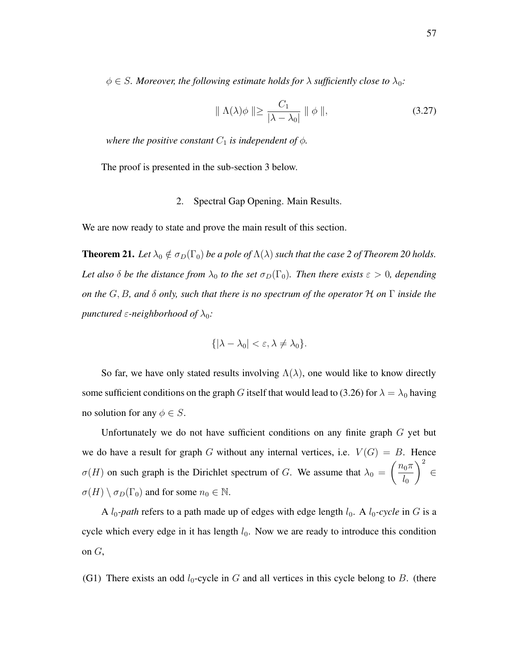$\phi \in S$ *. Moreover, the following estimate holds for*  $\lambda$  *sufficiently close to*  $\lambda_0$ *:* 

$$
\|\Lambda(\lambda)\phi\|\geq \frac{C_1}{|\lambda-\lambda_0|}\|\phi\|,\tag{3.27}
$$

*where the positive constant*  $C_1$  *is independent of*  $\phi$ *.* 

The proof is presented in the sub-section 3 below.

### 2. Spectral Gap Opening. Main Results.

We are now ready to state and prove the main result of this section.

**Theorem 21.** Let  $\lambda_0 \notin \sigma_D(\Gamma_0)$  be a pole of  $\Lambda(\lambda)$  such that the case 2 of Theorem 20 holds. *Let also*  $\delta$  *be the distance from*  $\lambda_0$  *to the set*  $\sigma_D(\Gamma_0)$ *. Then there exists*  $\varepsilon > 0$ *, depending on the* G, B*, and* δ *only, such that there is no spectrum of the operator* H *on* Γ *inside the punctured*  $\varepsilon$ -neighborhood of  $\lambda_0$ :

$$
\{|\lambda-\lambda_0|<\varepsilon,\lambda\neq\lambda_0\}.
$$

So far, we have only stated results involving  $\Lambda(\lambda)$ , one would like to know directly some sufficient conditions on the graph G itself that would lead to (3.26) for  $\lambda = \lambda_0$  having no solution for any  $\phi \in S$ .

Unfortunately we do not have sufficient conditions on any finite graph  $G$  yet but we do have a result for graph G without any internal vertices, i.e.  $V(G) = B$ . Hence  $\sigma(H)$  on such graph is the Dirichlet spectrum of G. We assume that  $\lambda_0 = \left(\frac{n_0 \pi}{l}\right)$  $l_0$  $\setminus^2$ ∈  $\sigma(H) \setminus \sigma_D(\Gamma_0)$  and for some  $n_0 \in \mathbb{N}$ .

A  $l_0$ -path refers to a path made up of edges with edge length  $l_0$ . A  $l_0$ -cycle in G is a cycle which every edge in it has length  $l_0$ . Now we are ready to introduce this condition on  $G$ ,

(G1) There exists an odd  $l_0$ -cycle in G and all vertices in this cycle belong to B. (there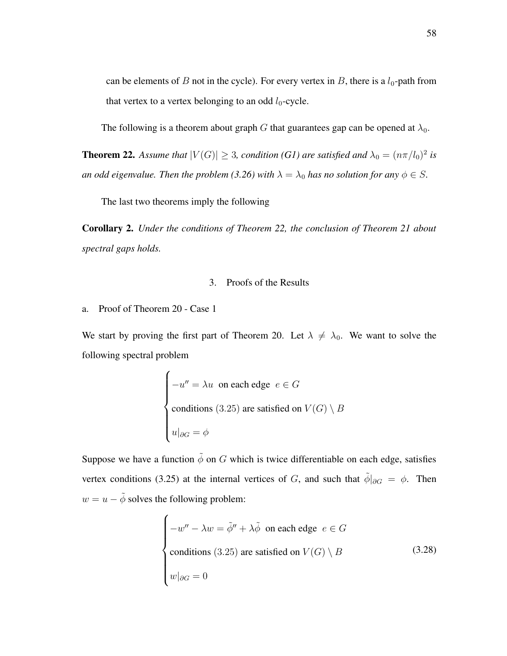can be elements of B not in the cycle). For every vertex in B, there is a  $l_0$ -path from that vertex to a vertex belonging to an odd  $l_0$ -cycle.

The following is a theorem about graph G that guarantees gap can be opened at  $\lambda_0$ .

**Theorem 22.** Assume that  $|V(G)| \geq 3$ , condition (G1) are satisfied and  $\lambda_0 = (n\pi/l_0)^2$  is *an odd eigenvalue. Then the problem* (3.26) *with*  $\lambda = \lambda_0$  *has no solution for any*  $\phi \in S$ *.* 

The last two theorems imply the following

**Corollary 2.** *Under the conditions of Theorem 22, the conclusion of Theorem 21 about spectral gaps holds.*

### 3. Proofs of the Results

### a. Proof of Theorem 20 - Case 1

We start by proving the first part of Theorem 20. Let  $\lambda \neq \lambda_0$ . We want to solve the following spectral problem

$$
\begin{cases}\n-u'' = \lambda u \text{ on each edge } e \in G \\
\text{conditions (3.25) are satisfied on } V(G) \setminus B \\
u|_{\partial G} = \phi\n\end{cases}
$$

Suppose we have a function  $\tilde{\phi}$  on G which is twice differentiable on each edge, satisfies vertex conditions (3.25) at the internal vertices of G, and such that  $\tilde{\phi}|_{\partial G} = \phi$ . Then  $w = u - \tilde{\phi}$  solves the following problem:

$$
\begin{cases}\n-w'' - \lambda w = \tilde{\phi}'' + \lambda \tilde{\phi} \text{ on each edge } e \in G \\
\text{conditions (3.25) are satisfied on } V(G) \setminus B \\
w|_{\partial G} = 0\n\end{cases}
$$
\n(3.28)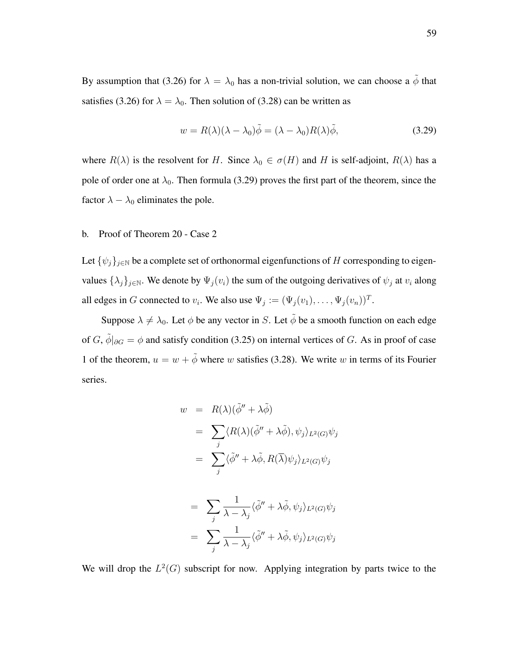By assumption that (3.26) for  $\lambda = \lambda_0$  has a non-trivial solution, we can choose a  $\tilde{\phi}$  that satisfies (3.26) for  $\lambda = \lambda_0$ . Then solution of (3.28) can be written as

$$
w = R(\lambda)(\lambda - \lambda_0)\tilde{\phi} = (\lambda - \lambda_0)R(\lambda)\tilde{\phi},\tag{3.29}
$$

where  $R(\lambda)$  is the resolvent for H. Since  $\lambda_0 \in \sigma(H)$  and H is self-adjoint,  $R(\lambda)$  has a pole of order one at  $\lambda_0$ . Then formula (3.29) proves the first part of the theorem, since the factor  $\lambda - \lambda_0$  eliminates the pole.

## b. Proof of Theorem 20 - Case 2

Let  $\{\psi_j\}_{j\in\mathbb{N}}$  be a complete set of orthonormal eigenfunctions of H corresponding to eigenvalues  $\{\lambda_j\}_{j\in\mathbb{N}}$ . We denote by  $\Psi_j(v_i)$  the sum of the outgoing derivatives of  $\psi_j$  at  $v_i$  along all edges in G connected to  $v_i$ . We also use  $\Psi_j := (\Psi_j(v_1), \dots, \Psi_j(v_n))^T$ .

Suppose  $\lambda \neq \lambda_0$ . Let  $\phi$  be any vector in S. Let  $\tilde{\phi}$  be a smooth function on each edge of G,  $\tilde{\phi}|_{\partial G} = \phi$  and satisfy condition (3.25) on internal vertices of G. As in proof of case 1 of the theorem,  $u = w + \tilde{\phi}$  where w satisfies (3.28). We write w in terms of its Fourier series.

$$
w = R(\lambda)(\tilde{\phi}'' + \lambda \tilde{\phi})
$$
  
= 
$$
\sum_{j} \langle R(\lambda)(\tilde{\phi}'' + \lambda \tilde{\phi}), \psi_j \rangle_{L^2(G)} \psi_j
$$
  
= 
$$
\sum_{j} \langle \tilde{\phi}'' + \lambda \tilde{\phi}, R(\overline{\lambda}) \psi_j \rangle_{L^2(G)} \psi_j
$$

$$
= \sum_{j} \frac{1}{\lambda - \lambda_j} \langle \tilde{\phi}'' + \lambda \tilde{\phi}, \psi_j \rangle_{L^2(G)} \psi_j
$$

$$
= \sum_{j} \frac{1}{\lambda - \lambda_j} \langle \tilde{\phi}'' + \lambda \tilde{\phi}, \psi_j \rangle_{L^2(G)} \psi_j
$$

We will drop the  $L^2(G)$  subscript for now. Applying integration by parts twice to the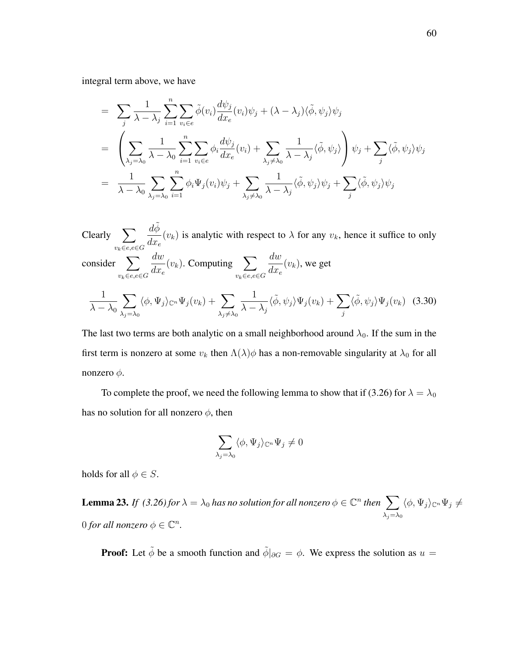integral term above, we have

$$
= \sum_{j} \frac{1}{\lambda - \lambda_{j}} \sum_{i=1}^{n} \sum_{v_{i} \in e} \tilde{\phi}(v_{i}) \frac{d\psi_{j}}{dx_{e}}(v_{i}) \psi_{j} + (\lambda - \lambda_{j}) \langle \tilde{\phi}, \psi_{j} \rangle \psi_{j}
$$
  

$$
= \left( \sum_{\lambda_{j} = \lambda_{0}} \frac{1}{\lambda - \lambda_{0}} \sum_{i=1}^{n} \sum_{v_{i} \in e} \phi_{i} \frac{d\psi_{j}}{dx_{e}}(v_{i}) + \sum_{\lambda_{j} \neq \lambda_{0}} \frac{1}{\lambda - \lambda_{j}} \langle \tilde{\phi}, \psi_{j} \rangle \right) \psi_{j} + \sum_{j} \langle \tilde{\phi}, \psi_{j} \rangle \psi_{j}
$$
  

$$
= \frac{1}{\lambda - \lambda_{0}} \sum_{\lambda_{j} = \lambda_{0}} \sum_{i=1}^{n} \phi_{i} \Psi_{j}(v_{i}) \psi_{j} + \sum_{\lambda_{j} \neq \lambda_{0}} \frac{1}{\lambda - \lambda_{j}} \langle \tilde{\phi}, \psi_{j} \rangle \psi_{j} + \sum_{j} \langle \tilde{\phi}, \psi_{j} \rangle \psi_{j}
$$

Clearly 
$$
\sum_{v_k \in e, e \in G} \frac{d\tilde{\phi}}{dx_e}(v_k)
$$
 is analytic with respect to  $\lambda$  for any  $v_k$ , hence it suffice to only consider\n
$$
\sum_{v_k \in e, e \in G} \frac{dw}{dx_e}(v_k)
$$
. Computing\n
$$
\sum_{v_k \in e, e \in G} \frac{dw}{dx_e}(v_k)
$$
, we get\n
$$
\frac{1}{\lambda - \lambda_0} \sum_{\lambda_j = \lambda_0} \langle \phi, \Psi_j \rangle_{\mathbb{C}^n} \Psi_j(v_k) + \sum_{\lambda_j \neq \lambda_0} \frac{1}{\lambda - \lambda_j} \langle \tilde{\phi}, \psi_j \rangle \Psi_j(v_k) + \sum_j \langle \tilde{\phi}, \psi_j \rangle \Psi_j(v_k)
$$
\n(3.30)

The last two terms are both analytic on a small neighborhood around  $\lambda_0$ . If the sum in the first term is nonzero at some  $v_k$  then  $\Lambda(\lambda)\phi$  has a non-removable singularity at  $\lambda_0$  for all nonzero  $φ$ .

To complete the proof, we need the following lemma to show that if (3.26) for  $\lambda = \lambda_0$ has no solution for all nonzero  $\phi$ , then

$$
\sum_{\lambda_j=\lambda_0}\langle \phi,\Psi_j\rangle_{\mathbb{C}^n}\Psi_j\neq 0
$$

holds for all  $\phi \in S$ .

**Lemma 23.** *If*  $(3.26)$  *for*  $\lambda = \lambda_0$  *has no solution for all nonzero*  $\phi \in \mathbb{C}^n$  *then*  $\sum$  $\lambda_j = \lambda_0$  $\langle \phi, \Psi_j \rangle_{\mathbb{C}^n} \Psi_j \neq$  $0$  *for all nonzero*  $\phi \in \mathbb{C}^n$ .

**Proof:** Let  $\tilde{\phi}$  be a smooth function and  $\tilde{\phi}|_{\partial G} = \phi$ . We express the solution as  $u =$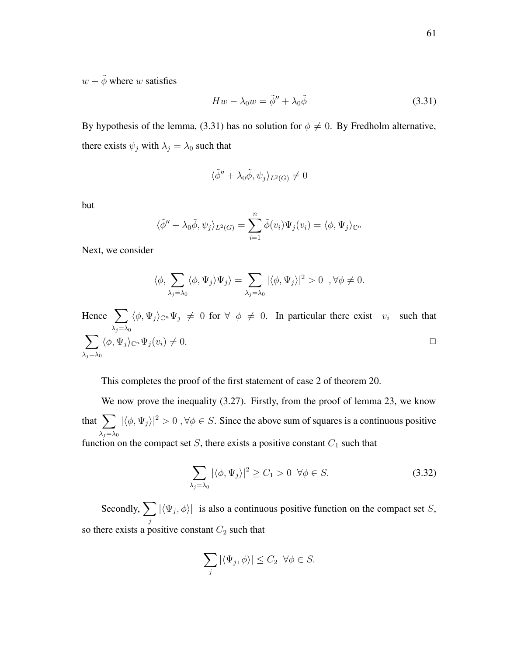$w + \tilde{\phi}$  where w satisfies

$$
Hw - \lambda_0 w = \tilde{\phi}'' + \lambda_0 \tilde{\phi}
$$
 (3.31)

By hypothesis of the lemma, (3.31) has no solution for  $\phi \neq 0$ . By Fredholm alternative, there exists  $\psi_j$  with  $\lambda_j = \lambda_0$  such that

$$
\langle \tilde{\phi}'' + \lambda_0 \tilde{\phi}, \psi_j \rangle_{L^2(G)} \neq 0
$$

but

$$
\langle \tilde{\phi}'' + \lambda_0 \tilde{\phi}, \psi_j \rangle_{L^2(G)} = \sum_{i=1}^n \tilde{\phi}(v_i) \Psi_j(v_i) = \langle \phi, \Psi_j \rangle_{\mathbb{C}^n}
$$

Next, we consider

$$
\langle \phi, \sum_{\lambda_j = \lambda_0} \langle \phi, \Psi_j \rangle \Psi_j \rangle = \sum_{\lambda_j = \lambda_0} |\langle \phi, \Psi_j \rangle|^2 > 0 \quad , \forall \phi \neq 0.
$$

Hence  $\sum$  $\lambda_j = \lambda_0$  $\langle \phi, \Psi_j \rangle_{\mathbb{C}^n} \Psi_j \neq 0$  for  $\forall \phi \neq 0$ . In particular there exist  $v_i$  such that  $\sum$  $\lambda_j = \lambda_0$  $\langle \phi, \Psi_j \rangle_{\mathbb{C}^n} \Psi_j (v_i) \neq 0.$ 

This completes the proof of the first statement of case 2 of theorem 20.

We now prove the inequality (3.27). Firstly, from the proof of lemma 23, we know that  $\sum$  $\lambda_j = \lambda_0$  $|\langle \phi, \Psi_j \rangle|^2 > 0$ ,  $\forall \phi \in S$ . Since the above sum of squares is a continuous positive function on the compact set  $S$ , there exists a positive constant  $C_1$  such that

$$
\sum_{\lambda_j=\lambda_0} |\langle \phi, \Psi_j \rangle|^2 \ge C_1 > 0 \ \forall \phi \in S. \tag{3.32}
$$

Secondly,  $\sum$ j  $|\langle \Psi_j, \phi \rangle|$  is also a continuous positive function on the compact set S, so there exists a positive constant  $C_2$  such that

$$
\sum_{j} |\langle \Psi_j, \phi \rangle| \le C_2 \ \ \forall \phi \in S.
$$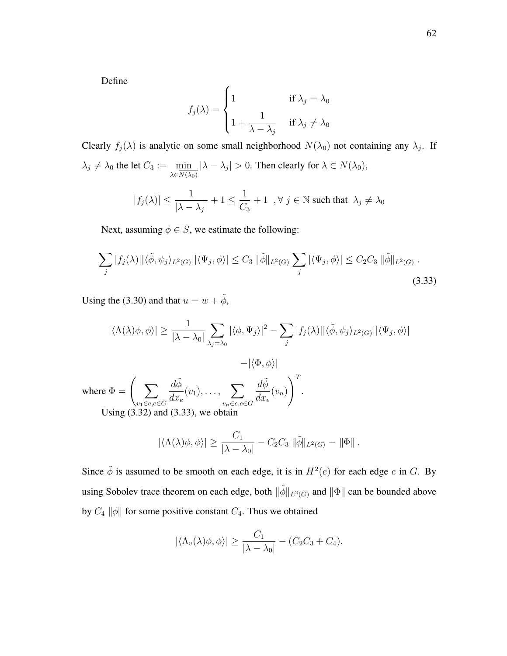Define

$$
f_j(\lambda) = \begin{cases} 1 & \text{if } \lambda_j = \lambda_0 \\ 1 + \frac{1}{\lambda - \lambda_j} & \text{if } \lambda_j \neq \lambda_0 \end{cases}
$$

Clearly  $f_j(\lambda)$  is analytic on some small neighborhood  $N(\lambda_0)$  not containing any  $\lambda_j$ . If  $\lambda_j \neq \lambda_0$  the let  $C_3 := \min_{\lambda \in N(\lambda_0)} |\lambda - \lambda_j| > 0$ . Then clearly for  $\lambda \in N(\lambda_0)$ ,

$$
|f_j(\lambda)| \le \frac{1}{|\lambda - \lambda_j|} + 1 \le \frac{1}{C_3} + 1 \quad , \forall \ j \in \mathbb{N} \text{ such that } \lambda_j \ne \lambda_0
$$

Next, assuming  $\phi \in S$ , we estimate the following:

$$
\sum_{j} |f_j(\lambda)| |\langle \tilde{\phi}, \psi_j \rangle_{L^2(G)}| |\langle \Psi_j, \phi \rangle| \le C_3 \|\tilde{\phi}\|_{L^2(G)} \sum_{j} |\langle \Psi_j, \phi \rangle| \le C_2 C_3 \|\tilde{\phi}\|_{L^2(G)}.
$$
\n(3.33)

Using the (3.30) and that  $u = w + \tilde{\phi}$ ,

$$
|\langle \Lambda(\lambda)\phi, \phi \rangle| \ge \frac{1}{|\lambda - \lambda_0|} \sum_{\lambda_j = \lambda_0} |\langle \phi, \Psi_j \rangle|^2 - \sum_j |f_j(\lambda)| |\langle \tilde{\phi}, \psi_j \rangle_{L^2(G)}| |\langle \Psi_j, \phi \rangle|
$$

$$
- |\langle \Phi, \phi \rangle|
$$
  
where  $\Phi = \left(\sum_{v_1 \in e, e \in G} \frac{d\tilde{\phi}}{dx_e}(v_1), \dots, \sum_{v_n \in e, e \in G} \frac{d\tilde{\phi}}{dx_e}(v_n)\right)^T$ .  
Using (3.32) and (3.33), we obtain

$$
|\langle \Lambda(\lambda)\phi,\phi\rangle| \geq \frac{C_1}{|\lambda-\lambda_0|} - C_2C_3 \|\tilde{\phi}\|_{L^2(G)} - \|\Phi\|.
$$

Since  $\tilde{\phi}$  is assumed to be smooth on each edge, it is in  $H^2(e)$  for each edge e in G. By using Sobolev trace theorem on each edge, both  $\|\tilde{\phi}\|_{L^2(G)}$  and  $\|\Phi\|$  can be bounded above by  $C_4$   $\|\phi\|$  for some positive constant  $C_4$ . Thus we obtained

$$
|\langle \Lambda_v(\lambda)\phi,\phi\rangle| \ge \frac{C_1}{|\lambda - \lambda_0|} - (C_2C_3 + C_4).
$$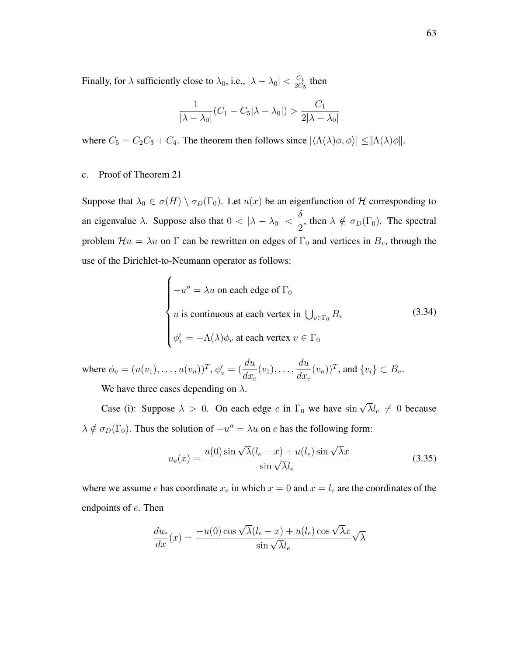Finally, for  $\lambda$  sufficiently close to  $\lambda_0$ , i.e.,  $|\lambda - \lambda_0| < \frac{C_1}{2C_0}$  $rac{C_1}{2C_5}$  then

$$
\frac{1}{|\lambda - \lambda_0|}(C_1 - C_5|\lambda - \lambda_0|) > \frac{C_1}{2|\lambda - \lambda_0|}
$$

where  $C_5 = C_2C_3 + C_4$ . The theorem then follows since  $|\langle \Lambda(\lambda)\phi, \phi \rangle| \leq ||\Lambda(\lambda)\phi||$ .

# c. Proof of Theorem 21

Suppose that  $\lambda_0 \in \sigma(H) \setminus \sigma_D(\Gamma_0)$ . Let  $u(x)$  be an eigenfunction of H corresponding to an eigenvalue  $\lambda$ . Suppose also that  $0 < |\lambda - \lambda_0| < \frac{\delta}{2}$  $\frac{1}{2}$ , then  $\lambda \notin \sigma_D(\Gamma_0)$ . The spectral problem  $\mathcal{H}u = \lambda u$  on  $\Gamma$  can be rewritten on edges of  $\Gamma_0$  and vertices in  $B_v$ , through the use of the Dirichlet-to-Neumann operator as follows:

$$
\begin{cases}\n-u'' = \lambda u \text{ on each edge of } \Gamma_0 \\
u \text{ is continuous at each vertex in } \bigcup_{v \in \Gamma_0} B_v \\
\phi'_v = -\Lambda(\lambda)\phi_v \text{ at each vertex } v \in \Gamma_0\n\end{cases}
$$
\n(3.34)

where  $\phi_v = (u(v_1), \dots, u(v_n))^T$ ,  $\phi'_v = ($ du  $dx_e$  $(v_1), \ldots,$ du  $dx_e$  $(v_n))^T$ , and  $\{v_i\} \subset B_v$ .

We have three cases depending on  $\lambda$ .

Case (i): Suppose  $\lambda > 0$ . On each edge e in  $\Gamma_0$  we have  $\sin \sqrt{\lambda} l_e \neq 0$  because  $\lambda \notin \sigma_D(\Gamma_0)$ . Thus the solution of  $-u'' = \lambda u$  on e has the following form:

$$
u_e(x) = \frac{u(0)\sin\sqrt{\lambda}(l_e - x) + u(l_e)\sin\sqrt{\lambda}x}{\sin\sqrt{\lambda}l_e}
$$
 (3.35)

where we assume e has coordinate  $x_e$  in which  $x = 0$  and  $x = l_e$  are the coordinates of the endpoints of e. Then

$$
\frac{du_e}{dx}(x) = \frac{-u(0)\cos\sqrt{\lambda}(l_e - x) + u(l_e)\cos\sqrt{\lambda}x}{\sin\sqrt{\lambda}l_e}\sqrt{\lambda}
$$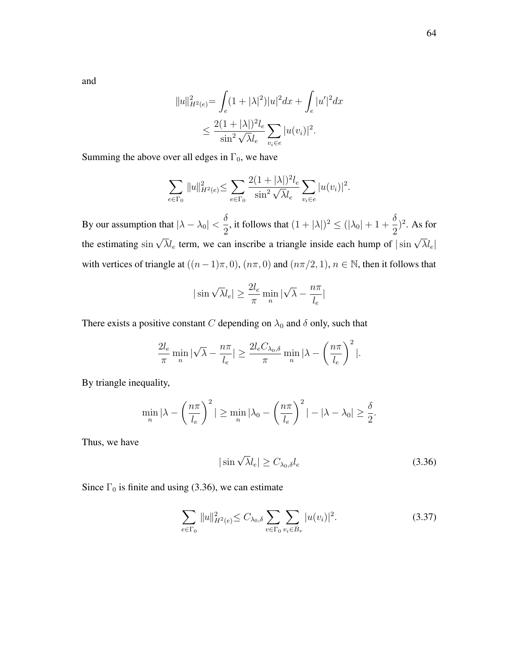and

$$
||u||_{H^{2}(e)}^{2} = \int_{e} (1+|\lambda|^{2})|u|^{2} dx + \int_{e} |u'|^{2} dx
$$
  
 
$$
\leq \frac{2(1+|\lambda|)^{2} \ell_{e}}{\sin^{2} \sqrt{\lambda} \ell_{e}} \sum_{v_{i} \in e} |u(v_{i})|^{2}.
$$

Summing the above over all edges in  $\Gamma_0$ , we have

$$
\sum_{e \in \Gamma_0} ||u||_{H^2(e)}^2 \le \sum_{e \in \Gamma_0} \frac{2(1+|\lambda|)^2 l_e}{\sin^2 \sqrt{\lambda} l_e} \sum_{v_i \in e} |u(v_i)|^2.
$$

By our assumption that  $|\lambda - \lambda_0| < \frac{\delta}{2}$  $\frac{\delta}{2}$ , it follows that  $(1+|\lambda|)^2 \leq (|\lambda_0|+1+\frac{\delta}{2})$ 2  $)^2$ . As for the estimating  $\sin \sqrt{\lambda} l_e$  term, we can inscribe a triangle inside each hump of  $|\sin \sqrt{\lambda} l_e|$ with vertices of triangle at  $((n-1)\pi, 0)$ ,  $(n\pi, 0)$  and  $(n\pi/2, 1)$ ,  $n \in \mathbb{N}$ , then it follows that

$$
|\sin\sqrt{\lambda}l_e|\geq \frac{2l_e}{\pi}\min_n|\sqrt{\lambda}-\frac{n\pi}{l_e}|
$$

There exists a positive constant C depending on  $\lambda_0$  and  $\delta$  only, such that

$$
\frac{2l_e}{\pi} \min_{n} |\sqrt{\lambda} - \frac{n\pi}{l_e}| \ge \frac{2l_e C_{\lambda_0, \delta}}{\pi} \min_{n} |\lambda - \left(\frac{n\pi}{l_e}\right)^2|.
$$

By triangle inequality,

$$
\min_{n} |\lambda - \left(\frac{n\pi}{l_e}\right)^2| \ge \min_{n} |\lambda_0 - \left(\frac{n\pi}{l_e}\right)^2| - |\lambda - \lambda_0| \ge \frac{\delta}{2}.
$$

Thus, we have

$$
|\sin\sqrt{\lambda}l_e|\geq C_{\lambda_0,\delta}l_e\tag{3.36}
$$

Since  $\Gamma_0$  is finite and using (3.36), we can estimate

$$
\sum_{e \in \Gamma_0} ||u||_{H^2(e)}^2 \le C_{\lambda_0, \delta} \sum_{v \in \Gamma_0} \sum_{v_i \in B_v} |u(v_i)|^2.
$$
 (3.37)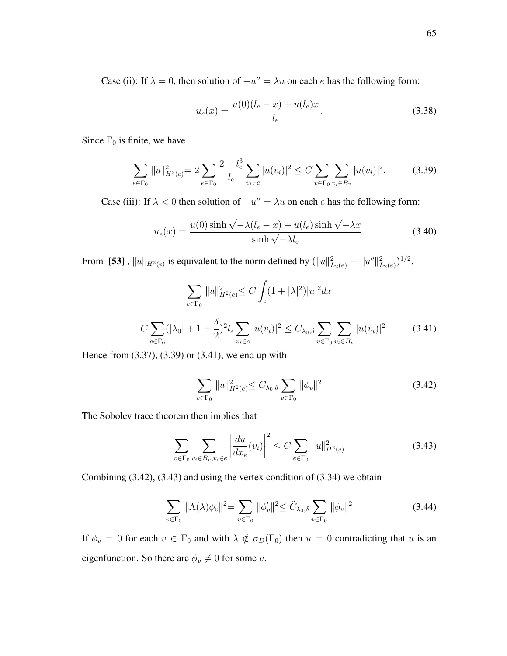Case (ii): If  $\lambda = 0$ , then solution of  $-u'' = \lambda u$  on each *e* has the following form:

$$
u_e(x) = \frac{u(0)(l_e - x) + u(l_e)x}{l_e}.
$$
\n(3.38)

Since  $\Gamma_0$  is finite, we have

$$
\sum_{e \in \Gamma_0} \|u\|_{H^2(e)}^2 = 2 \sum_{e \in \Gamma_0} \frac{2 + l_e^3}{l_e} \sum_{v_i \in e} |u(v_i)|^2 \le C \sum_{v \in \Gamma_0} \sum_{v_i \in B_v} |u(v_i)|^2.
$$
 (3.39)

Case (iii): If  $\lambda < 0$  then solution of  $-u'' = \lambda u$  on each *e* has the following form:

$$
u_e(x) = \frac{u(0)\sinh\sqrt{-\lambda}(l_e - x) + u(l_e)\sinh\sqrt{-\lambda}x}{\sinh\sqrt{-\lambda}l_e}.
$$
 (3.40)

From [53],  $||u||_{H^2(e)}$  is equivalent to the norm defined by  $(||u||_{L_2(e)}^2 + ||u''||_{L_2(e)}^2)^{1/2}$ .

$$
\sum_{e \in \Gamma_0} ||u||_{H^2(e)}^2 \le C \int_e (1 + |\lambda|^2) |u|^2 dx
$$
  
=  $C \sum_{e \in \Gamma_0} (|\lambda_0| + 1 + \frac{\delta}{2})^2 l_e \sum_{v_i \in e} |u(v_i)|^2 \le C_{\lambda_0, \delta} \sum_{v \in \Gamma_0} \sum_{v_i \in B_v} |u(v_i)|^2.$  (3.41)

Hence from (3.37), (3.39) or (3.41), we end up with

$$
\sum_{e \in \Gamma_0} ||u||_{H^2(e)}^2 \le C_{\lambda_0, \delta} \sum_{v \in \Gamma_0} ||\phi_v||^2
$$
 (3.42)

The Sobolev trace theorem then implies that

$$
\sum_{v \in \Gamma_0} \sum_{v_i \in B_v, v_i \in e} \left| \frac{du}{dx_e}(v_i) \right|^2 \le C \sum_{e \in \Gamma_0} ||u||^2_{H^2(e)} \tag{3.43}
$$

Combining (3.42), (3.43) and using the vertex condition of (3.34) we obtain

$$
\sum_{v \in \Gamma_0} ||\Lambda(\lambda)\phi_v||^2 = \sum_{v \in \Gamma_0} ||\phi'_v||^2 \le \tilde{C}_{\lambda_0, \delta} \sum_{v \in \Gamma_0} ||\phi_v||^2 \tag{3.44}
$$

If  $\phi_v = 0$  for each  $v \in \Gamma_0$  and with  $\lambda \notin \sigma_D(\Gamma_0)$  then  $u = 0$  contradicting that u is an eigenfunction. So there are  $\phi_v \neq 0$  for some v.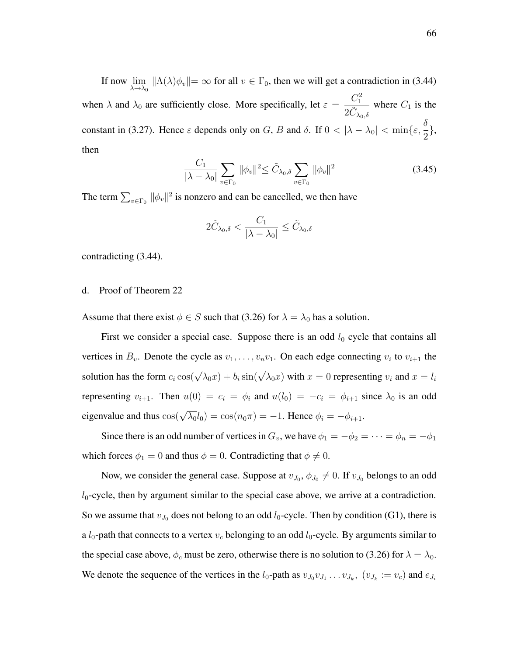If now lim  $\lim_{\lambda \to \lambda_0} ||\Lambda(\lambda)\phi_v|| = \infty$  for all  $v \in \Gamma_0$ , then we will get a contradiction in (3.44) when  $\lambda$  and  $\lambda_0$  are sufficiently close. More specifically, let  $\varepsilon = \frac{C_1^2}{2\tilde{C}}$  $2\tilde{C}_{\lambda_0,\delta}$ where  $C_1$  is the constant in (3.27). Hence  $\varepsilon$  depends only on G, B and  $\delta$ . If  $0 < |\lambda - \lambda_0| < \min\{\varepsilon, \frac{\delta}{2}\}$  $\frac{1}{2}$ , then

$$
\frac{C_1}{|\lambda - \lambda_0|} \sum_{v \in \Gamma_0} ||\phi_v||^2 \le \tilde{C}_{\lambda_0, \delta} \sum_{v \in \Gamma_0} ||\phi_v||^2
$$
\n(3.45)

The term  $\sum_{v \in \Gamma_0} ||\phi_v||^2$  is nonzero and can be cancelled, we then have

$$
2\tilde{C}_{\lambda_0,\delta} < \frac{C_1}{|\lambda - \lambda_0|} \leq \tilde{C}_{\lambda_0,\delta}
$$

contradicting (3.44).

## d. Proof of Theorem 22

Assume that there exist  $\phi \in S$  such that (3.26) for  $\lambda = \lambda_0$  has a solution.

First we consider a special case. Suppose there is an odd  $l_0$  cycle that contains all vertices in  $B_v$ . Denote the cycle as  $v_1, \ldots, v_n v_1$ . On each edge connecting  $v_i$  to  $v_{i+1}$  the solution has the form  $c_i \cos(\sqrt{\lambda_0}x) + b_i \sin(\sqrt{\lambda_0}x)$  with  $x = 0$  representing  $v_i$  and  $x = l_i$ representing  $v_{i+1}$ . Then  $u(0) = c_i = \phi_i$  and  $u(l_0) = -c_i = \phi_{i+1}$  since  $\lambda_0$  is an odd eigenvalue and thus  $\cos(\sqrt{\lambda_0}l_0) = \cos(n_0\pi) = -1$ . Hence  $\phi_i = -\phi_{i+1}$ .

Since there is an odd number of vertices in  $G_v$ , we have  $\phi_1 = -\phi_2 = \cdots = \phi_n = -\phi_1$ which forces  $\phi_1 = 0$  and thus  $\phi = 0$ . Contradicting that  $\phi \neq 0$ .

Now, we consider the general case. Suppose at  $v_{J_0}$ ,  $\phi_{J_0} \neq 0$ . If  $v_{J_0}$  belongs to an odd  $l_0$ -cycle, then by argument similar to the special case above, we arrive at a contradiction. So we assume that  $v_{J_0}$  does not belong to an odd  $l_0$ -cycle. Then by condition (G1), there is a  $l_0$ -path that connects to a vertex  $v_c$  belonging to an odd  $l_0$ -cycle. By arguments similar to the special case above,  $\phi_c$  must be zero, otherwise there is no solution to (3.26) for  $\lambda = \lambda_0$ . We denote the sequence of the vertices in the  $l_0$ -path as  $v_{J_0}v_{J_1}\dots v_{J_k}$ ,  $(v_{J_k} := v_c)$  and  $e_{J_i}$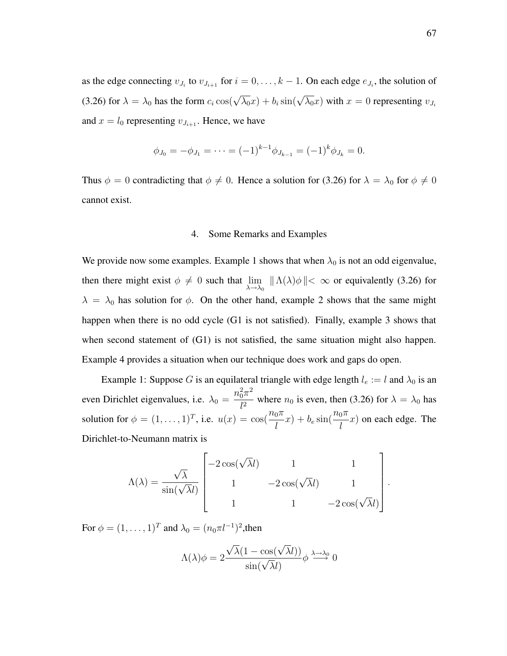as the edge connecting  $v_{J_i}$  to  $v_{J_{i+1}}$  for  $i = 0, \ldots, k - 1$ . On each edge  $e_{J_i}$ , the solution of (3.26) for  $\lambda = \lambda_0$  has the form  $c_i \cos(\sqrt{\lambda_0}x) + b_i \sin(\sqrt{\lambda_0}x)$  with  $x = 0$  representing  $v_{J_i}$ and  $x = l_0$  representing  $v_{J_{i+1}}$ . Hence, we have

$$
\phi_{J_0} = -\phi_{J_1} = \dots = (-1)^{k-1} \phi_{J_{k-1}} = (-1)^k \phi_{J_k} = 0.
$$

Thus  $\phi = 0$  contradicting that  $\phi \neq 0$ . Hence a solution for (3.26) for  $\lambda = \lambda_0$  for  $\phi \neq 0$ cannot exist.

## 4. Some Remarks and Examples

We provide now some examples. Example 1 shows that when  $\lambda_0$  is not an odd eigenvalue, then there might exist  $\phi \neq 0$  such that  $\lim_{\lambda \to \lambda_0} ||\Lambda(\lambda)\phi|| < \infty$  or equivalently (3.26) for  $\lambda = \lambda_0$  has solution for  $\phi$ . On the other hand, example 2 shows that the same might happen when there is no odd cycle (G1 is not satisfied). Finally, example 3 shows that when second statement of (G1) is not satisfied, the same situation might also happen. Example 4 provides a situation when our technique does work and gaps do open.

Example 1: Suppose G is an equilateral triangle with edge length  $l_e := l$  and  $\lambda_0$  is an even Dirichlet eigenvalues, i.e.  $\lambda_0 = \frac{n_0^2 \pi^2}{n_0^2}$ where  $n_0$  is even, then (3.26) for  $\lambda = \lambda_0$  has solution for  $\phi = (1, \ldots, 1)^T$ , i.e.  $u(x) = \cos(\frac{n_0 \pi}{l})$  $\frac{1}{l}$  $\frac{1}{l}$  $\frac{1}{l}$  $\frac{1}{l}$  $\frac{1}{l}$  $(x)$  on each edge. The Dirichlet-to-Neumann matrix is

$$
\Lambda(\lambda) = \frac{\sqrt{\lambda}}{\sin(\sqrt{\lambda}l)} \begin{bmatrix} -2\cos(\sqrt{\lambda}l) & 1 & 1 \\ 1 & -2\cos(\sqrt{\lambda}l) & 1 \\ 1 & 1 & -2\cos(\sqrt{\lambda}l) \end{bmatrix}.
$$

For  $\phi = (1, \ldots, 1)^T$  and  $\lambda_0 = (n_0 \pi l^{-1})^2$ , then

$$
\Lambda(\lambda)\phi = 2\frac{\sqrt{\lambda}(1-\cos(\sqrt{\lambda}l))}{\sin(\sqrt{\lambda}l)}\phi \stackrel{\lambda \to \lambda_0}{\longrightarrow} 0
$$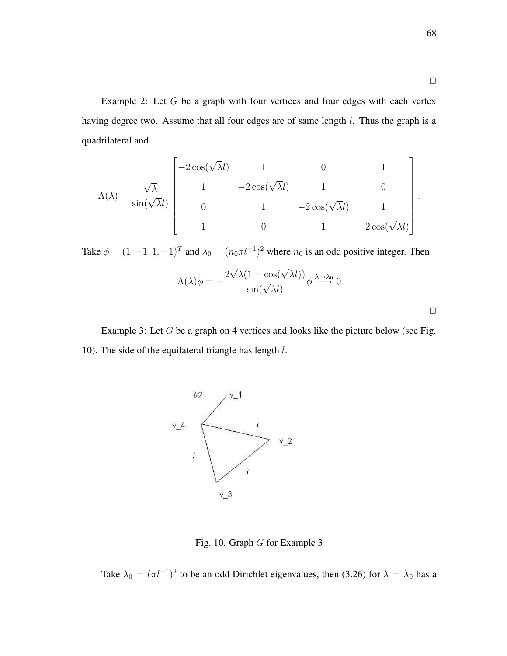Example 2: Let  $G$  be a graph with four vertices and four edges with each vertex having degree two. Assume that all four edges are of same length *l*. Thus the graph is a quadrilateral and

$$
\Lambda(\lambda) = \frac{\sqrt{\lambda}}{\sin(\sqrt{\lambda}l)} \begin{bmatrix} -2\cos(\sqrt{\lambda}l) & 1 & 0 & 1 \\ 1 & -2\cos(\sqrt{\lambda}l) & 1 & 0 \\ 0 & 1 & -2\cos(\sqrt{\lambda}l) & 1 \\ 1 & 0 & 1 & -2\cos(\sqrt{\lambda}l) \end{bmatrix}.
$$

Take  $\phi = (1, -1, 1, -1)^T$  and  $\lambda_0 = (n_0 \pi l^{-1})^2$  where  $n_0$  is an odd positive integer. Then

$$
\Lambda(\lambda)\phi = -\frac{2\sqrt{\lambda}(1+\cos(\sqrt{\lambda}l))}{\sin(\sqrt{\lambda}l)}\phi \stackrel{\lambda \to \lambda_0}{\longrightarrow} 0
$$

 $\Box$ 

Example 3: Let  $G$  be a graph on 4 vertices and looks like the picture below (see Fig. 10). The side of the equilateral triangle has length l.



Fig. 10. Graph G for Example 3

Take  $\lambda_0 = (\pi l^{-1})^2$  to be an odd Dirichlet eigenvalues, then (3.26) for  $\lambda = \lambda_0$  has a

 $\Box$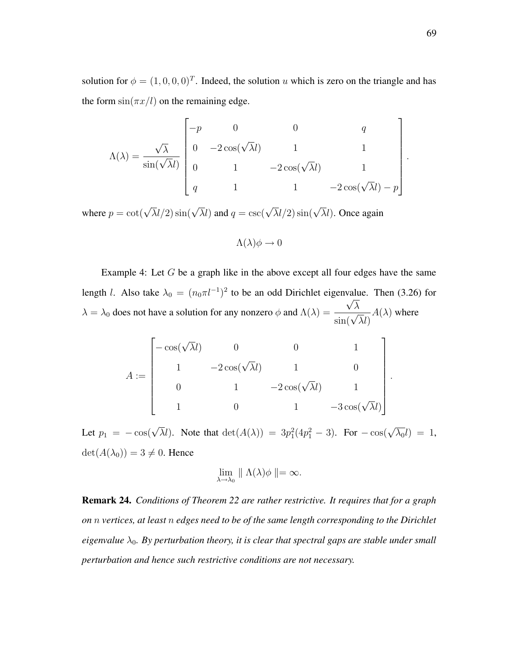solution for  $\phi = (1, 0, 0, 0)^T$ . Indeed, the solution u which is zero on the triangle and has the form  $\sin(\pi x/l)$  on the remaining edge.

$$
\Lambda(\lambda) = \frac{\sqrt{\lambda}}{\sin(\sqrt{\lambda}l)} \begin{bmatrix} -p & 0 & 0 & q \\ 0 & -2\cos(\sqrt{\lambda}l) & 1 & 1 \\ 0 & 1 & -2\cos(\sqrt{\lambda}l) & 1 \\ q & 1 & 1 & -2\cos(\sqrt{\lambda}l) - p \end{bmatrix}.
$$

where  $p = \cot(\sqrt{\lambda}l/2)\sin(\sqrt{\lambda}l)$  and  $q = \csc(\sqrt{\lambda}l/2)\sin(\sqrt{\lambda}l)$ . Once again

$$
\Lambda(\lambda)\phi\to 0
$$

Example 4: Let  $G$  be a graph like in the above except all four edges have the same length *l*. Also take  $\lambda_0 = (n_0 \pi l^{-1})^2$  to be an odd Dirichlet eigenvalue. Then (3.26) for  $\lambda = \lambda_0$  does not have a solution for any nonzero  $\phi$  and  $\Lambda(\lambda) =$  $\sqrt{\lambda}$  $\sin(\sqrt{\lambda}l)$  $A(\lambda)$  where

$$
A := \begin{bmatrix} -\cos(\sqrt{\lambda}l) & 0 & 0 & 1 \\ 1 & -2\cos(\sqrt{\lambda}l) & 1 & 0 \\ 0 & 1 & -2\cos(\sqrt{\lambda}l) & 1 \\ 1 & 0 & 1 & -3\cos(\sqrt{\lambda}l) \end{bmatrix}
$$

Let  $p_1 = -\cos(\sqrt{\lambda}l)$ . Note that  $\det(A(\lambda)) = 3p_1^2(4p_1^2 - 3)$ . For  $-\cos(\sqrt{\lambda_0}l) = 1$ ,  $\det(A(\lambda_0)) = 3 \neq 0$ . Hence

$$
\lim_{\lambda \to \lambda_0} \| \Lambda(\lambda) \phi \| = \infty.
$$

**Remark 24.** *Conditions of Theorem 22 are rather restrictive. It requires that for a graph on* n *vertices, at least* n *edges need to be of the same length corresponding to the Dirichlet*  $eigenvalue$   $\lambda_0$ . By perturbation theory, it is clear that spectral gaps are stable under small *perturbation and hence such restrictive conditions are not necessary.*

.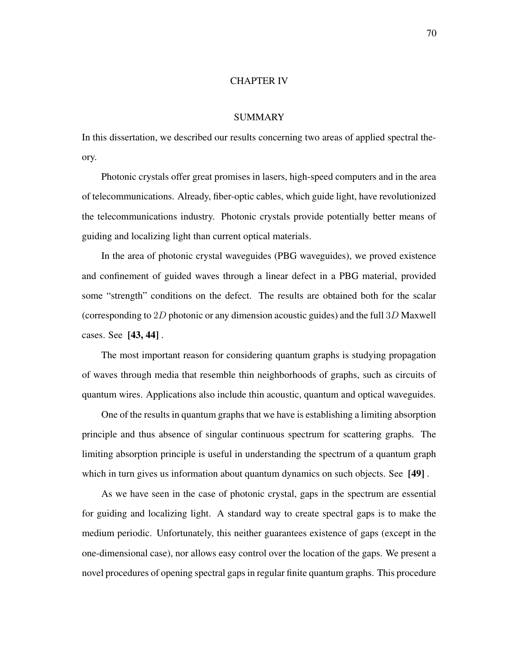# CHAPTER IV

#### SUMMARY

In this dissertation, we described our results concerning two areas of applied spectral theory.

Photonic crystals offer great promises in lasers, high-speed computers and in the area of telecommunications. Already, fiber-optic cables, which guide light, have revolutionized the telecommunications industry. Photonic crystals provide potentially better means of guiding and localizing light than current optical materials.

In the area of photonic crystal waveguides (PBG waveguides), we proved existence and confinement of guided waves through a linear defect in a PBG material, provided some "strength" conditions on the defect. The results are obtained both for the scalar (corresponding to 2D photonic or any dimension acoustic guides) and the full 3D Maxwell cases. See **[43, 44]** .

The most important reason for considering quantum graphs is studying propagation of waves through media that resemble thin neighborhoods of graphs, such as circuits of quantum wires. Applications also include thin acoustic, quantum and optical waveguides.

One of the results in quantum graphs that we have is establishing a limiting absorption principle and thus absence of singular continuous spectrum for scattering graphs. The limiting absorption principle is useful in understanding the spectrum of a quantum graph which in turn gives us information about quantum dynamics on such objects. See **[49]** .

As we have seen in the case of photonic crystal, gaps in the spectrum are essential for guiding and localizing light. A standard way to create spectral gaps is to make the medium periodic. Unfortunately, this neither guarantees existence of gaps (except in the one-dimensional case), nor allows easy control over the location of the gaps. We present a novel procedures of opening spectral gaps in regular finite quantum graphs. This procedure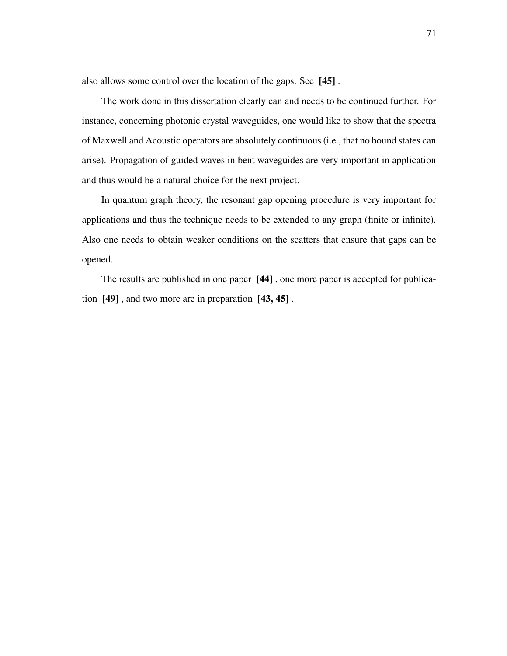also allows some control over the location of the gaps. See **[45]** .

The work done in this dissertation clearly can and needs to be continued further. For instance, concerning photonic crystal waveguides, one would like to show that the spectra of Maxwell and Acoustic operators are absolutely continuous (i.e., that no bound states can arise). Propagation of guided waves in bent waveguides are very important in application and thus would be a natural choice for the next project.

In quantum graph theory, the resonant gap opening procedure is very important for applications and thus the technique needs to be extended to any graph (finite or infinite). Also one needs to obtain weaker conditions on the scatters that ensure that gaps can be opened.

The results are published in one paper **[44]** , one more paper is accepted for publication **[49]** , and two more are in preparation **[43, 45]** .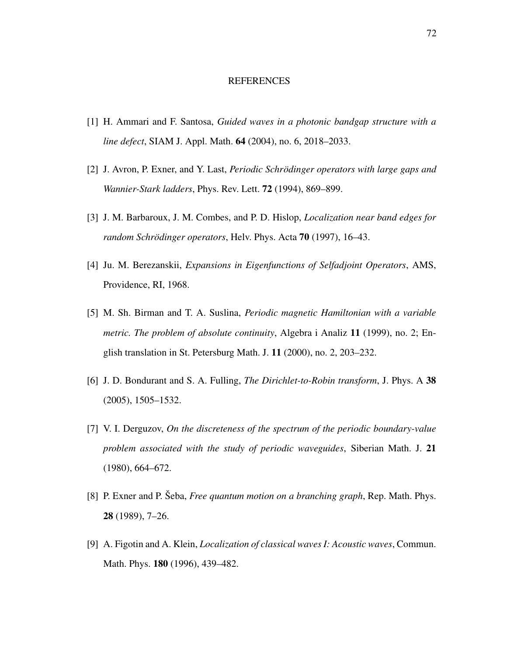## REFERENCES

- [1] H. Ammari and F. Santosa, *Guided waves in a photonic bandgap structure with a line defect*, SIAM J. Appl. Math. **64** (2004), no. 6, 2018–2033.
- [2] J. Avron, P. Exner, and Y. Last, *Periodic Schroding ¨ er operators with large gaps and Wannier-Stark ladders*, Phys. Rev. Lett. **72** (1994), 869–899.
- [3] J. M. Barbaroux, J. M. Combes, and P. D. Hislop, *Localization near band edges for random Schrödinger operators, Helv. Phys. Acta* **70** (1997), 16–43.
- [4] Ju. M. Berezanskii, *Expansions in Eigenfunctions of Selfadjoint Operators*, AMS, Providence, RI, 1968.
- [5] M. Sh. Birman and T. A. Suslina, *Periodic magnetic Hamiltonian with a variable metric. The problem of absolute continuity*, Algebra i Analiz **11** (1999), no. 2; English translation in St. Petersburg Math. J. **11** (2000), no. 2, 203–232.
- [6] J. D. Bondurant and S. A. Fulling, *The Dirichlet-to-Robin transform*, J. Phys. A **38** (2005), 1505–1532.
- [7] V. I. Derguzov, *On the discreteness of the spectrum of the periodic boundary-value problem associated with the study of periodic waveguides*, Siberian Math. J. **21** (1980), 664–672.
- [8] P. Exner and P. Seba, *Free quantum motion on a branching graph*, Rep. Math. Phys. **28** (1989), 7–26.
- [9] A. Figotin and A. Klein, *Localization of classical waves I: Acoustic waves*, Commun. Math. Phys. **180** (1996), 439–482.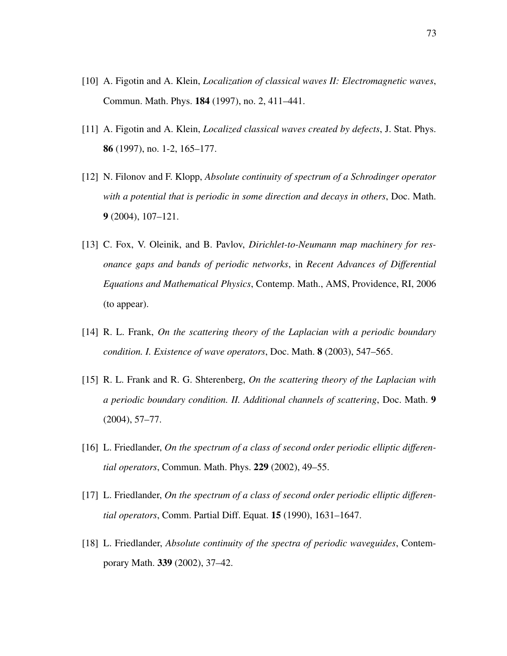- [10] A. Figotin and A. Klein, *Localization of classical waves II: Electromagnetic waves*, Commun. Math. Phys. **184** (1997), no. 2, 411–441.
- [11] A. Figotin and A. Klein, *Localized classical waves created by defects*, J. Stat. Phys. **86** (1997), no. 1-2, 165–177.
- [12] N. Filonov and F. Klopp, *Absolute continuity of spectrum of a Schrodinger operator with a potential that is periodic in some direction and decays in others*, Doc. Math. **9** (2004), 107–121.
- [13] C. Fox, V. Oleinik, and B. Pavlov, *Dirichlet-to-Neumann map machinery for resonance gaps and bands of periodic networks*, in *Recent Advances of Differential Equations and Mathematical Physics*, Contemp. Math., AMS, Providence, RI, 2006 (to appear).
- [14] R. L. Frank, *On the scattering theory of the Laplacian with a periodic boundary condition. I. Existence of wave operators*, Doc. Math. **8** (2003), 547–565.
- [15] R. L. Frank and R. G. Shterenberg, *On the scattering theory of the Laplacian with a periodic boundary condition. II. Additional channels of scattering*, Doc. Math. **9** (2004), 57–77.
- [16] L. Friedlander, *On the spectrum of a class of second order periodic elliptic differential operators*, Commun. Math. Phys. **229** (2002), 49–55.
- [17] L. Friedlander, *On the spectrum of a class of second order periodic elliptic differential operators*, Comm. Partial Diff. Equat. **15** (1990), 1631–1647.
- [18] L. Friedlander, *Absolute continuity of the spectra of periodic waveguides*, Contemporary Math. **339** (2002), 37–42.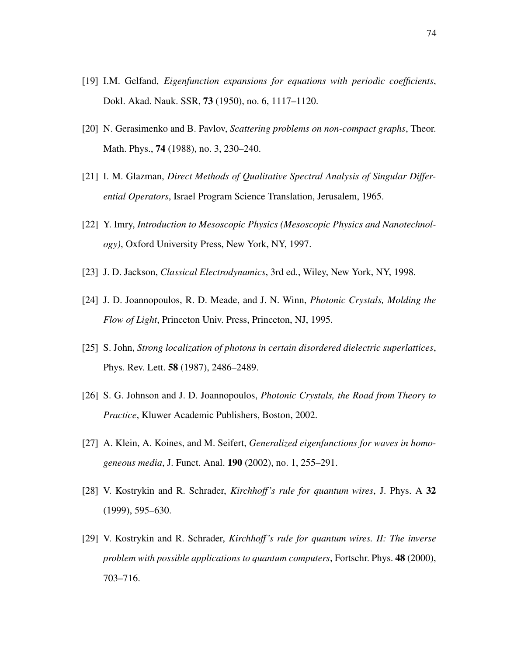- [19] I.M. Gelfand, *Eigenfunction expansions for equations with periodic coefficients*, Dokl. Akad. Nauk. SSR, **73** (1950), no. 6, 1117–1120.
- [20] N. Gerasimenko and B. Pavlov, *Scattering problems on non-compact graphs*, Theor. Math. Phys., **74** (1988), no. 3, 230–240.
- [21] I. M. Glazman, *Direct Methods of Qualitative Spectral Analysis of Singular Differential Operators*, Israel Program Science Translation, Jerusalem, 1965.
- [22] Y. Imry, *Introduction to Mesoscopic Physics (Mesoscopic Physics and Nanotechnology)*, Oxford University Press, New York, NY, 1997.
- [23] J. D. Jackson, *Classical Electrodynamics*, 3rd ed., Wiley, New York, NY, 1998.
- [24] J. D. Joannopoulos, R. D. Meade, and J. N. Winn, *Photonic Crystals, Molding the Flow of Light*, Princeton Univ. Press, Princeton, NJ, 1995.
- [25] S. John, *Strong localization of photons in certain disordered dielectric superlattices*, Phys. Rev. Lett. **58** (1987), 2486–2489.
- [26] S. G. Johnson and J. D. Joannopoulos, *Photonic Crystals, the Road from Theory to Practice*, Kluwer Academic Publishers, Boston, 2002.
- [27] A. Klein, A. Koines, and M. Seifert, *Generalized eigenfunctions for waves in homogeneous media*, J. Funct. Anal. **190** (2002), no. 1, 255–291.
- [28] V. Kostrykin and R. Schrader, *Kirchhoff's rule for quantum wires*, J. Phys. A **32** (1999), 595–630.
- [29] V. Kostrykin and R. Schrader, *Kirchhoff's rule for quantum wires. II: The inverse problem with possible applications to quantum computers*, Fortschr. Phys. **48** (2000), 703–716.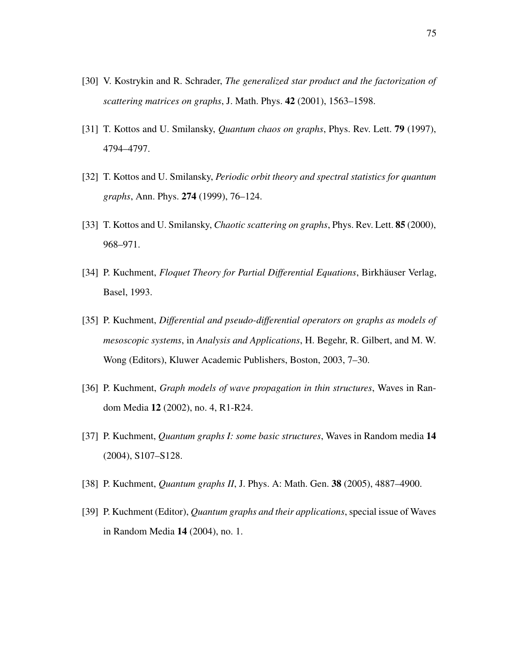- [30] V. Kostrykin and R. Schrader, *The generalized star product and the factorization of scattering matrices on graphs*, J. Math. Phys. **42** (2001), 1563–1598.
- [31] T. Kottos and U. Smilansky, *Quantum chaos on graphs*, Phys. Rev. Lett. **79** (1997), 4794–4797.
- [32] T. Kottos and U. Smilansky, *Periodic orbit theory and spectral statistics for quantum graphs*, Ann. Phys. **274** (1999), 76–124.
- [33] T. Kottos and U. Smilansky, *Chaotic scattering on graphs*, Phys. Rev. Lett. **85** (2000), 968–971.
- [34] P. Kuchment, *Floquet Theory for Partial Differential Equations*, Birkhäuser Verlag, Basel, 1993.
- [35] P. Kuchment, *Differential and pseudo-differential operators on graphs as models of mesoscopic systems*, in *Analysis and Applications*, H. Begehr, R. Gilbert, and M. W. Wong (Editors), Kluwer Academic Publishers, Boston, 2003, 7–30.
- [36] P. Kuchment, *Graph models of wave propagation in thin structures*, Waves in Random Media **12** (2002), no. 4, R1-R24.
- [37] P. Kuchment, *Quantum graphs I: some basic structures*, Waves in Random media **14** (2004), S107–S128.
- [38] P. Kuchment, *Quantum graphs II*, J. Phys. A: Math. Gen. **38** (2005), 4887–4900.
- [39] P. Kuchment (Editor), *Quantum graphs and their applications*, special issue of Waves in Random Media **14** (2004), no. 1.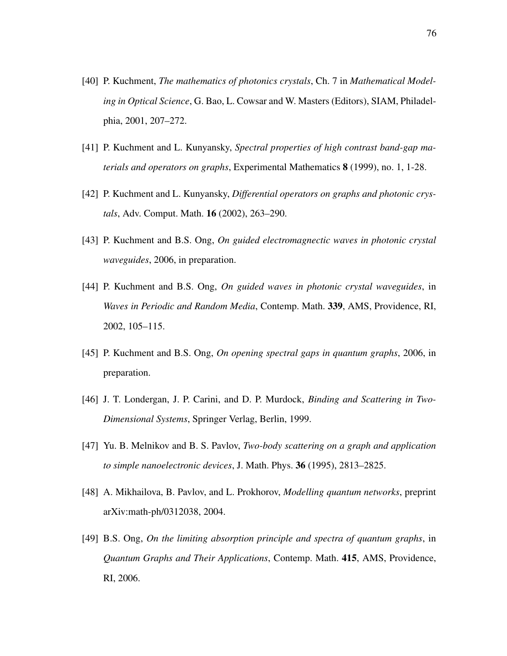- [40] P. Kuchment, *The mathematics of photonics crystals*, Ch. 7 in *Mathematical Modeling in Optical Science*, G. Bao, L. Cowsar and W. Masters (Editors), SIAM, Philadelphia, 2001, 207–272.
- [41] P. Kuchment and L. Kunyansky, *Spectral properties of high contrast band-gap materials and operators on graphs*, Experimental Mathematics **8** (1999), no. 1, 1-28.
- [42] P. Kuchment and L. Kunyansky, *Differential operators on graphs and photonic crystals*, Adv. Comput. Math. **16** (2002), 263–290.
- [43] P. Kuchment and B.S. Ong, *On guided electromagnectic waves in photonic crystal waveguides*, 2006, in preparation.
- [44] P. Kuchment and B.S. Ong, *On guided waves in photonic crystal waveguides*, in *Waves in Periodic and Random Media*, Contemp. Math. **339**, AMS, Providence, RI, 2002, 105–115.
- [45] P. Kuchment and B.S. Ong, *On opening spectral gaps in quantum graphs*, 2006, in preparation.
- [46] J. T. Londergan, J. P. Carini, and D. P. Murdock, *Binding and Scattering in Two-Dimensional Systems*, Springer Verlag, Berlin, 1999.
- [47] Yu. B. Melnikov and B. S. Pavlov, *Two-body scattering on a graph and application to simple nanoelectronic devices*, J. Math. Phys. **36** (1995), 2813–2825.
- [48] A. Mikhailova, B. Pavlov, and L. Prokhorov, *Modelling quantum networks*, preprint arXiv:math-ph/0312038, 2004.
- [49] B.S. Ong, *On the limiting absorption principle and spectra of quantum graphs*, in *Quantum Graphs and Their Applications*, Contemp. Math. **415**, AMS, Providence, RI, 2006.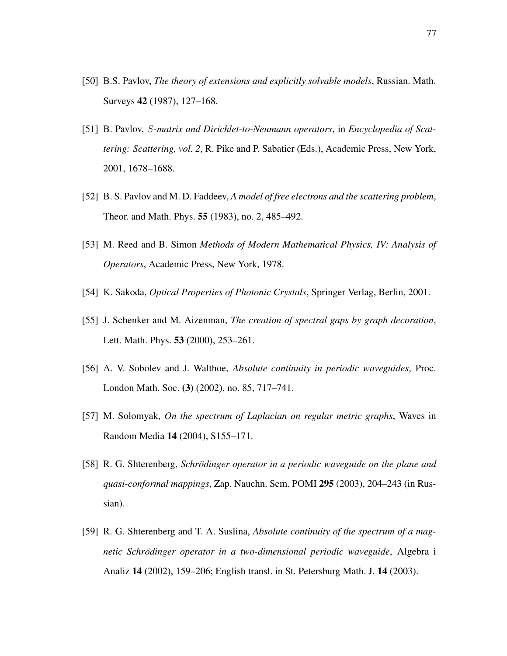- [50] B.S. Pavlov, *The theory of extensions and explicitly solvable models*, Russian. Math. Surveys **42** (1987), 127–168.
- [51] B. Pavlov, S*-matrix and Dirichlet-to-Neumann operators*, in *Encyclopedia of Scattering: Scattering, vol. 2*, R. Pike and P. Sabatier (Eds.), Academic Press, New York, 2001, 1678–1688.
- [52] B. S. Pavlov and M. D. Faddeev, *A model of free electrons and the scattering problem*, Theor. and Math. Phys. **55** (1983), no. 2, 485–492.
- [53] M. Reed and B. Simon *Methods of Modern Mathematical Physics, IV: Analysis of Operators*, Academic Press, New York, 1978.
- [54] K. Sakoda, *Optical Properties of Photonic Crystals*, Springer Verlag, Berlin, 2001.
- [55] J. Schenker and M. Aizenman, *The creation of spectral gaps by graph decoration*, Lett. Math. Phys. **53** (2000), 253–261.
- [56] A. V. Sobolev and J. Walthoe, *Absolute continuity in periodic waveguides*, Proc. London Math. Soc. **(3)** (2002), no. 85, 717–741.
- [57] M. Solomyak, *On the spectrum of Laplacian on regular metric graphs*, Waves in Random Media **14** (2004), S155–171.
- [58] R. G. Shterenberg, *Schrödinger operator in a periodic waveguide on the plane and quasi-conformal mappings*, Zap. Nauchn. Sem. POMI **295** (2003), 204–243 (in Russian).
- [59] R. G. Shterenberg and T. A. Suslina, *Absolute continuity of the spectrum of a magnetic Schroding ¨ er operator in a two-dimensional periodic waveguide*, Algebra i Analiz **14** (2002), 159–206; English transl. in St. Petersburg Math. J. **14** (2003).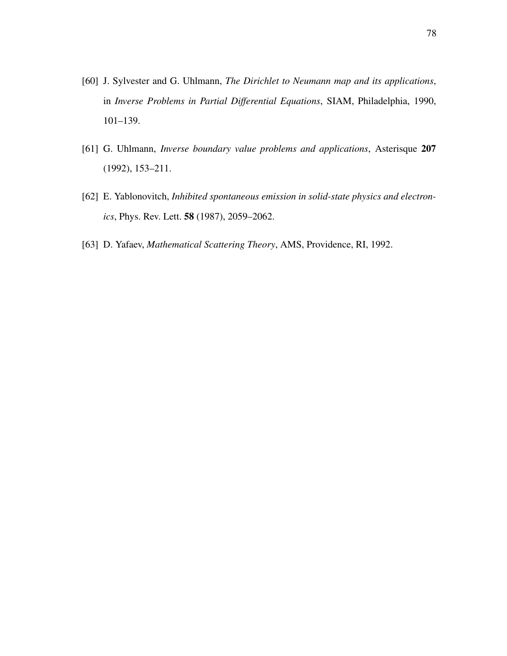- [60] J. Sylvester and G. Uhlmann, *The Dirichlet to Neumann map and its applications*, in *Inverse Problems in Partial Differential Equations*, SIAM, Philadelphia, 1990, 101–139.
- [61] G. Uhlmann, *Inverse boundary value problems and applications*, Asterisque **207** (1992), 153–211.
- [62] E. Yablonovitch, *Inhibited spontaneous emission in solid-state physics and electronics*, Phys. Rev. Lett. **58** (1987), 2059–2062.
- [63] D. Yafaev, *Mathematical Scattering Theory*, AMS, Providence, RI, 1992.